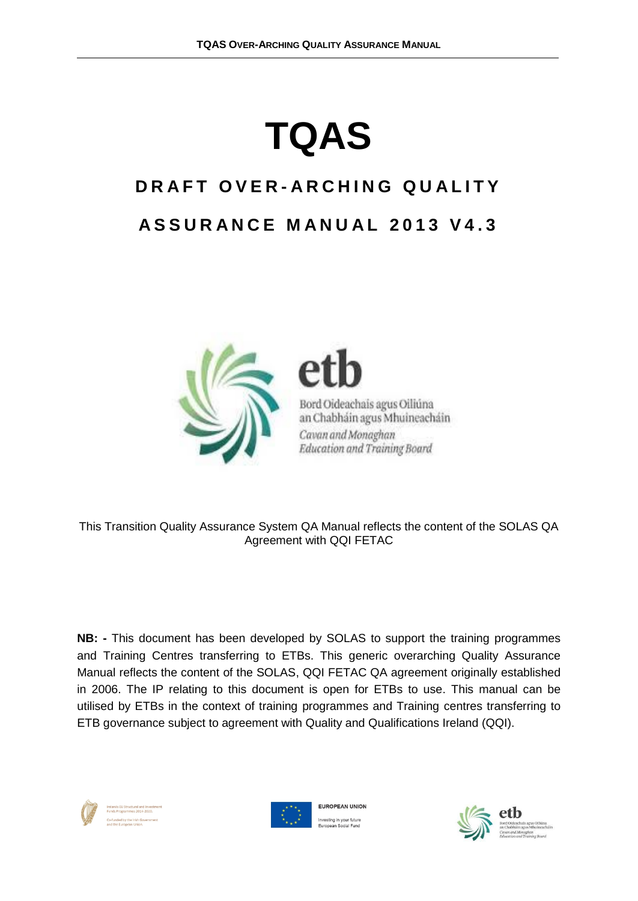# **TQAS**

## **D R A F T O V E R - A R C H I N G Q U A L I T Y A S S U R A N C E M A N U A L 2013 V 4 . 3**



Bord Oideachais agus Oiliúna an Chabháin agus Mhuineacháin Cavan and Monaghan Education and Training Board

This Transition Quality Assurance System QA Manual reflects the content of the SOLAS QA Agreement with QQI FETAC

**NB: -** This document has been developed by SOLAS to support the training programmes and Training Centres transferring to ETBs. This generic overarching Quality Assurance Manual reflects the content of the SOLAS, QQI FETAC QA agreement originally established in 2006. The IP relating to this document is open for ETBs to use. This manual can be utilised by ETBs in the context of training programmes and Training centres transferring to ETB governance subject to agreement with Quality and Qualifications Ireland (QQI).





**EUROPEAN UNION** vesting in your future<br>uronoon Social Eune

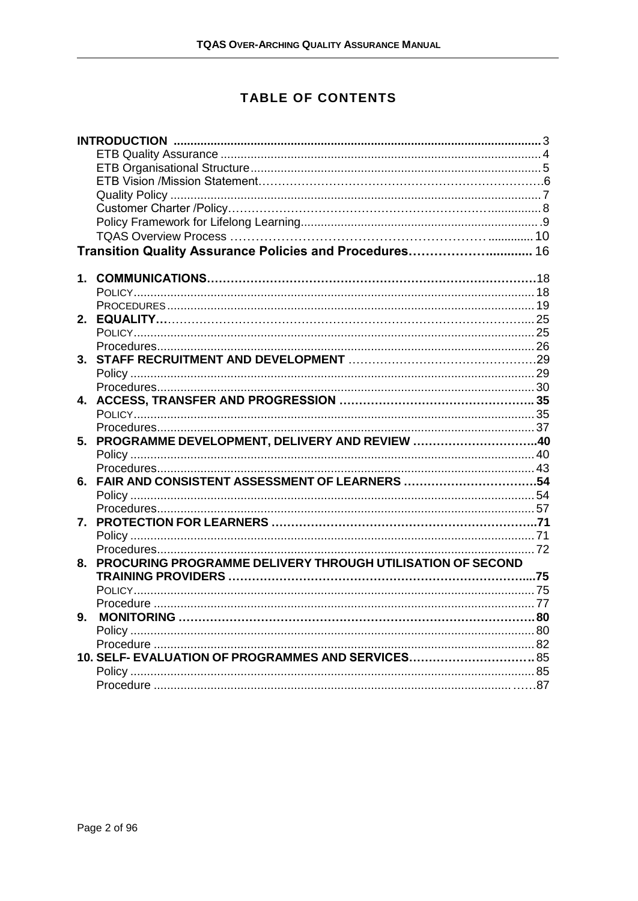## **TABLE OF CONTENTS**

|    | Transition Quality Assurance Policies and Procedures 16       |  |
|----|---------------------------------------------------------------|--|
|    |                                                               |  |
| 1. |                                                               |  |
|    |                                                               |  |
|    |                                                               |  |
|    |                                                               |  |
|    |                                                               |  |
|    |                                                               |  |
|    |                                                               |  |
|    |                                                               |  |
|    |                                                               |  |
|    |                                                               |  |
|    |                                                               |  |
|    |                                                               |  |
|    | 5. PROGRAMME DEVELOPMENT, DELIVERY AND REVIEW 40              |  |
|    |                                                               |  |
|    |                                                               |  |
|    | 6. FAIR AND CONSISTENT ASSESSMENT OF LEARNERS 54              |  |
|    |                                                               |  |
|    |                                                               |  |
|    |                                                               |  |
|    |                                                               |  |
|    |                                                               |  |
|    | 8. PROCURING PROGRAMME DELIVERY THROUGH UTILISATION OF SECOND |  |
|    |                                                               |  |
|    |                                                               |  |
|    |                                                               |  |
| 9. |                                                               |  |
|    |                                                               |  |
|    |                                                               |  |
|    | 10. SELF- EVALUATION OF PROGRAMMES AND SERVICES 85            |  |
|    |                                                               |  |
|    |                                                               |  |
|    |                                                               |  |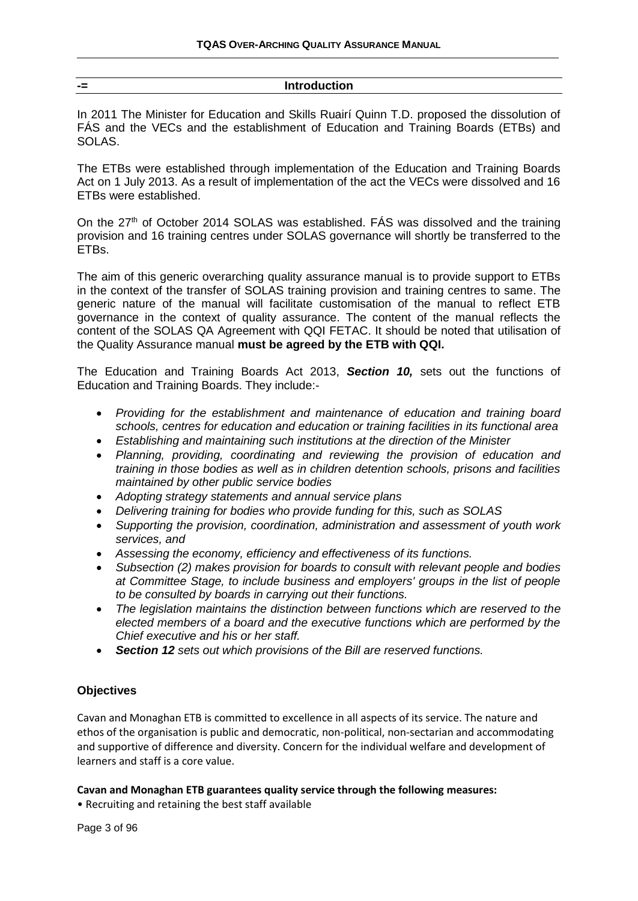#### <span id="page-2-0"></span>**-= Introduction**

In 2011 The Minister for Education and Skills Ruairí Quinn T.D. proposed the dissolution of FÁS and the VECs and the establishment of Education and Training Boards (ETBs) and SOLAS.

The ETBs were established through implementation of the Education and Training Boards Act on 1 July 2013. As a result of implementation of the act the VECs were dissolved and 16 ETBs were established.

On the 27<sup>th</sup> of October 2014 SOLAS was established. FÁS was dissolved and the training provision and 16 training centres under SOLAS governance will shortly be transferred to the ETBs.

The aim of this generic overarching quality assurance manual is to provide support to ETBs in the context of the transfer of SOLAS training provision and training centres to same. The generic nature of the manual will facilitate customisation of the manual to reflect ETB governance in the context of quality assurance. The content of the manual reflects the content of the SOLAS QA Agreement with QQI FETAC. It should be noted that utilisation of the Quality Assurance manual **must be agreed by the ETB with QQI.**

The Education and Training Boards Act 2013, *Section 10,* sets out the functions of Education and Training Boards. They include:-

- *Providing for the establishment and maintenance of education and training board schools, centres for education and education or training facilities in its functional area*
- *Establishing and maintaining such institutions at the direction of the Minister*
- *Planning, providing, coordinating and reviewing the provision of education and training in those bodies as well as in children detention schools, prisons and facilities maintained by other public service bodies*
- *Adopting strategy statements and annual service plans*
- *Delivering training for bodies who provide funding for this, such as SOLAS*
- *Supporting the provision, coordination, administration and assessment of youth work services, and*
- *Assessing the economy, efficiency and effectiveness of its functions.*
- *Subsection (2) makes provision for boards to consult with relevant people and bodies at Committee Stage, to include business and employers' groups in the list of people to be consulted by boards in carrying out their functions.*
- *The legislation maintains the distinction between functions which are reserved to the elected members of a board and the executive functions which are performed by the Chief executive and his or her staff.*
- *Section 12 sets out which provisions of the Bill are reserved functions.*

#### **Objectives**

Cavan and Monaghan ETB is committed to excellence in all aspects of its service. The nature and ethos of the organisation is public and democratic, non-political, non-sectarian and accommodating and supportive of difference and diversity. Concern for the individual welfare and development of learners and staff is a core value.

#### **Cavan and Monaghan ETB guarantees quality service through the following measures:**

• Recruiting and retaining the best staff available

Page 3 of 96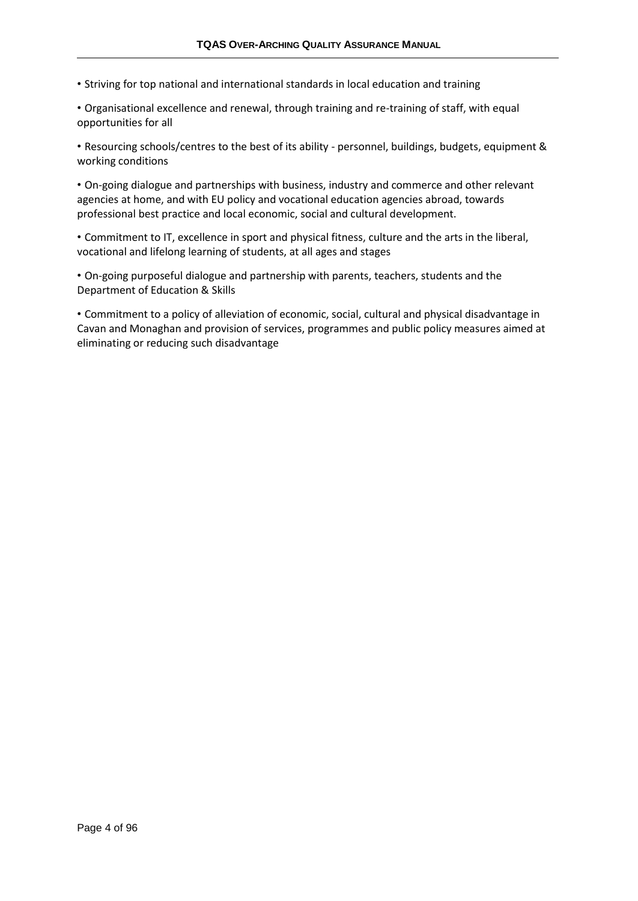• Striving for top national and international standards in local education and training

• Organisational excellence and renewal, through training and re-training of staff, with equal opportunities for all

• Resourcing schools/centres to the best of its ability - personnel, buildings, budgets, equipment & working conditions

• On-going dialogue and partnerships with business, industry and commerce and other relevant agencies at home, and with EU policy and vocational education agencies abroad, towards professional best practice and local economic, social and cultural development.

• Commitment to IT, excellence in sport and physical fitness, culture and the arts in the liberal, vocational and lifelong learning of students, at all ages and stages

• On-going purposeful dialogue and partnership with parents, teachers, students and the Department of Education & Skills

• Commitment to a policy of alleviation of economic, social, cultural and physical disadvantage in Cavan and Monaghan and provision of services, programmes and public policy measures aimed at eliminating or reducing such disadvantage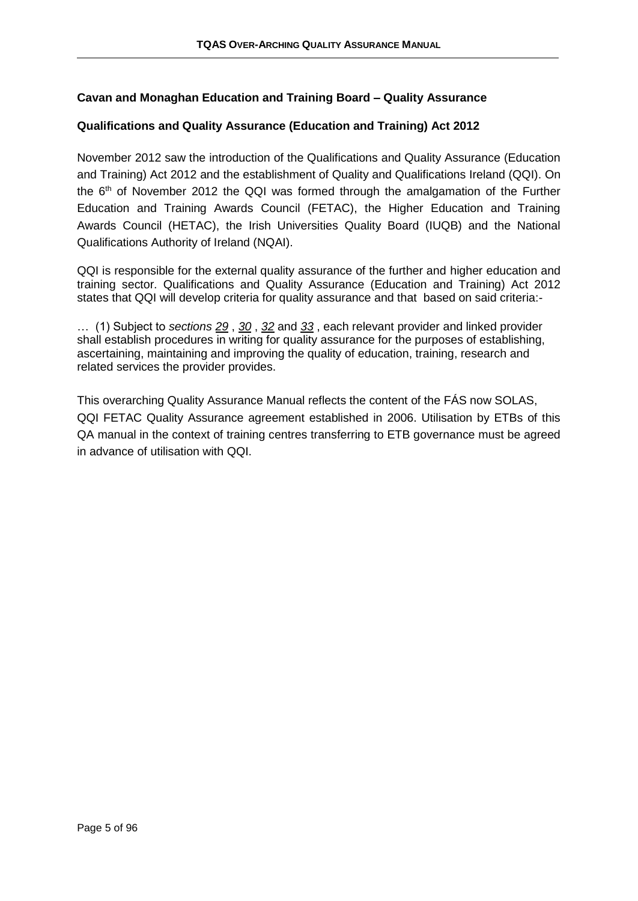#### <span id="page-4-0"></span>**Cavan and Monaghan Education and Training Board – Quality Assurance**

#### **Qualifications and Quality Assurance (Education and Training) Act 2012**

November 2012 saw the introduction of the Qualifications and Quality Assurance (Education and Training) Act 2012 and the establishment of Quality and Qualifications Ireland (QQI). On the  $6<sup>th</sup>$  of November 2012 the QQI was formed through the amalgamation of the Further Education and Training Awards Council (FETAC), the Higher Education and Training Awards Council (HETAC), the Irish Universities Quality Board (IUQB) and the National Qualifications Authority of Ireland (NQAI).

QQI is responsible for the external quality assurance of the further and higher education and training sector. Qualifications and Quality Assurance (Education and Training) Act 2012 states that QQI will develop criteria for quality assurance and that based on said criteria:-

… (1) Subject to *sections [29](http://www.irishstatutebook.ie/2012/en/act/pub/0028/print.html#sec29)* , *[30](http://www.irishstatutebook.ie/2012/en/act/pub/0028/print.html#sec30)* , *[32](http://www.irishstatutebook.ie/2012/en/act/pub/0028/print.html#sec32)* and *[33](http://www.irishstatutebook.ie/2012/en/act/pub/0028/print.html#sec33)* , each relevant provider and linked provider shall establish procedures in writing for quality assurance for the purposes of establishing, ascertaining, maintaining and improving the quality of education, training, research and related services the provider provides.

This overarching Quality Assurance Manual reflects the content of the FÁS now SOLAS, QQI FETAC Quality Assurance agreement established in 2006. Utilisation by ETBs of this QA manual in the context of training centres transferring to ETB governance must be agreed in advance of utilisation with QQI.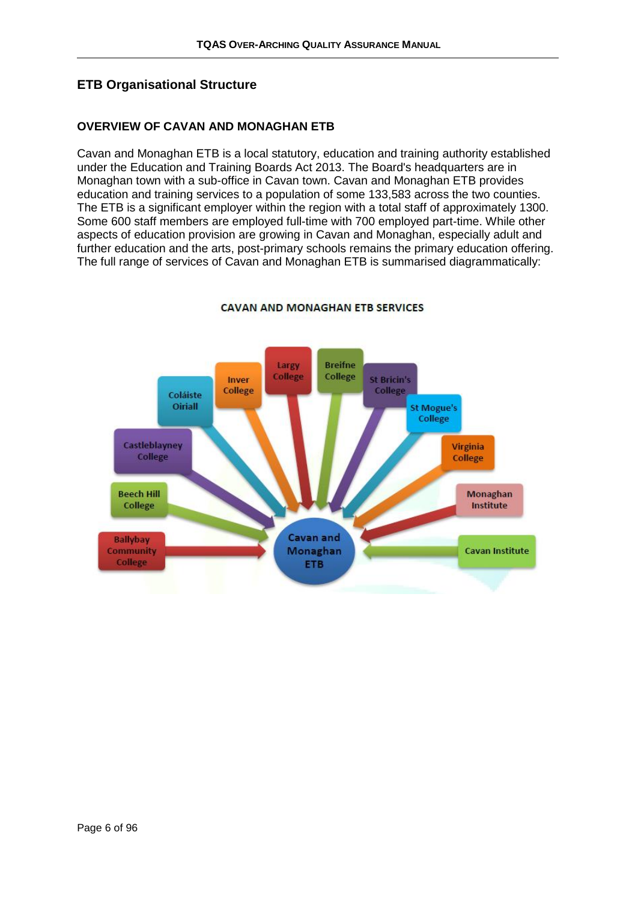#### <span id="page-5-0"></span>**ETB Organisational Structure**

#### **OVERVIEW OF CAVAN AND MONAGHAN ETB**

Cavan and Monaghan ETB is a local statutory, education and training authority established under the Education and Training Boards Act 2013. The Board's headquarters are in Monaghan town with a sub-office in Cavan town. Cavan and Monaghan ETB provides education and training services to a population of some 133,583 across the two counties. The ETB is a significant employer within the region with a total staff of approximately 1300. Some 600 staff members are employed full-time with 700 employed part-time. While other aspects of education provision are growing in Cavan and Monaghan, especially adult and further education and the arts, post-primary schools remains the primary education offering. The full range of services of Cavan and Monaghan ETB is summarised diagrammatically:



#### **CAVAN AND MONAGHAN ETB SERVICES**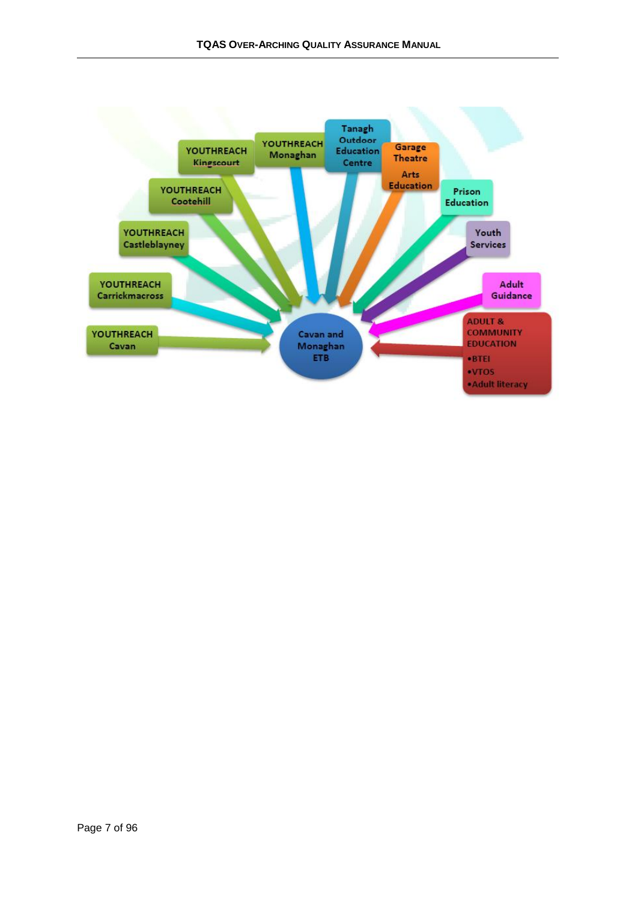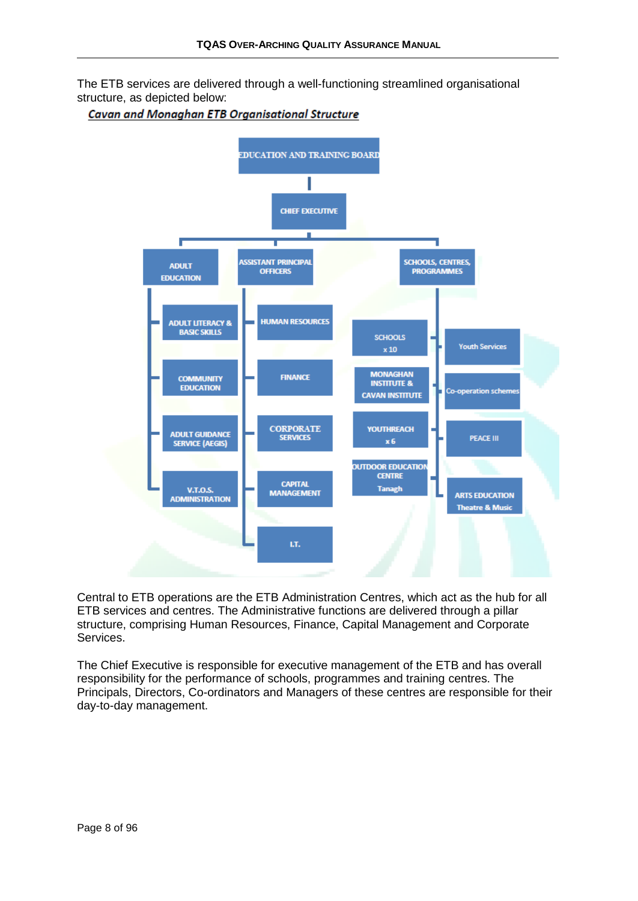The ETB services are delivered through a well-functioning streamlined organisational structure, as depicted below:

#### Cavan and Monaghan ETB Organisational Structure



Central to ETB operations are the ETB Administration Centres, which act as the hub for all ETB services and centres. The Administrative functions are delivered through a pillar structure, comprising Human Resources, Finance, Capital Management and Corporate Services.

The Chief Executive is responsible for executive management of the ETB and has overall responsibility for the performance of schools, programmes and training centres. The Principals, Directors, Co-ordinators and Managers of these centres are responsible for their day-to-day management.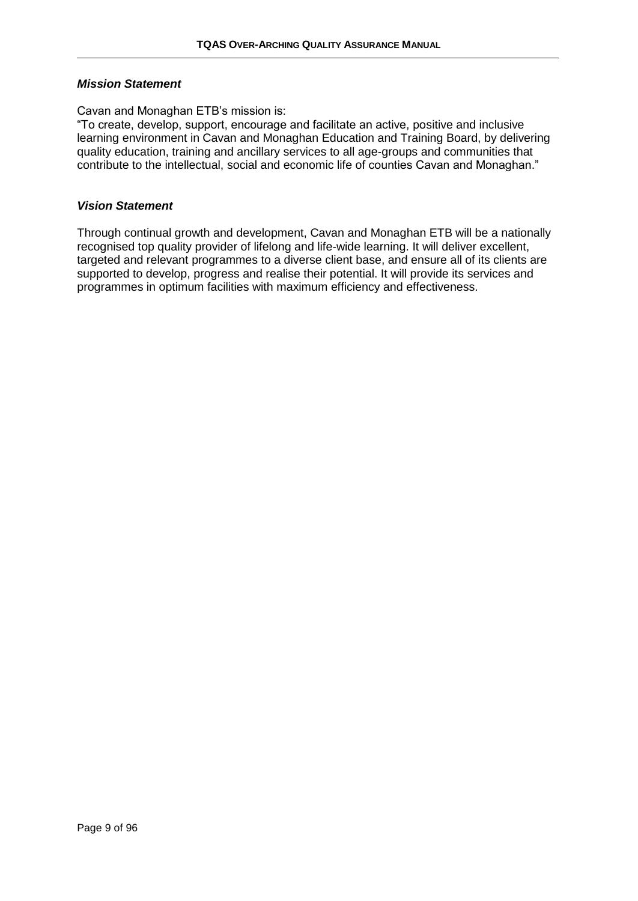#### *Mission Statement*

Cavan and Monaghan ETB's mission is:

"To create, develop, support, encourage and facilitate an active, positive and inclusive learning environment in Cavan and Monaghan Education and Training Board, by delivering quality education, training and ancillary services to all age-groups and communities that contribute to the intellectual, social and economic life of counties Cavan and Monaghan."

#### *Vision Statement*

Through continual growth and development, Cavan and Monaghan ETB will be a nationally recognised top quality provider of lifelong and life-wide learning. It will deliver excellent, targeted and relevant programmes to a diverse client base, and ensure all of its clients are supported to develop, progress and realise their potential. It will provide its services and programmes in optimum facilities with maximum efficiency and effectiveness.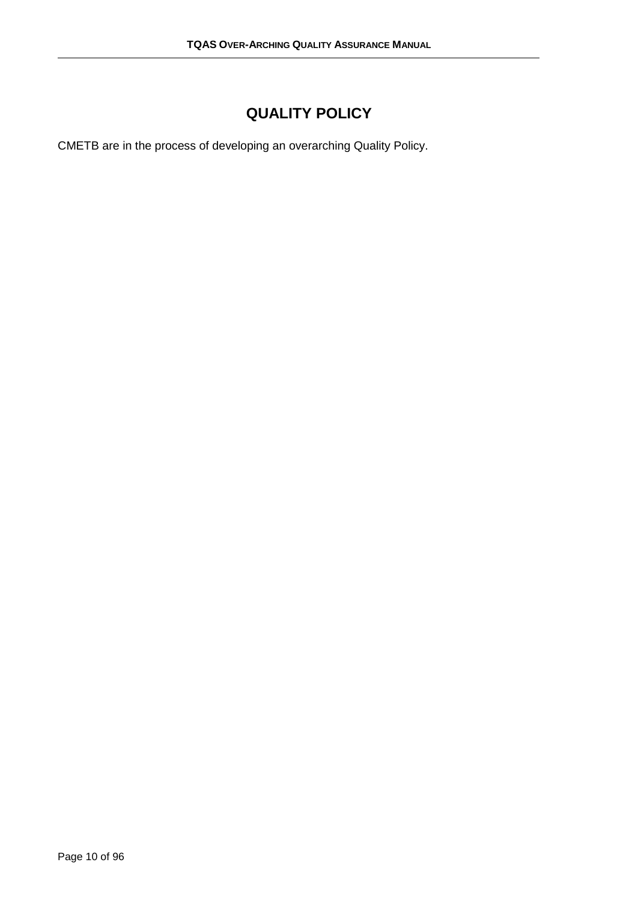## **QUALITY POLICY**

<span id="page-9-0"></span>CMETB are in the process of developing an overarching Quality Policy.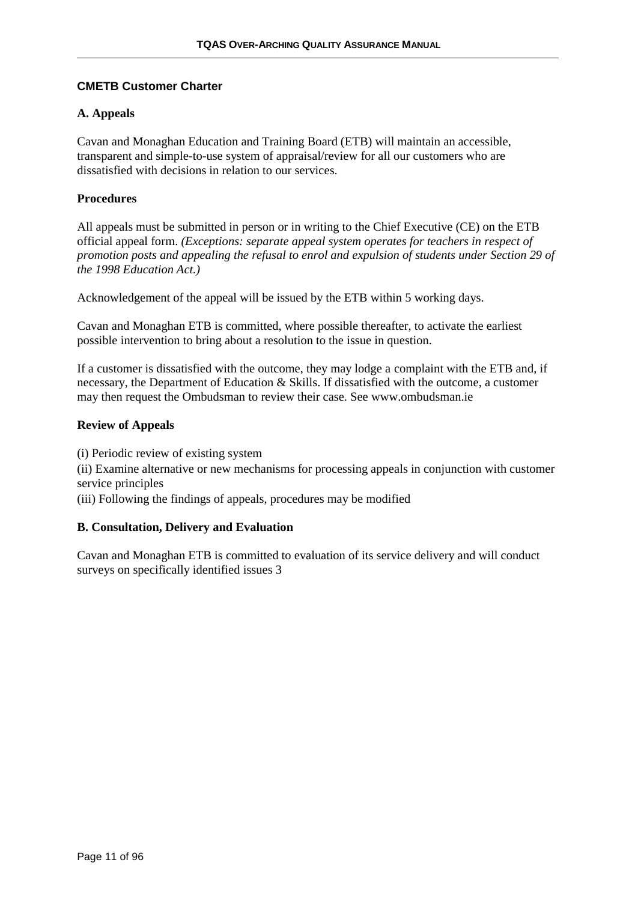#### <span id="page-10-0"></span>**CMETB Customer Charter**

#### **A. Appeals**

Cavan and Monaghan Education and Training Board (ETB) will maintain an accessible, transparent and simple-to-use system of appraisal/review for all our customers who are dissatisfied with decisions in relation to our services.

#### **Procedures**

All appeals must be submitted in person or in writing to the Chief Executive (CE) on the ETB official appeal form. *(Exceptions: separate appeal system operates for teachers in respect of promotion posts and appealing the refusal to enrol and expulsion of students under Section 29 of the 1998 Education Act.)* 

Acknowledgement of the appeal will be issued by the ETB within 5 working days.

Cavan and Monaghan ETB is committed, where possible thereafter, to activate the earliest possible intervention to bring about a resolution to the issue in question.

If a customer is dissatisfied with the outcome, they may lodge a complaint with the ETB and, if necessary, the Department of Education & Skills. If dissatisfied with the outcome, a customer may then request the Ombudsman to review their case. See www.ombudsman.ie

#### **Review of Appeals**

(i) Periodic review of existing system

(ii) Examine alternative or new mechanisms for processing appeals in conjunction with customer service principles

(iii) Following the findings of appeals, procedures may be modified

#### **B. Consultation, Delivery and Evaluation**

Cavan and Monaghan ETB is committed to evaluation of its service delivery and will conduct surveys on specifically identified issues 3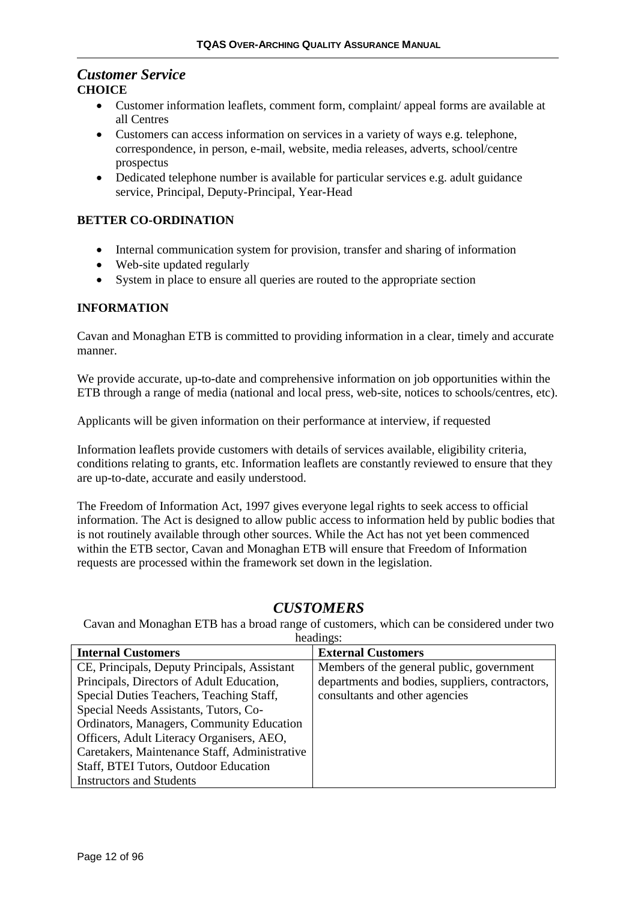## *Customer Service*

#### **CHOICE**

- Customer information leaflets, comment form, complaint/ appeal forms are available at all Centres
- Customers can access information on services in a variety of ways e.g. telephone, correspondence, in person, e-mail, website, media releases, adverts, school/centre prospectus
- Dedicated telephone number is available for particular services e.g. adult guidance service, Principal, Deputy-Principal, Year-Head

#### **BETTER CO-ORDINATION**

- Internal communication system for provision, transfer and sharing of information
- Web-site updated regularly
- System in place to ensure all queries are routed to the appropriate section

#### **INFORMATION**

Cavan and Monaghan ETB is committed to providing information in a clear, timely and accurate manner.

We provide accurate, up-to-date and comprehensive information on job opportunities within the ETB through a range of media (national and local press, web-site, notices to schools/centres, etc).

Applicants will be given information on their performance at interview, if requested

Information leaflets provide customers with details of services available, eligibility criteria, conditions relating to grants, etc. Information leaflets are constantly reviewed to ensure that they are up-to-date, accurate and easily understood.

The Freedom of Information Act, 1997 gives everyone legal rights to seek access to official information. The Act is designed to allow public access to information held by public bodies that is not routinely available through other sources. While the Act has not yet been commenced within the ETB sector, Cavan and Monaghan ETB will ensure that Freedom of Information requests are processed within the framework set down in the legislation.

#### *CUSTOMERS*

Cavan and Monaghan ETB has a broad range of customers, which can be considered under two headings:

| $\cdots$                                      |                                                 |  |  |
|-----------------------------------------------|-------------------------------------------------|--|--|
| <b>Internal Customers</b>                     | <b>External Customers</b>                       |  |  |
| CE, Principals, Deputy Principals, Assistant  | Members of the general public, government       |  |  |
| Principals, Directors of Adult Education,     | departments and bodies, suppliers, contractors, |  |  |
| Special Duties Teachers, Teaching Staff,      | consultants and other agencies                  |  |  |
| Special Needs Assistants, Tutors, Co-         |                                                 |  |  |
| Ordinators, Managers, Community Education     |                                                 |  |  |
| Officers, Adult Literacy Organisers, AEO,     |                                                 |  |  |
| Caretakers, Maintenance Staff, Administrative |                                                 |  |  |
| Staff, BTEI Tutors, Outdoor Education         |                                                 |  |  |
| <b>Instructors and Students</b>               |                                                 |  |  |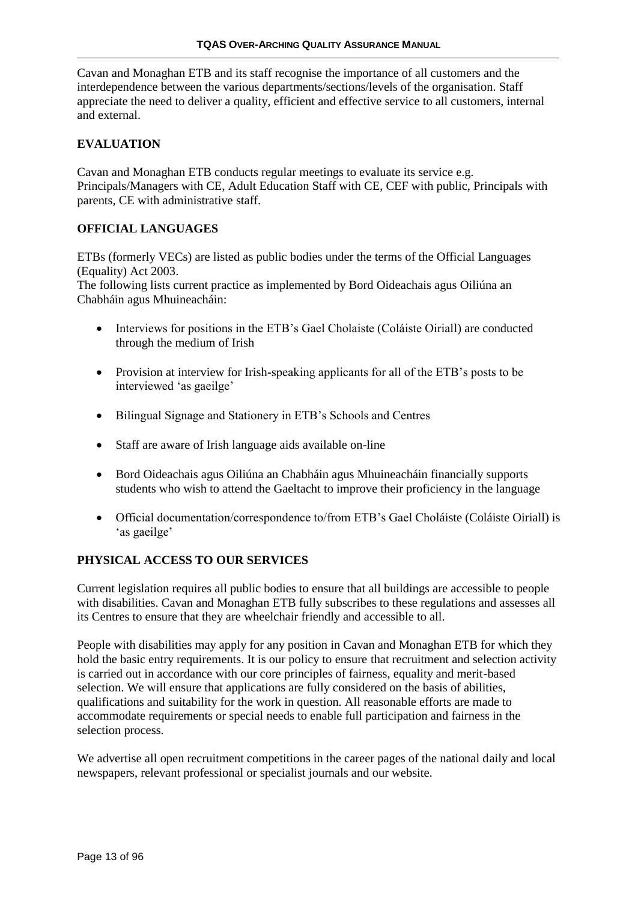Cavan and Monaghan ETB and its staff recognise the importance of all customers and the interdependence between the various departments/sections/levels of the organisation. Staff appreciate the need to deliver a quality, efficient and effective service to all customers, internal and external.

#### **EVALUATION**

Cavan and Monaghan ETB conducts regular meetings to evaluate its service e.g. Principals/Managers with CE, Adult Education Staff with CE, CEF with public, Principals with parents, CE with administrative staff.

#### **OFFICIAL LANGUAGES**

ETBs (formerly VECs) are listed as public bodies under the terms of the Official Languages (Equality) Act 2003.

The following lists current practice as implemented by Bord Oideachais agus Oiliúna an Chabháin agus Mhuineacháin:

- Interviews for positions in the ETB's Gael Cholaiste (Coláiste Oiriall) are conducted through the medium of Irish
- Provision at interview for Irish-speaking applicants for all of the ETB's posts to be interviewed 'as gaeilge'
- Bilingual Signage and Stationery in ETB's Schools and Centres
- Staff are aware of Irish language aids available on-line
- Bord Oideachais agus Oiliúna an Chabháin agus Mhuineacháin financially supports students who wish to attend the Gaeltacht to improve their proficiency in the language
- Official documentation/correspondence to/from ETB's Gael Choláiste (Coláiste Oiriall) is 'as gaeilge'

#### **PHYSICAL ACCESS TO OUR SERVICES**

Current legislation requires all public bodies to ensure that all buildings are accessible to people with disabilities. Cavan and Monaghan ETB fully subscribes to these regulations and assesses all its Centres to ensure that they are wheelchair friendly and accessible to all.

People with disabilities may apply for any position in Cavan and Monaghan ETB for which they hold the basic entry requirements. It is our policy to ensure that recruitment and selection activity is carried out in accordance with our core principles of fairness, equality and merit-based selection. We will ensure that applications are fully considered on the basis of abilities, qualifications and suitability for the work in question. All reasonable efforts are made to accommodate requirements or special needs to enable full participation and fairness in the selection process.

We advertise all open recruitment competitions in the career pages of the national daily and local newspapers, relevant professional or specialist journals and our website.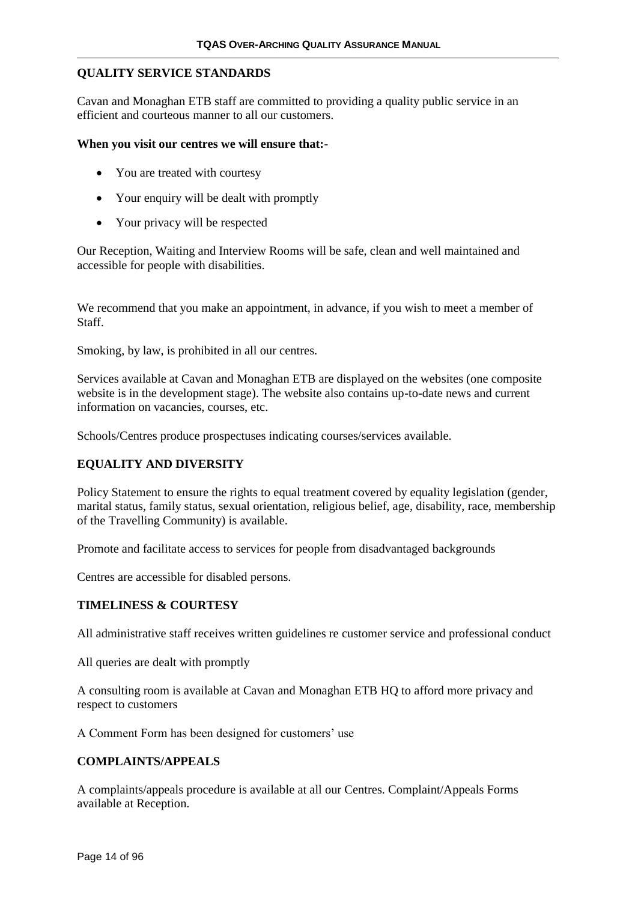#### **QUALITY SERVICE STANDARDS**

Cavan and Monaghan ETB staff are committed to providing a quality public service in an efficient and courteous manner to all our customers.

#### **When you visit our centres we will ensure that:-**

- You are treated with courtesy
- Your enquiry will be dealt with promptly
- Your privacy will be respected

Our Reception, Waiting and Interview Rooms will be safe, clean and well maintained and accessible for people with disabilities.

We recommend that you make an appointment, in advance, if you wish to meet a member of Staff.

Smoking, by law, is prohibited in all our centres.

Services available at Cavan and Monaghan ETB are displayed on the websites (one composite website is in the development stage). The website also contains up-to-date news and current information on vacancies, courses, etc.

Schools/Centres produce prospectuses indicating courses/services available.

#### **EQUALITY AND DIVERSITY**

Policy Statement to ensure the rights to equal treatment covered by equality legislation (gender, marital status, family status, sexual orientation, religious belief, age, disability, race, membership of the Travelling Community) is available.

Promote and facilitate access to services for people from disadvantaged backgrounds

Centres are accessible for disabled persons.

#### **TIMELINESS & COURTESY**

All administrative staff receives written guidelines re customer service and professional conduct

All queries are dealt with promptly

A consulting room is available at Cavan and Monaghan ETB HQ to afford more privacy and respect to customers

A Comment Form has been designed for customers' use

#### **COMPLAINTS/APPEALS**

A complaints/appeals procedure is available at all our Centres. Complaint/Appeals Forms available at Reception.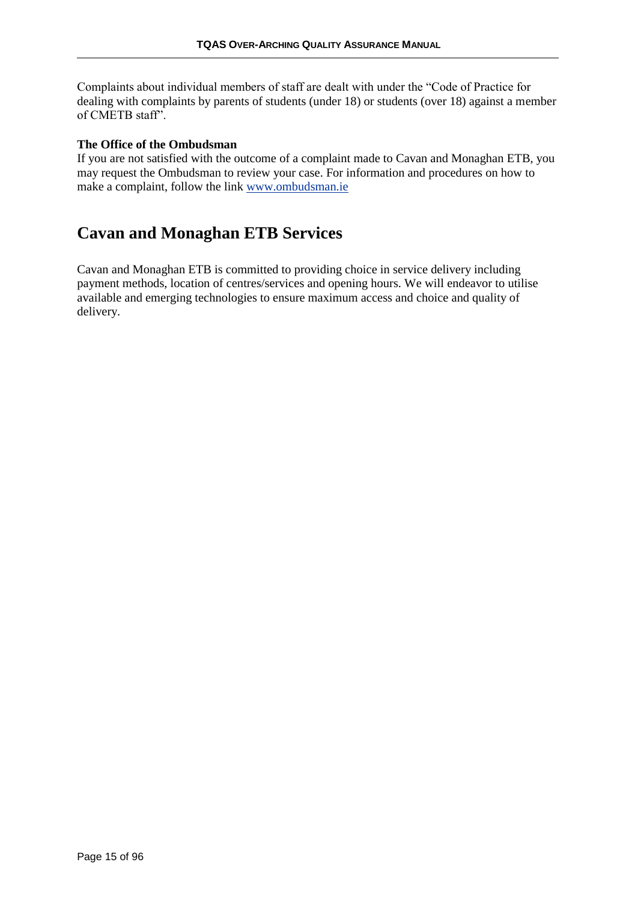Complaints about individual members of staff are dealt with under the "Code of Practice for dealing with complaints by parents of students (under 18) or students (over 18) against a member of CMETB staff".

#### **The Office of the Ombudsman**

If you are not satisfied with the outcome of a complaint made to Cavan and Monaghan ETB, you may request the Ombudsman to review your case. For information and procedures on how to make a complaint, follow the link [www.ombudsman.ie](http://www.ombudsman.ie/)

## **Cavan and Monaghan ETB Services**

Cavan and Monaghan ETB is committed to providing choice in service delivery including payment methods, location of centres/services and opening hours. We will endeavor to utilise available and emerging technologies to ensure maximum access and choice and quality of delivery.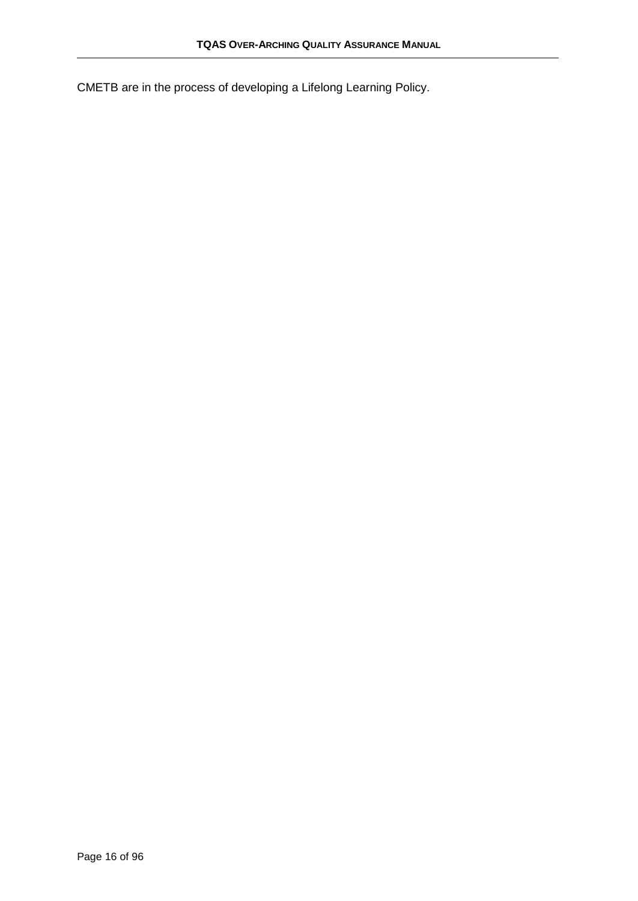CMETB are in the process of developing a Lifelong Learning Policy.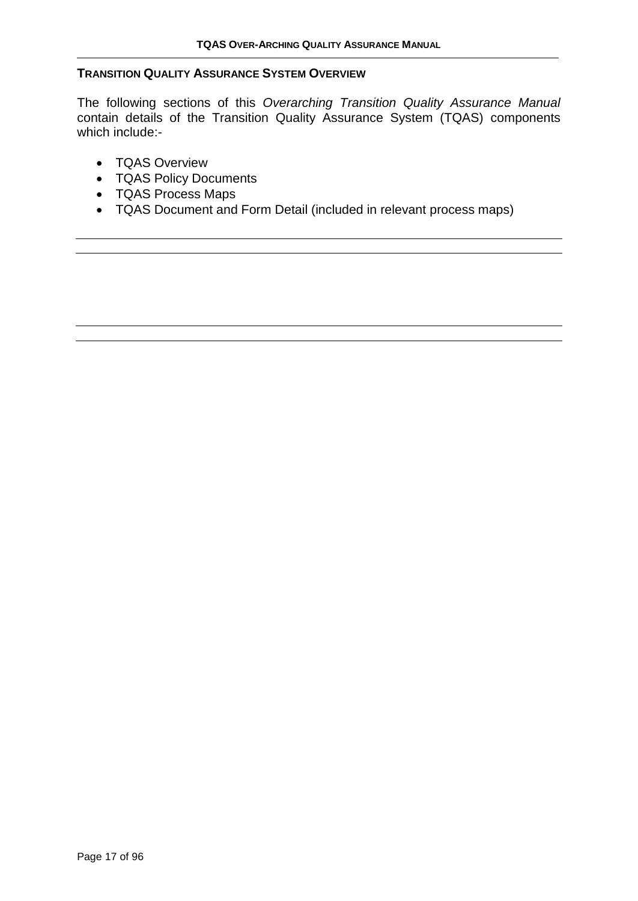#### <span id="page-16-0"></span>**TRANSITION QUALITY ASSURANCE SYSTEM OVERVIEW**

The following sections of this *Overarching Transition Quality Assurance Manual*  contain details of the Transition Quality Assurance System (TQAS) components which include:-

- TQAS Overview
- TQAS Policy Documents
- TQAS Process Maps
- TQAS Document and Form Detail (included in relevant process maps)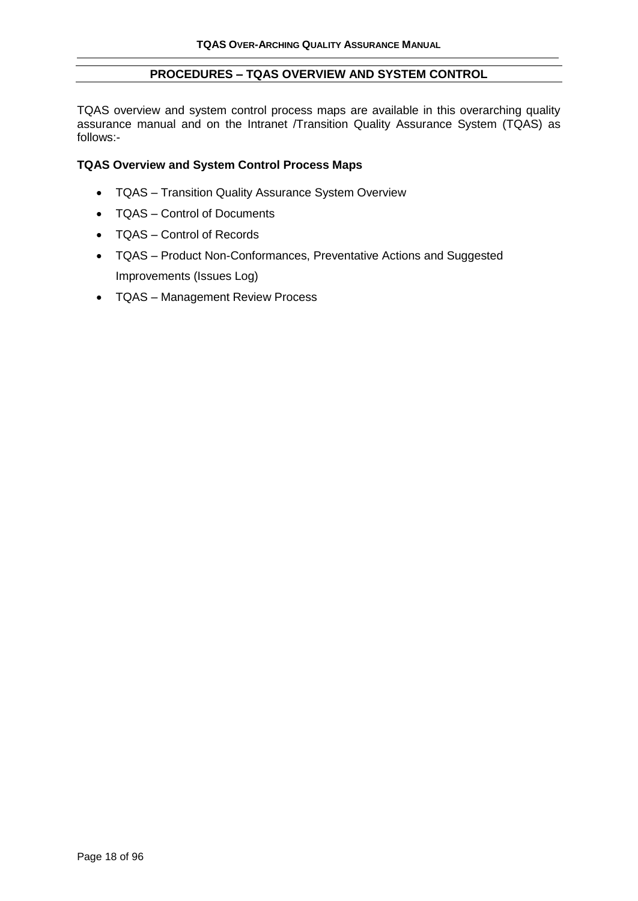#### **PROCEDURES – TQAS OVERVIEW AND SYSTEM CONTROL**

TQAS overview and system control process maps are available in this overarching quality assurance manual and on the Intranet /Transition Quality Assurance System (TQAS) as follows:-

#### **TQAS Overview and System Control Process Maps**

- TQAS Transition Quality Assurance System Overview
- TQAS Control of Documents
- TQAS Control of Records
- TQAS Product Non-Conformances, Preventative Actions and Suggested Improvements (Issues Log)
- TQAS Management Review Process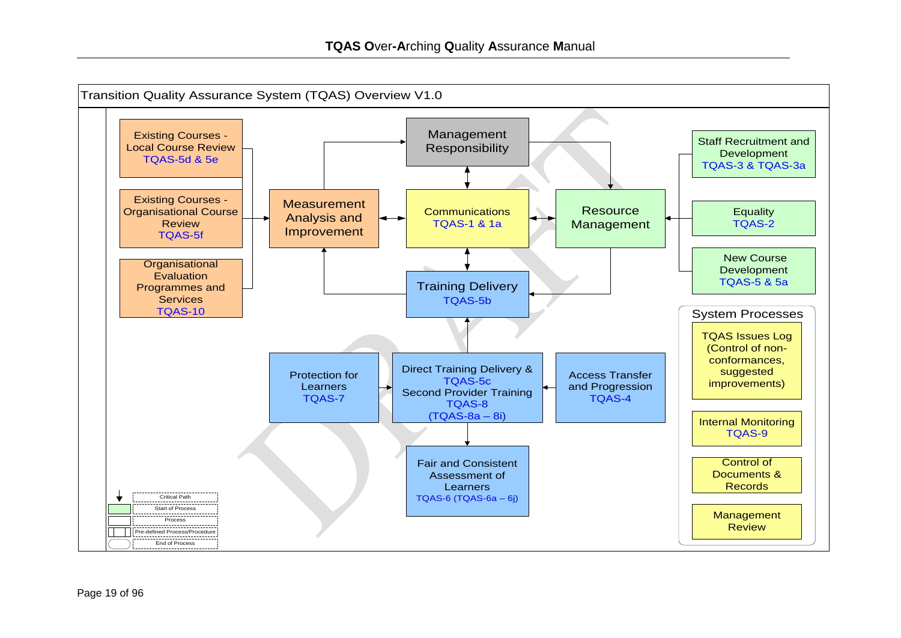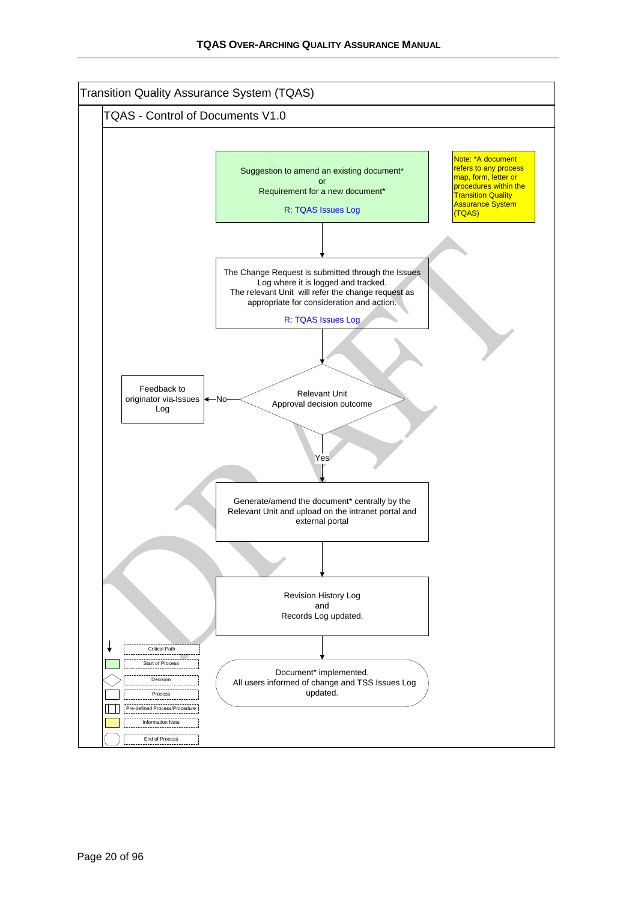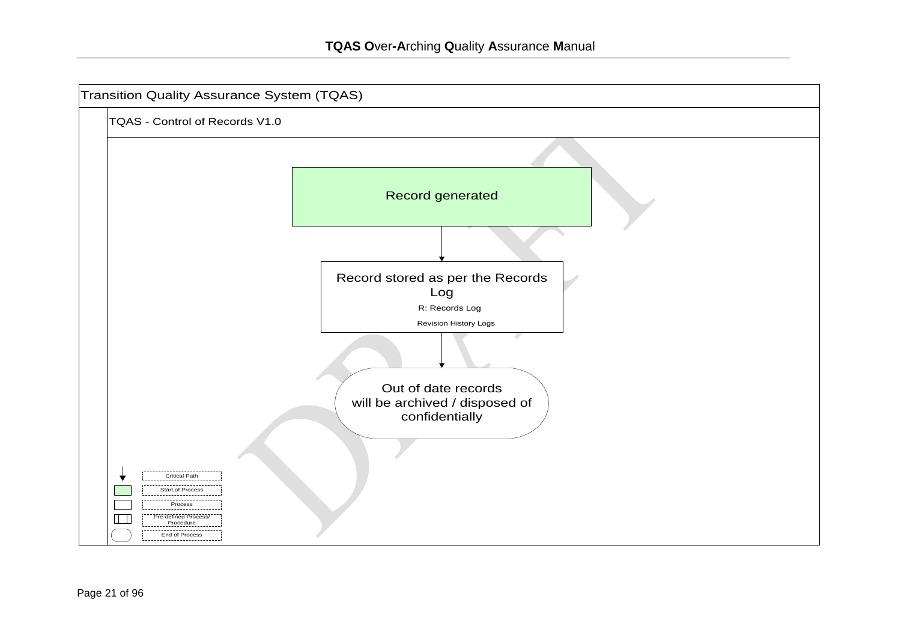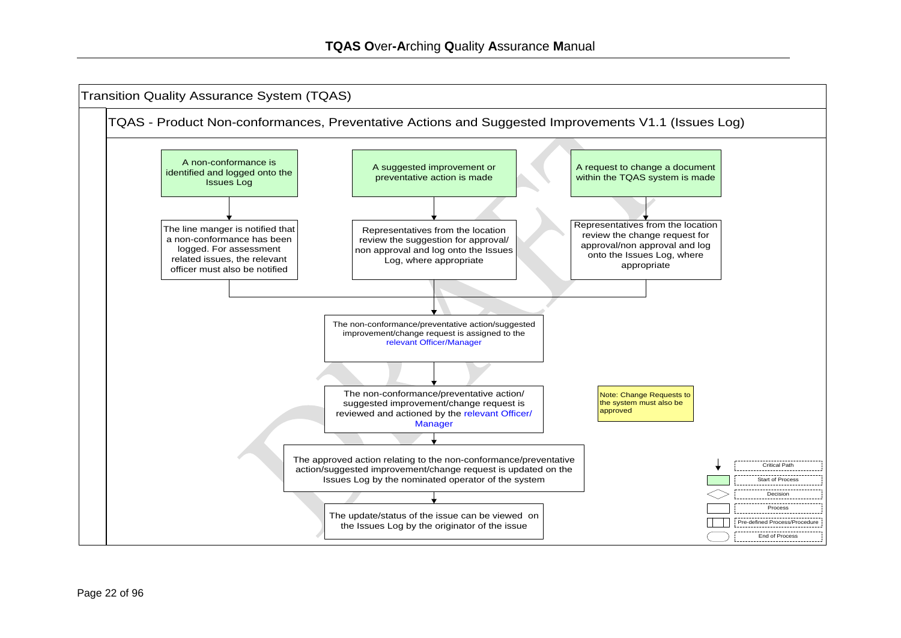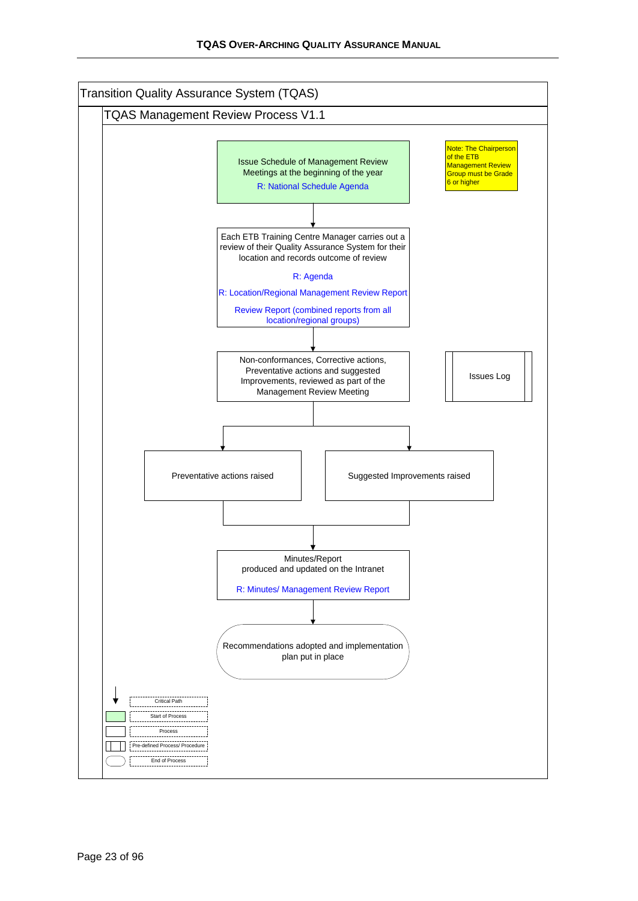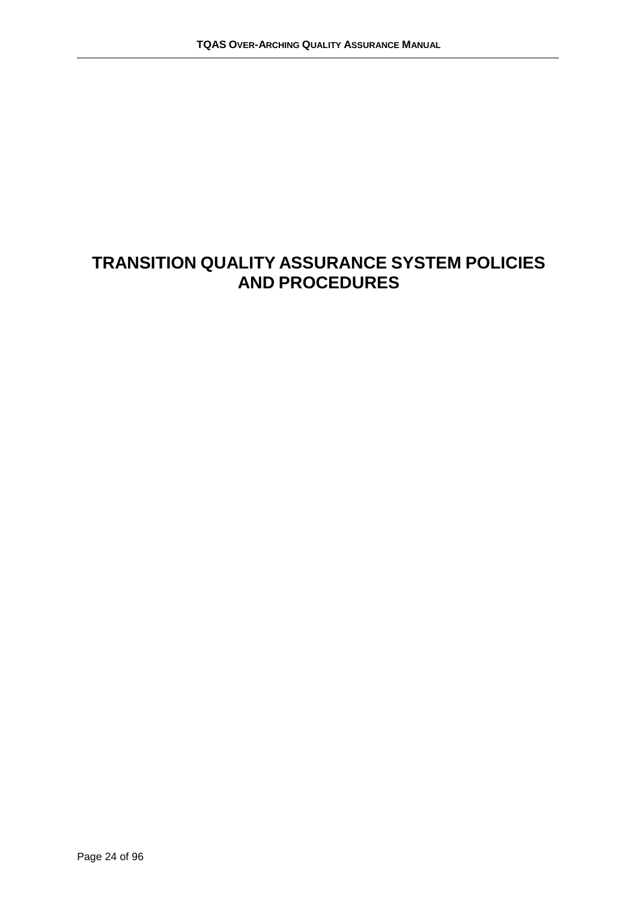## **TRANSITION QUALITY ASSURANCE SYSTEM POLICIES AND PROCEDURES**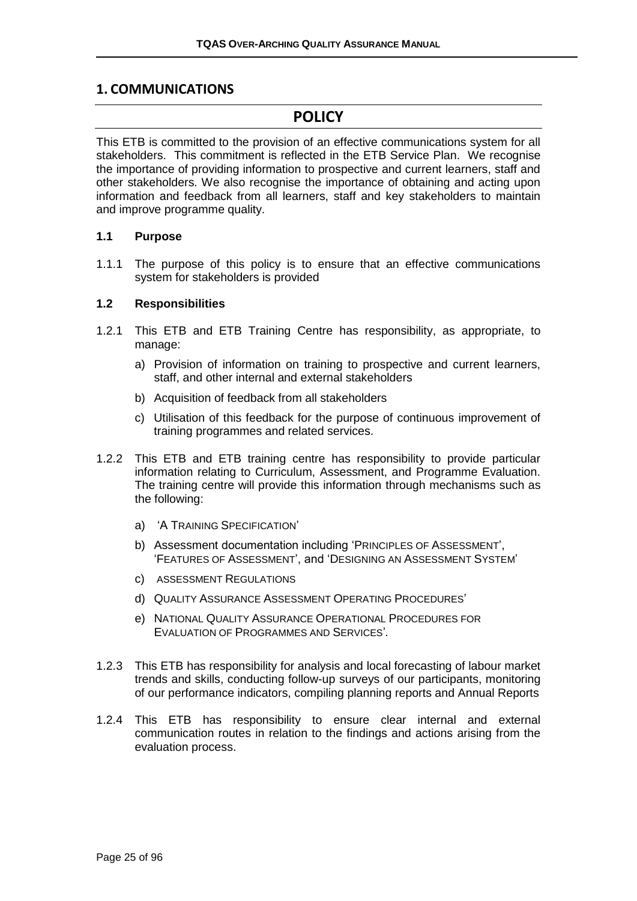#### <span id="page-24-0"></span>**1. COMMUNICATIONS**

## **POLICY**

This ETB is committed to the provision of an effective communications system for all stakeholders. This commitment is reflected in the ETB Service Plan. We recognise the importance of providing information to prospective and current learners, staff and other stakeholders. We also recognise the importance of obtaining and acting upon information and feedback from all learners, staff and key stakeholders to maintain and improve programme quality.

#### **1.1 Purpose**

1.1.1 The purpose of this policy is to ensure that an effective communications system for stakeholders is provided

#### **1.2 Responsibilities**

- 1.2.1 This ETB and ETB Training Centre has responsibility, as appropriate, to manage:
	- a) Provision of information on training to prospective and current learners, staff, and other internal and external stakeholders
	- b) Acquisition of feedback from all stakeholders
	- c) Utilisation of this feedback for the purpose of continuous improvement of training programmes and related services.
- 1.2.2 This ETB and ETB training centre has responsibility to provide particular information relating to Curriculum, Assessment, and Programme Evaluation. The training centre will provide this information through mechanisms such as the following:
	- a) 'A TRAINING SPECIFICATION'
	- b) Assessment documentation including 'PRINCIPLES OF ASSESSMENT', 'FEATURES OF ASSESSMENT', and 'DESIGNING AN ASSESSMENT SYSTEM'
	- c) ASSESSMENT REGULATIONS
	- d) QUALITY ASSURANCE ASSESSMENT OPERATING PROCEDURES'
	- e) NATIONAL QUALITY ASSURANCE OPERATIONAL PROCEDURES FOR EVALUATION OF PROGRAMMES AND SERVICES'*.*
- 1.2.3 This ETB has responsibility for analysis and local forecasting of labour market trends and skills, conducting follow-up surveys of our participants, monitoring of our performance indicators, compiling planning reports and Annual Reports
- 1.2.4 This ETB has responsibility to ensure clear internal and external communication routes in relation to the findings and actions arising from the evaluation process.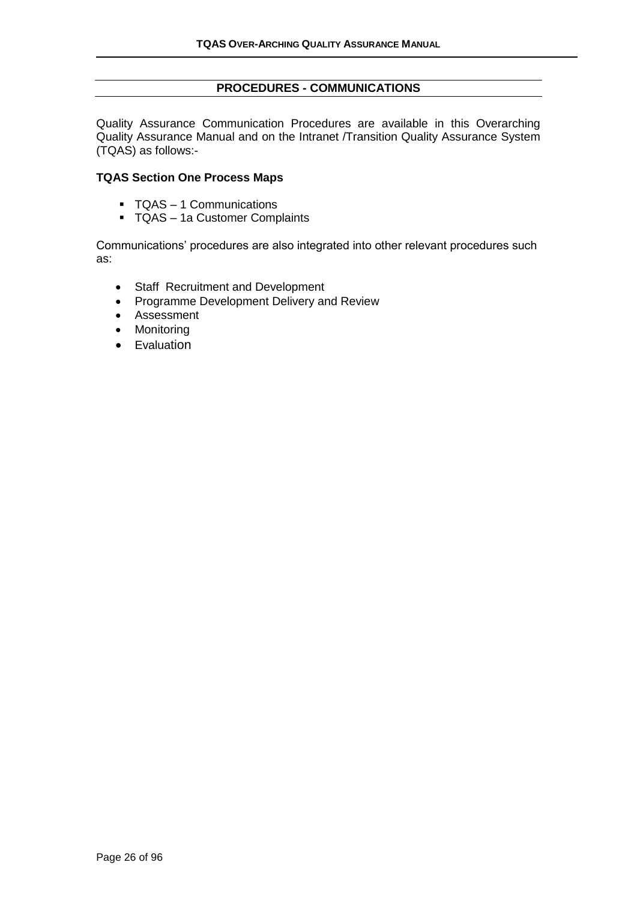#### **PROCEDURES - COMMUNICATIONS**

<span id="page-25-0"></span>Quality Assurance Communication Procedures are available in this Overarching Quality Assurance Manual and on the Intranet /Transition Quality Assurance System (TQAS) as follows:-

#### **TQAS Section One Process Maps**

- TQAS 1 Communications
- TQAS 1a Customer Complaints

Communications' procedures are also integrated into other relevant procedures such as:

- Staff Recruitment and Development
- Programme Development Delivery and Review
- Assessment
- Monitoring
- Evaluation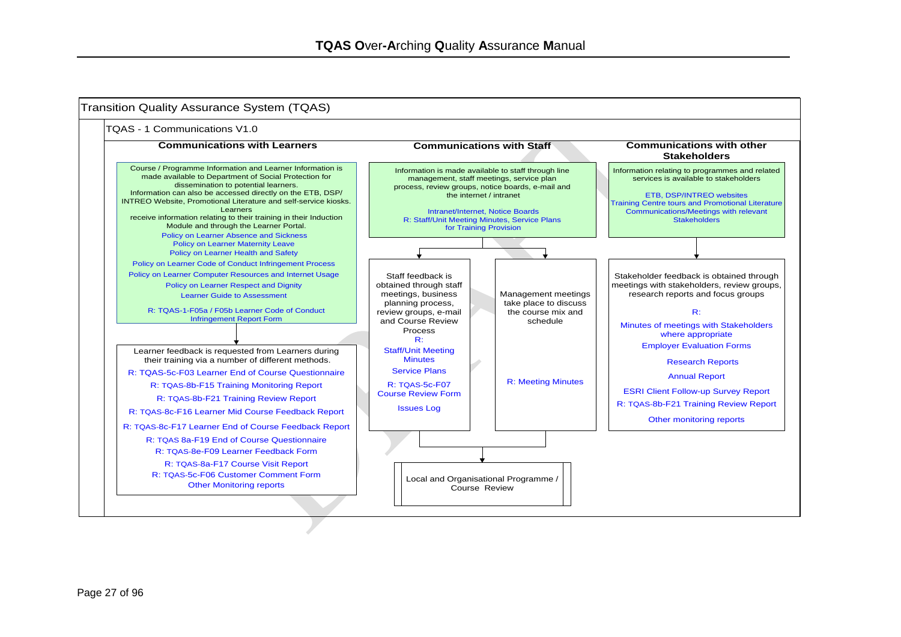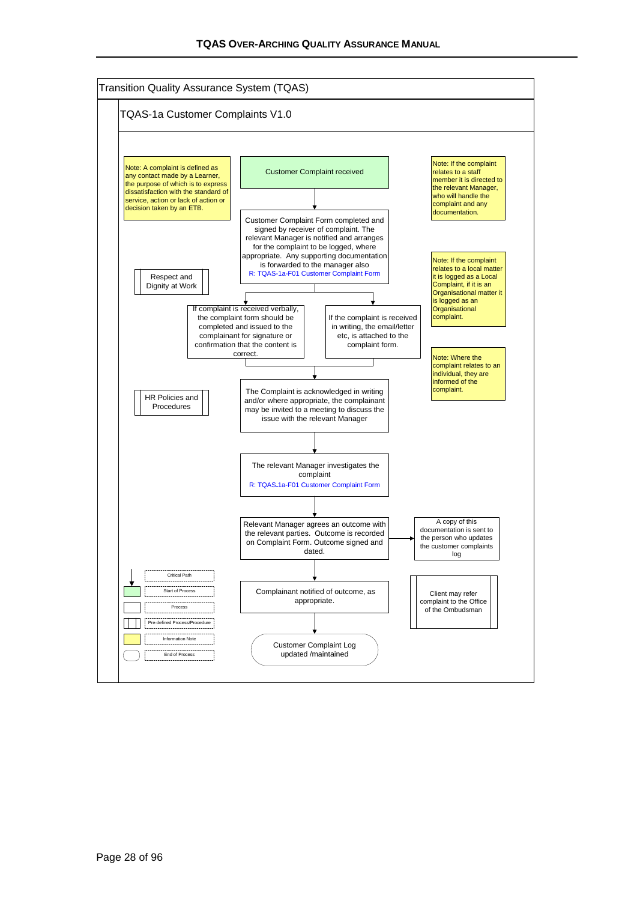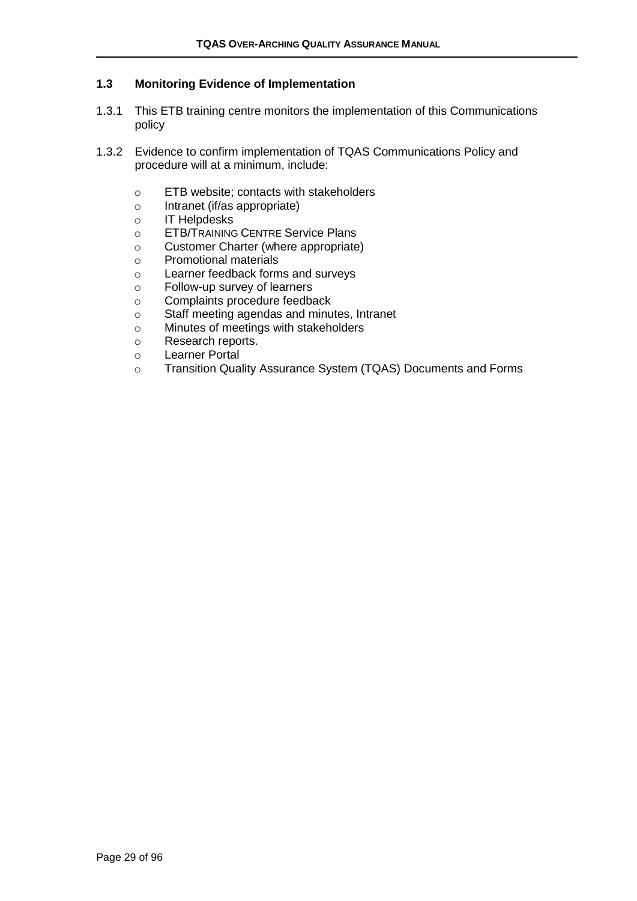#### **1.3 Monitoring Evidence of Implementation**

- 1.3.1 This ETB training centre monitors the implementation of this Communications policy
- 1.3.2 Evidence to confirm implementation of TQAS Communications Policy and procedure will at a minimum, include:
	- o ETB website; contacts with stakeholders
	- o Intranet (if/as appropriate)
	- o IT Helpdesks
	- o ETB/TRAINING CENTRE Service Plans
	- o Customer Charter (where appropriate)
	- o Promotional materials
	- o Learner feedback forms and surveys
	- o Follow-up survey of learners
	- o Complaints procedure feedback
	- o Staff meeting agendas and minutes, Intranet
	- o Minutes of meetings with stakeholders
	- o Research reports.
	- o Learner Portal
	- o Transition Quality Assurance System (TQAS) Documents and Forms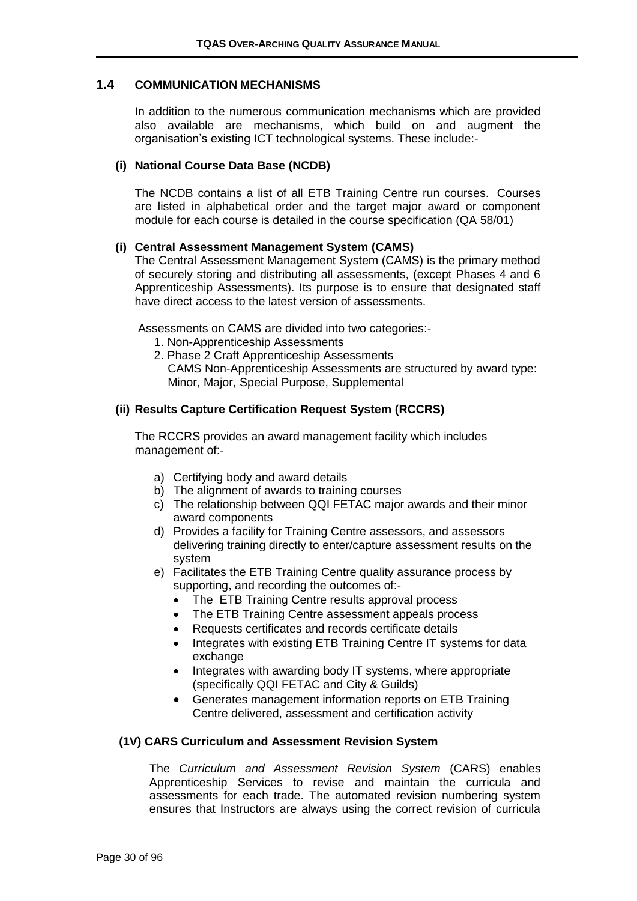#### **1.4 COMMUNICATION MECHANISMS**

In addition to the numerous communication mechanisms which are provided also available are mechanisms, which build on and augment the organisation's existing ICT technological systems. These include:-

#### **(i) National Course Data Base (NCDB)**

The NCDB contains a list of all ETB Training Centre run courses. Courses are listed in alphabetical order and the target major award or component module for each course is detailed in the course specification (QA 58/01)

#### **(i) Central Assessment Management System (CAMS)**

The Central Assessment Management System (CAMS) is the primary method of securely storing and distributing all assessments, (except Phases 4 and 6 Apprenticeship Assessments). Its purpose is to ensure that designated staff have direct access to the latest version of assessments.

Assessments on CAMS are divided into two categories:-

- 1. Non-Apprenticeship Assessments
- 2. Phase 2 Craft Apprenticeship Assessments CAMS Non-Apprenticeship Assessments are structured by award type: Minor, Major, Special Purpose, Supplemental

#### **(ii) Results Capture Certification Request System (RCCRS)**

The RCCRS provides an award management facility which includes management of:-

- a) Certifying body and award details
- b) The alignment of awards to training courses
- c) The relationship between QQI FETAC major awards and their minor award components
- d) Provides a facility for Training Centre assessors, and assessors delivering training directly to enter/capture assessment results on the system
- e) Facilitates the ETB Training Centre quality assurance process by supporting, and recording the outcomes of:-
	- The ETB Training Centre results approval process
	- The ETB Training Centre assessment appeals process
	- Requests certificates and records certificate details
	- Integrates with existing ETB Training Centre IT systems for data exchange
	- Integrates with awarding body IT systems, where appropriate (specifically QQI FETAC and City & Guilds)
	- Generates management information reports on ETB Training Centre delivered, assessment and certification activity

#### **(1V) CARS Curriculum and Assessment Revision System**

The *Curriculum and Assessment Revision System* (CARS) enables Apprenticeship Services to revise and maintain the curricula and assessments for each trade. The automated revision numbering system ensures that Instructors are always using the correct revision of curricula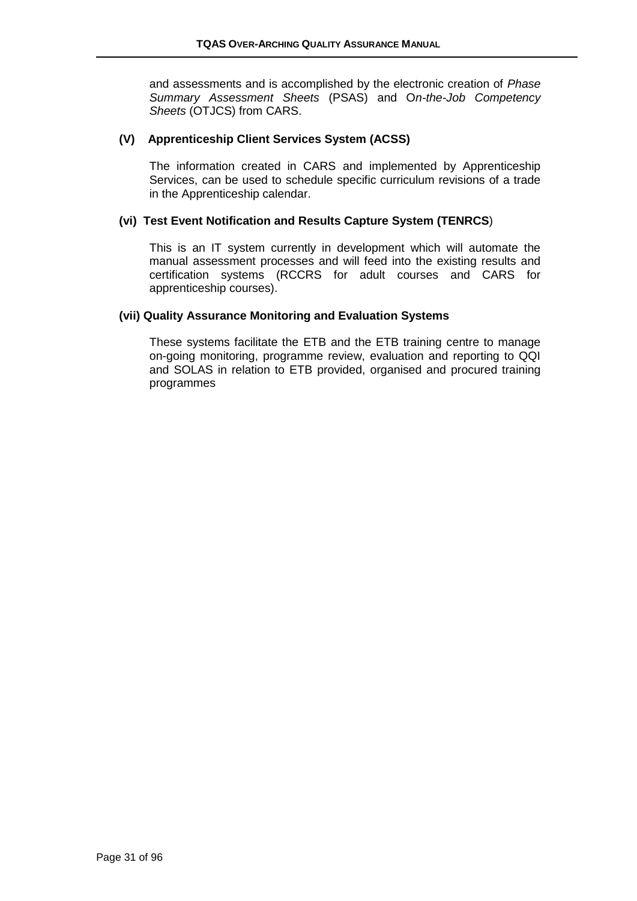and assessments and is accomplished by the electronic creation of *Phase Summary Assessment Sheets* (PSAS) and O*n-the-Job Competency Sheets* (OTJCS) from CARS.

#### **(V) Apprenticeship Client Services System (ACSS)**

The information created in CARS and implemented by Apprenticeship Services, can be used to schedule specific curriculum revisions of a trade in the Apprenticeship calendar.

#### **(vi) Test Event Notification and Results Capture System (TENRCS**)

This is an IT system currently in development which will automate the manual assessment processes and will feed into the existing results and certification systems (RCCRS for adult courses and CARS for apprenticeship courses).

#### **(vii) Quality Assurance Monitoring and Evaluation Systems**

These systems facilitate the ETB and the ETB training centre to manage on-going monitoring, programme review, evaluation and reporting to QQI and SOLAS in relation to ETB provided, organised and procured training programmes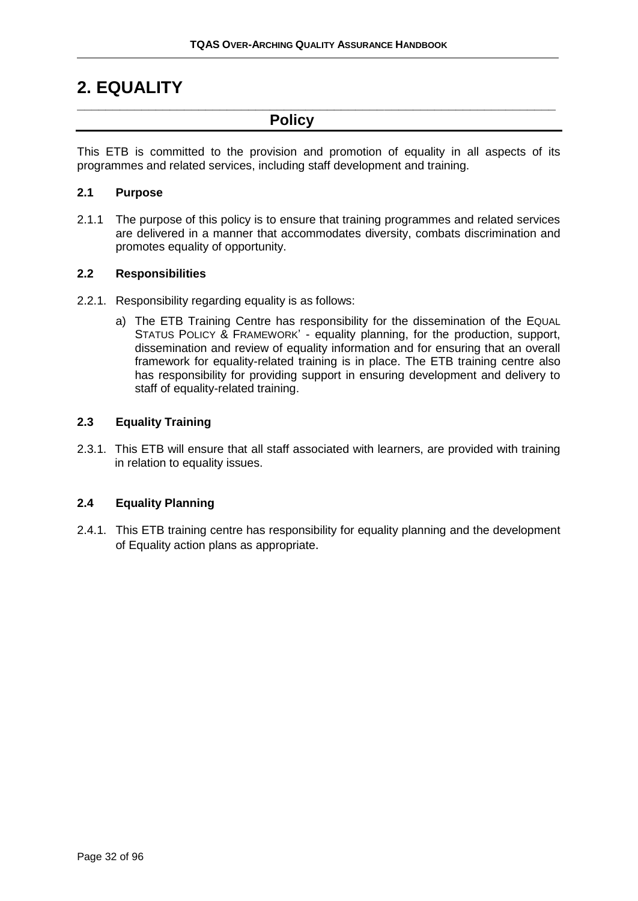## <span id="page-31-0"></span>**2. EQUALITY**

**Policy**

This ETB is committed to the provision and promotion of equality in all aspects of its programmes and related services, including staff development and training.

**\_\_\_\_\_\_\_\_\_\_\_\_\_\_\_\_\_\_\_\_\_\_\_\_\_\_\_\_\_\_\_\_\_\_\_\_\_\_\_\_\_\_\_\_\_\_\_\_\_\_\_\_\_\_\_\_\_\_\_\_\_\_\_\_\_\_\_**

#### **2.1 Purpose**

2.1.1 The purpose of this policy is to ensure that training programmes and related services are delivered in a manner that accommodates diversity, combats discrimination and promotes equality of opportunity.

#### **2.2 Responsibilities**

- 2.2.1. Responsibility regarding equality is as follows:
	- a) The ETB Training Centre has responsibility for the dissemination of the EQUAL STATUS POLICY & FRAMEWORK' - equality planning, for the production, support, dissemination and review of equality information and for ensuring that an overall framework for equality-related training is in place. The ETB training centre also has responsibility for providing support in ensuring development and delivery to staff of equality-related training.

#### **2.3 Equality Training**

2.3.1. This ETB will ensure that all staff associated with learners, are provided with training in relation to equality issues.

#### **2.4 Equality Planning**

2.4.1. This ETB training centre has responsibility for equality planning and the development of Equality action plans as appropriate.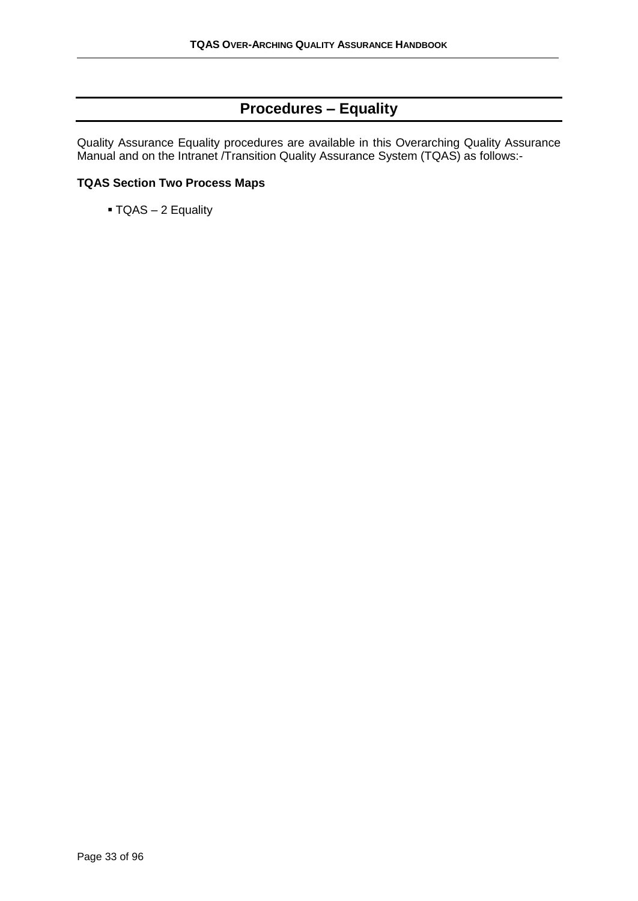## **Procedures – Equality**

<span id="page-32-0"></span>Quality Assurance Equality procedures are available in this Overarching Quality Assurance Manual and on the Intranet /Transition Quality Assurance System (TQAS) as follows:-

#### **TQAS Section Two Process Maps**

▪ TQAS – 2 Equality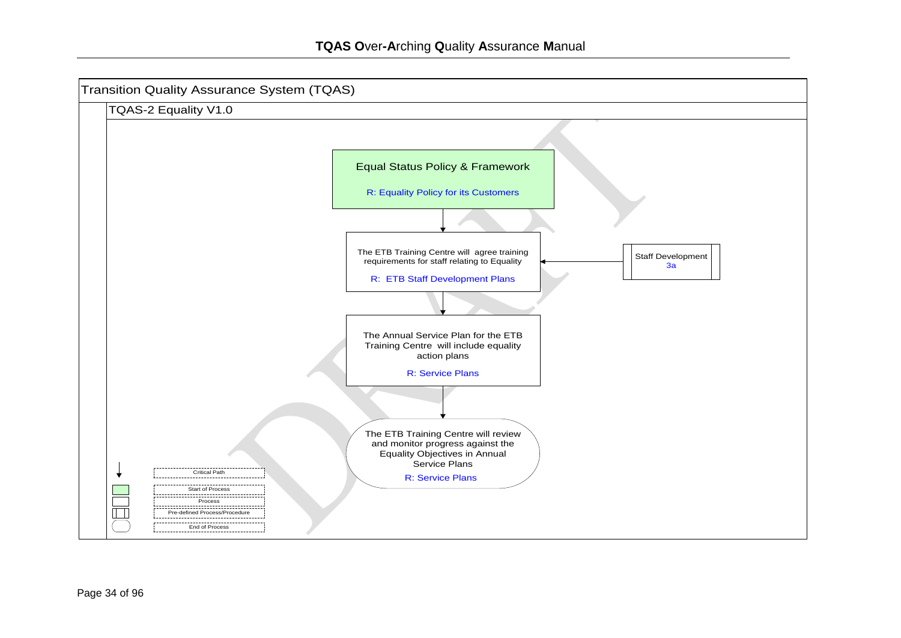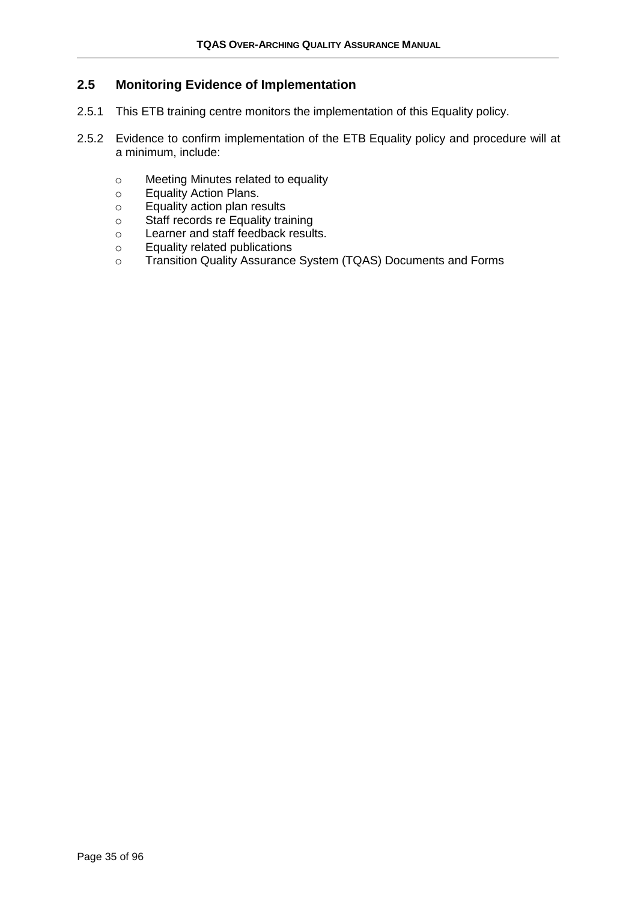#### **2.5 Monitoring Evidence of Implementation**

- 2.5.1 This ETB training centre monitors the implementation of this Equality policy.
- 2.5.2 Evidence to confirm implementation of the ETB Equality policy and procedure will at a minimum, include:
	- o Meeting Minutes related to equality
	- o Equality Action Plans.
	- o Equality action plan results
	- o Staff records re Equality training
	- o Learner and staff feedback results.
	- o Equality related publications
	- o Transition Quality Assurance System (TQAS) Documents and Forms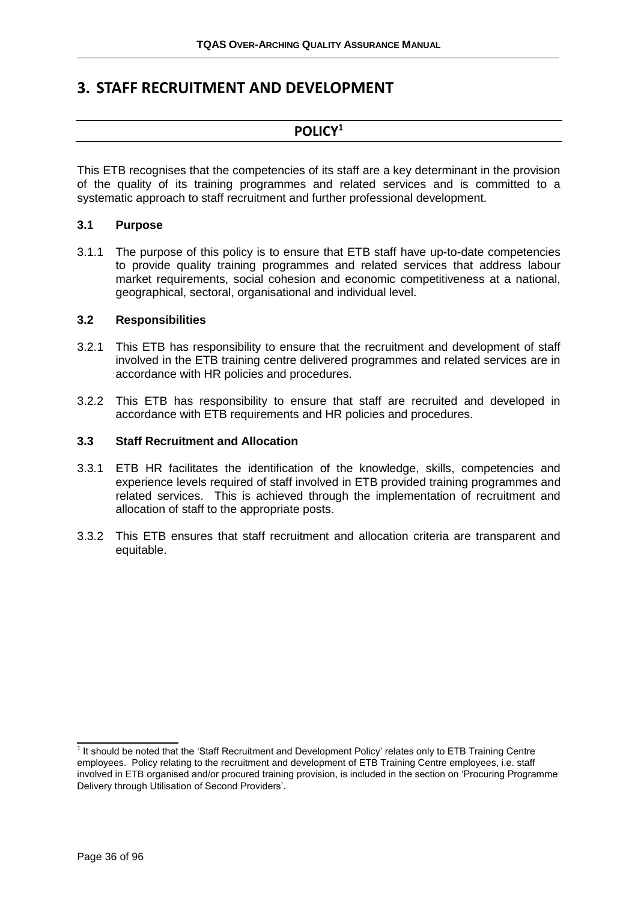## <span id="page-35-0"></span>**3. STAFF RECRUITMENT AND DEVELOPMENT**

#### **POLICY<sup>1</sup>**

This ETB recognises that the competencies of its staff are a key determinant in the provision of the quality of its training programmes and related services and is committed to a systematic approach to staff recruitment and further professional development.

#### **3.1 Purpose**

3.1.1 The purpose of this policy is to ensure that ETB staff have up-to-date competencies to provide quality training programmes and related services that address labour market requirements, social cohesion and economic competitiveness at a national, geographical, sectoral, organisational and individual level.

#### **3.2 Responsibilities**

- 3.2.1 This ETB has responsibility to ensure that the recruitment and development of staff involved in the ETB training centre delivered programmes and related services are in accordance with HR policies and procedures.
- 3.2.2 This ETB has responsibility to ensure that staff are recruited and developed in accordance with ETB requirements and HR policies and procedures.

#### **3.3 Staff Recruitment and Allocation**

- 3.3.1 ETB HR facilitates the identification of the knowledge, skills, competencies and experience levels required of staff involved in ETB provided training programmes and related services. This is achieved through the implementation of recruitment and allocation of staff to the appropriate posts.
- 3.3.2 This ETB ensures that staff recruitment and allocation criteria are transparent and equitable.

 $\overline{\phantom{a}}$  , which is a set of the set of the set of the set of the set of the set of the set of the set of the set of the set of the set of the set of the set of the set of the set of the set of the set of the set of th

<sup>&</sup>lt;sup>1</sup> It should be noted that the 'Staff Recruitment and Development Policy' relates only to ETB Training Centre employees. Policy relating to the recruitment and development of ETB Training Centre employees, i.e. staff involved in ETB organised and/or procured training provision, is included in the section on 'Procuring Programme Delivery through Utilisation of Second Providers'.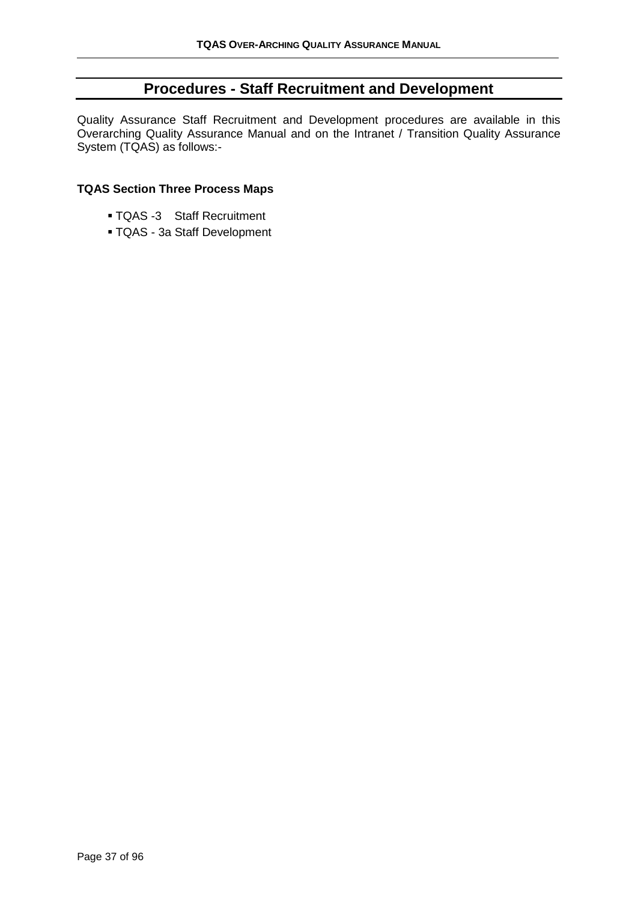# **Procedures - Staff Recruitment and Development**

Quality Assurance Staff Recruitment and Development procedures are available in this Overarching Quality Assurance Manual and on the Intranet / Transition Quality Assurance System (TQAS) as follows:-

#### **TQAS Section Three Process Maps**

- TQAS -3 Staff Recruitment
- TQAS 3a Staff Development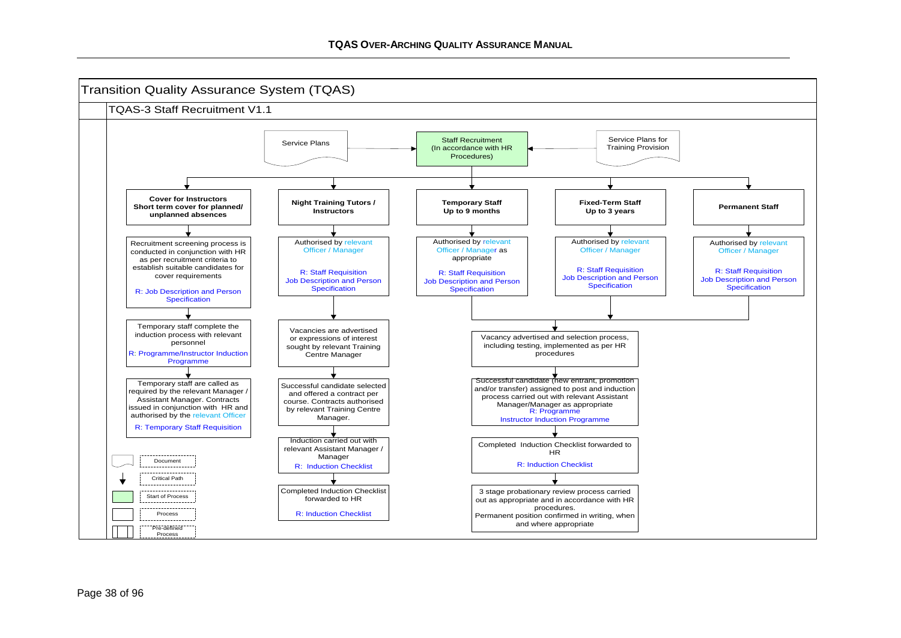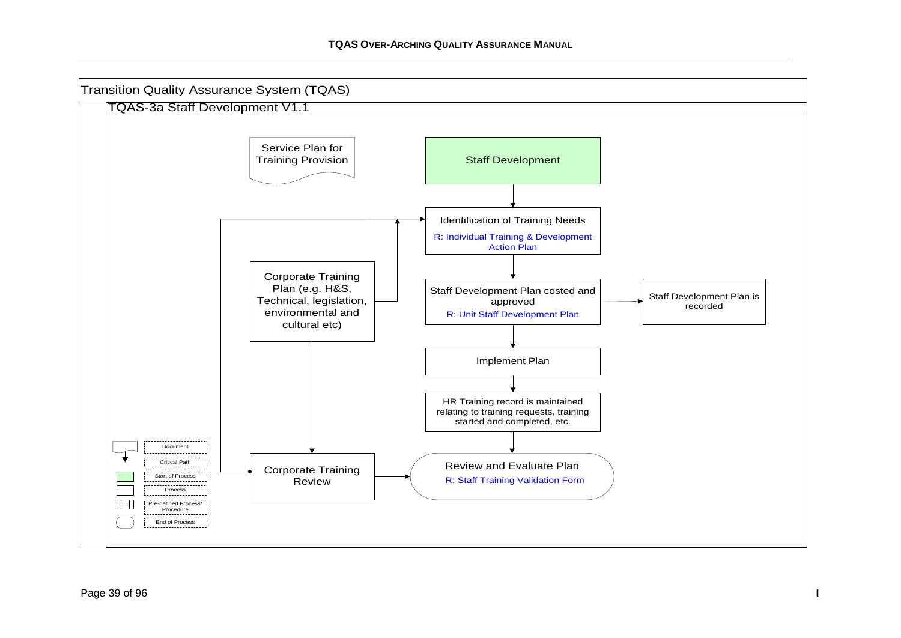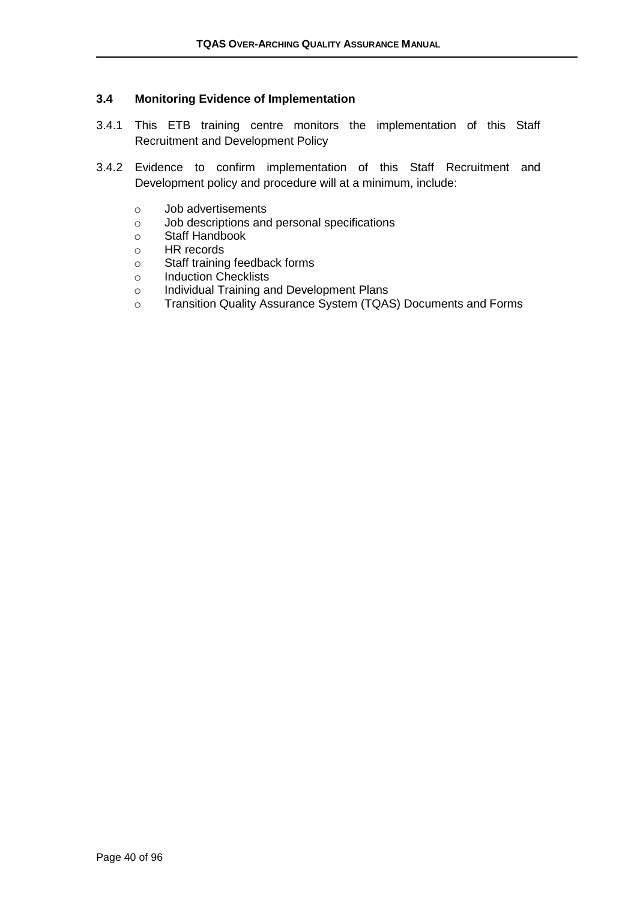#### **3.4 Monitoring Evidence of Implementation**

- 3.4.1 This ETB training centre monitors the implementation of this Staff Recruitment and Development Policy
- 3.4.2 Evidence to confirm implementation of this Staff Recruitment and Development policy and procedure will at a minimum, include:
	- o Job advertisements
	- o Job descriptions and personal specifications
	- o Staff Handbook
	- o HR records
	- o Staff training feedback forms
	- o Induction Checklists
	- o Individual Training and Development Plans
	- o Transition Quality Assurance System (TQAS) Documents and Forms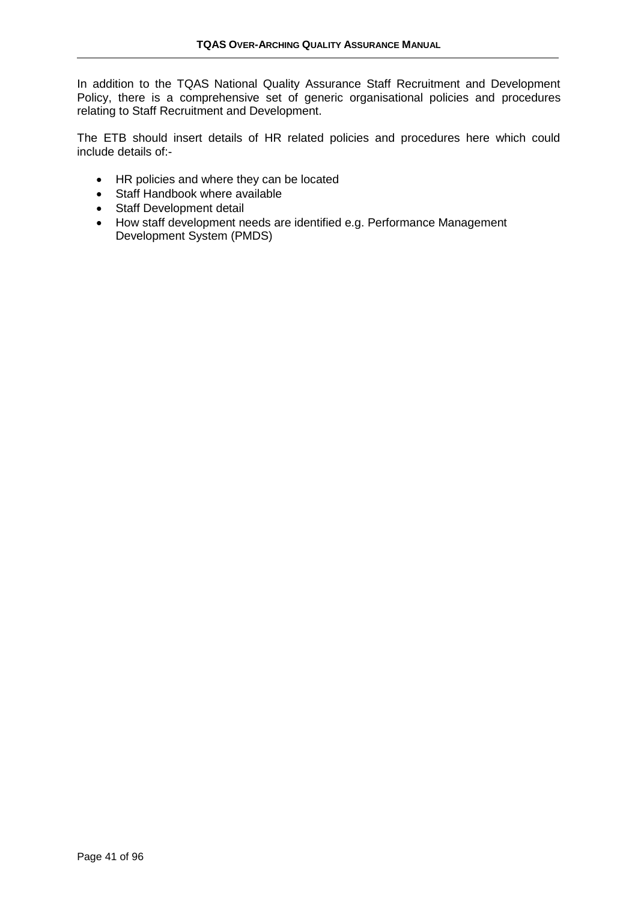In addition to the TQAS National Quality Assurance Staff Recruitment and Development Policy, there is a comprehensive set of generic organisational policies and procedures relating to Staff Recruitment and Development.

The ETB should insert details of HR related policies and procedures here which could include details of:-

- HR policies and where they can be located
- Staff Handbook where available
- Staff Development detail
- How staff development needs are identified e.g. Performance Management Development System (PMDS)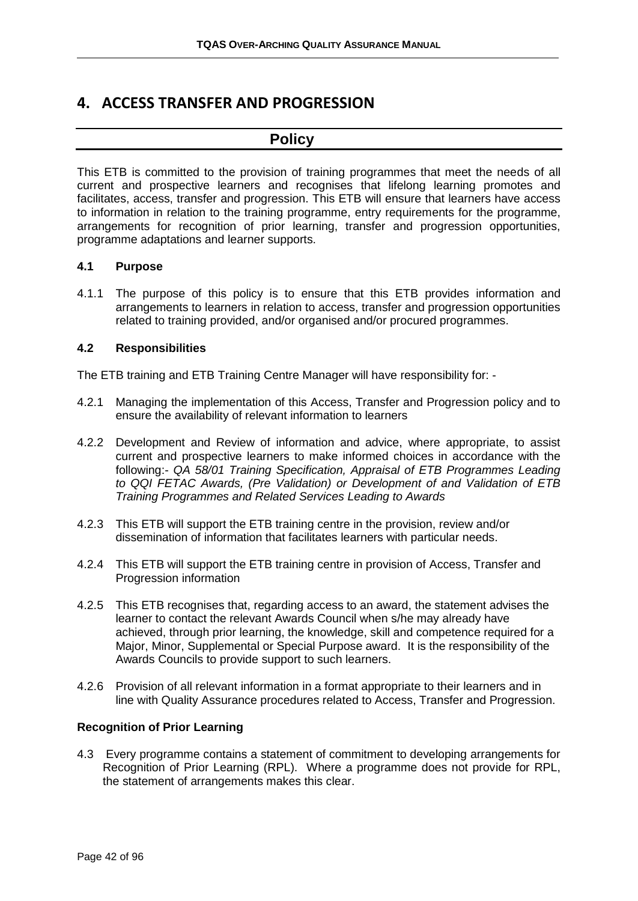# **4. ACCESS TRANSFER AND PROGRESSION**

### **Policy**

This ETB is committed to the provision of training programmes that meet the needs of all current and prospective learners and recognises that lifelong learning promotes and facilitates, access, transfer and progression. This ETB will ensure that learners have access to information in relation to the training programme, entry requirements for the programme, arrangements for recognition of prior learning, transfer and progression opportunities, programme adaptations and learner supports.

#### **4.1 Purpose**

4.1.1 The purpose of this policy is to ensure that this ETB provides information and arrangements to learners in relation to access, transfer and progression opportunities related to training provided, and/or organised and/or procured programmes.

#### **4.2 Responsibilities**

The ETB training and ETB Training Centre Manager will have responsibility for: -

- 4.2.1 Managing the implementation of this Access, Transfer and Progression policy and to ensure the availability of relevant information to learners
- 4.2.2 Development and Review of information and advice, where appropriate, to assist current and prospective learners to make informed choices in accordance with the following:- *QA 58/01 Training Specification, Appraisal of ETB Programmes Leading to QQI FETAC Awards, (Pre Validation) or Development of and Validation of ETB Training Programmes and Related Services Leading to Awards*
- 4.2.3 This ETB will support the ETB training centre in the provision, review and/or dissemination of information that facilitates learners with particular needs.
- 4.2.4 This ETB will support the ETB training centre in provision of Access, Transfer and Progression information
- 4.2.5 This ETB recognises that, regarding access to an award, the statement advises the learner to contact the relevant Awards Council when s/he may already have achieved, through prior learning, the knowledge, skill and competence required for a Major, Minor, Supplemental or Special Purpose award. It is the responsibility of the Awards Councils to provide support to such learners.
- 4.2.6 Provision of all relevant information in a format appropriate to their learners and in line with Quality Assurance procedures related to Access, Transfer and Progression.

#### **Recognition of Prior Learning**

4.3 Every programme contains a statement of commitment to developing arrangements for Recognition of Prior Learning (RPL). Where a programme does not provide for RPL, the statement of arrangements makes this clear.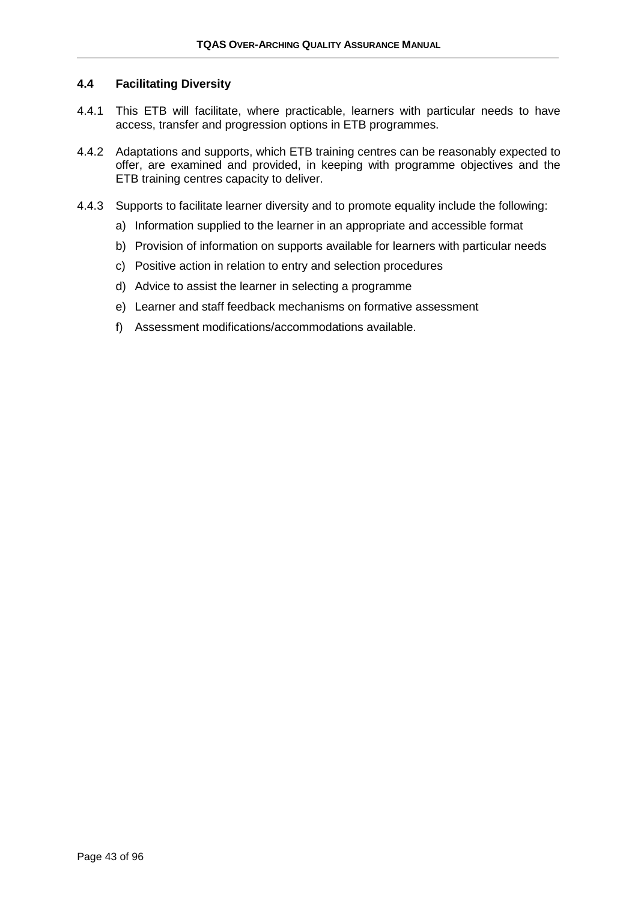#### **4.4 Facilitating Diversity**

- 4.4.1 This ETB will facilitate, where practicable, learners with particular needs to have access, transfer and progression options in ETB programmes.
- 4.4.2 Adaptations and supports, which ETB training centres can be reasonably expected to offer, are examined and provided, in keeping with programme objectives and the ETB training centres capacity to deliver.
- 4.4.3 Supports to facilitate learner diversity and to promote equality include the following:
	- a) Information supplied to the learner in an appropriate and accessible format
	- b) Provision of information on supports available for learners with particular needs
	- c) Positive action in relation to entry and selection procedures
	- d) Advice to assist the learner in selecting a programme
	- e) Learner and staff feedback mechanisms on formative assessment
	- f) Assessment modifications/accommodations available.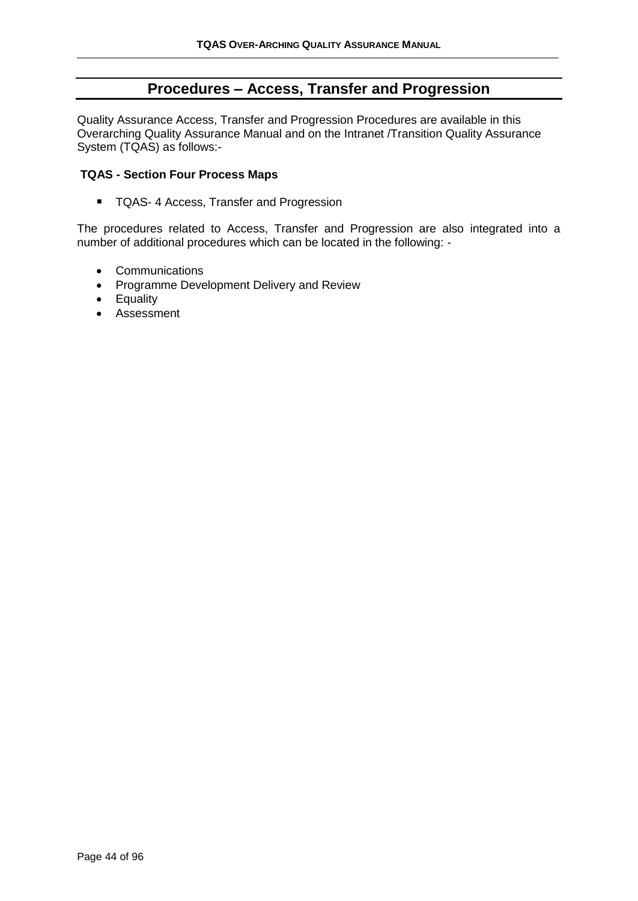### **Procedures – Access, Transfer and Progression**

Quality Assurance Access, Transfer and Progression Procedures are available in this Overarching Quality Assurance Manual and on the Intranet /Transition Quality Assurance System (TQAS) as follows:-

#### **TQAS - Section Four Process Maps**

■ TQAS- 4 Access, Transfer and Progression

The procedures related to Access, Transfer and Progression are also integrated into a number of additional procedures which can be located in the following: -

- Communications
- Programme Development Delivery and Review
- Equality
- Assessment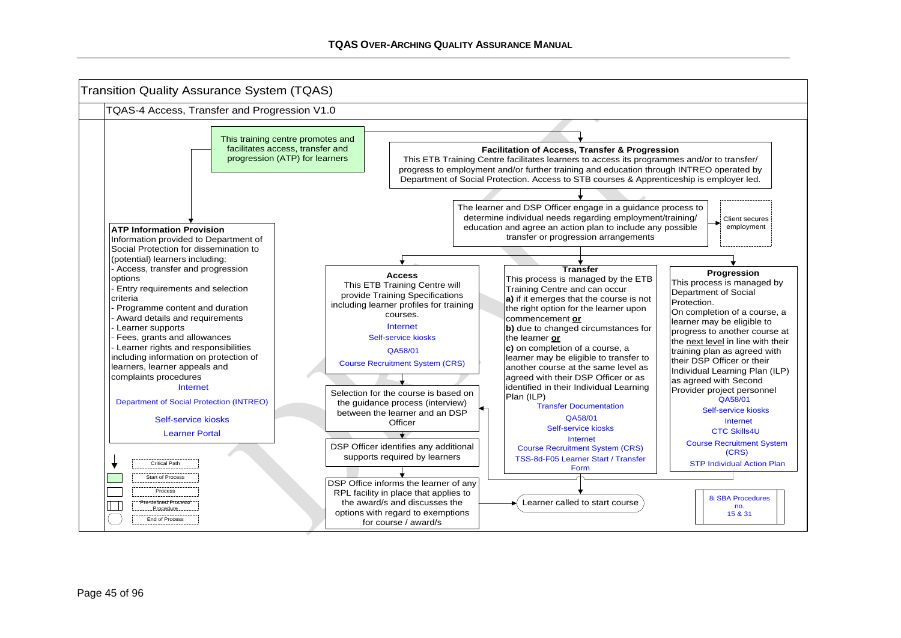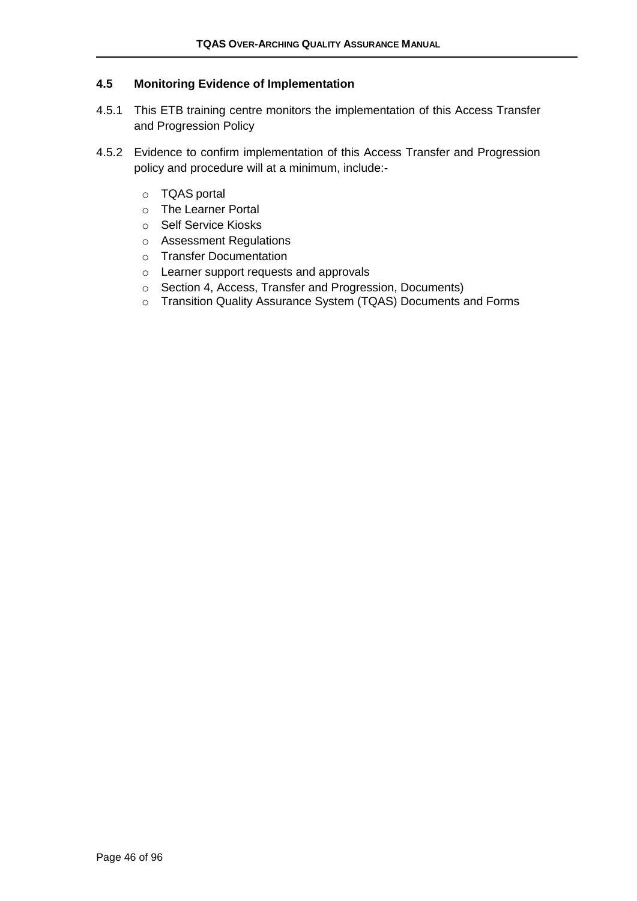#### **4.5 Monitoring Evidence of Implementation**

- 4.5.1 This ETB training centre monitors the implementation of this Access Transfer and Progression Policy
- 4.5.2 Evidence to confirm implementation of this Access Transfer and Progression policy and procedure will at a minimum, include:
	- o TQAS portal
	- o The Learner Portal
	- o Self Service Kiosks
	- o Assessment Regulations
	- o Transfer Documentation
	- o Learner support requests and approvals
	- o Section 4, Access, Transfer and Progression, Documents)
	- o Transition Quality Assurance System (TQAS) Documents and Forms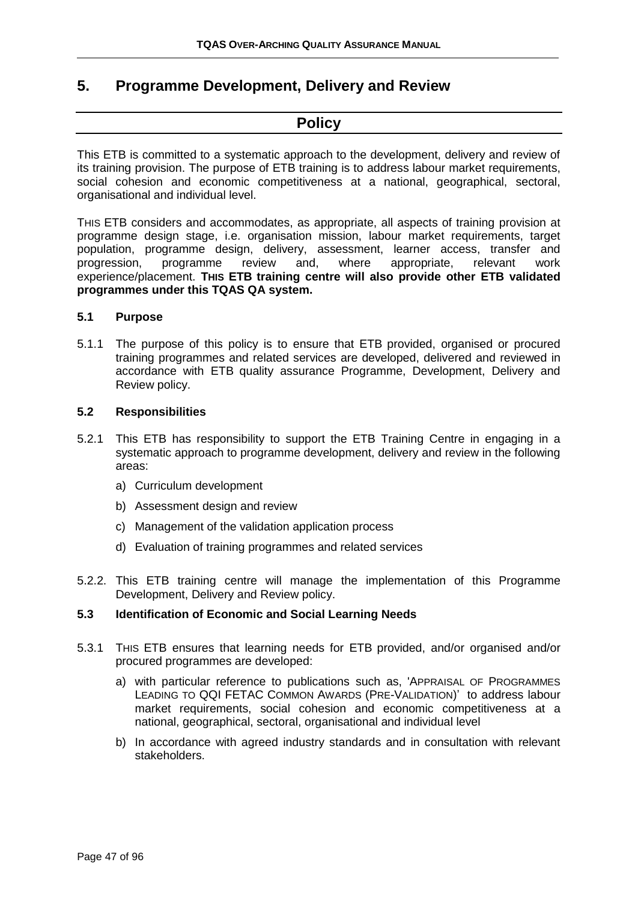### **5. Programme Development, Delivery and Review**

# **Policy**

This ETB is committed to a systematic approach to the development, delivery and review of its training provision. The purpose of ETB training is to address labour market requirements, social cohesion and economic competitiveness at a national, geographical, sectoral, organisational and individual level.

THIS ETB considers and accommodates, as appropriate, all aspects of training provision at programme design stage, i.e. organisation mission, labour market requirements, target population, programme design, delivery, assessment, learner access, transfer and<br>progression, programme review and, where appropriate, relevant work progression, programme review and, where appropriate, relevant work experience/placement. **THIS ETB training centre will also provide other ETB validated programmes under this TQAS QA system.**

#### **5.1 Purpose**

5.1.1 The purpose of this policy is to ensure that ETB provided, organised or procured training programmes and related services are developed, delivered and reviewed in accordance with ETB quality assurance Programme, Development, Delivery and Review policy.

#### **5.2 Responsibilities**

- 5.2.1 This ETB has responsibility to support the ETB Training Centre in engaging in a systematic approach to programme development, delivery and review in the following areas:
	- a) Curriculum development
	- b) Assessment design and review
	- c) Management of the validation application process
	- d) Evaluation of training programmes and related services
- 5.2.2. This ETB training centre will manage the implementation of this Programme Development, Delivery and Review policy.

#### **5.3 Identification of Economic and Social Learning Needs**

- 5.3.1 THIS ETB ensures that learning needs for ETB provided, and/or organised and/or procured programmes are developed:
	- a) with particular reference to publications such as, 'APPRAISAL OF PROGRAMMES LEADING TO QQI FETAC COMMON AWARDS (PRE-VALIDATION)' to address labour market requirements, social cohesion and economic competitiveness at a national, geographical, sectoral, organisational and individual level
	- b) In accordance with agreed industry standards and in consultation with relevant stakeholders.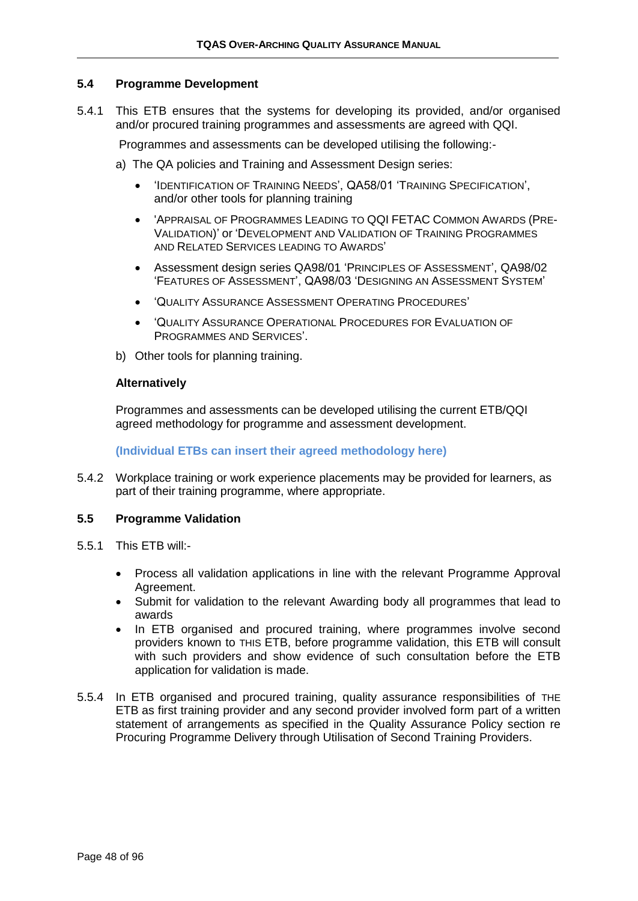#### **5.4 Programme Development**

5.4.1 This ETB ensures that the systems for developing its provided, and/or organised and/or procured training programmes and assessments are agreed with QQI.

Programmes and assessments can be developed utilising the following:-

- a) The QA policies and Training and Assessment Design series:
	- 'IDENTIFICATION OF TRAINING NEEDS', QA58/01 'TRAINING SPECIFICATION', and/or other tools for planning training
	- 'APPRAISAL OF PROGRAMMES LEADING TO QQI FETAC COMMON AWARDS (PRE-VALIDATION)' or 'DEVELOPMENT AND VALIDATION OF TRAINING PROGRAMMES AND RELATED SERVICES LEADING TO AWARDS'
	- Assessment design series QA98/01 'PRINCIPLES OF ASSESSMENT', QA98/02 'FEATURES OF ASSESSMENT', QA98/03 'DESIGNING AN ASSESSMENT SYSTEM'
	- 'QUALITY ASSURANCE ASSESSMENT OPERATING PROCEDURES'
	- 'QUALITY ASSURANCE OPERATIONAL PROCEDURES FOR EVALUATION OF PROGRAMMES AND SERVICES'.
- b) Other tools for planning training.

#### **Alternatively**

Programmes and assessments can be developed utilising the current ETB/QQI agreed methodology for programme and assessment development.

#### **(Individual ETBs can insert their agreed methodology here)**

5.4.2 Workplace training or work experience placements may be provided for learners, as part of their training programme, where appropriate.

#### **5.5 Programme Validation**

- 5.5.1 This ETB will:-
	- Process all validation applications in line with the relevant Programme Approval Agreement.
	- Submit for validation to the relevant Awarding body all programmes that lead to awards
	- In ETB organised and procured training, where programmes involve second providers known to THIS ETB, before programme validation, this ETB will consult with such providers and show evidence of such consultation before the ETB application for validation is made.
- 5.5.4 In ETB organised and procured training, quality assurance responsibilities of THE ETB as first training provider and any second provider involved form part of a written statement of arrangements as specified in the Quality Assurance Policy section re Procuring Programme Delivery through Utilisation of Second Training Providers.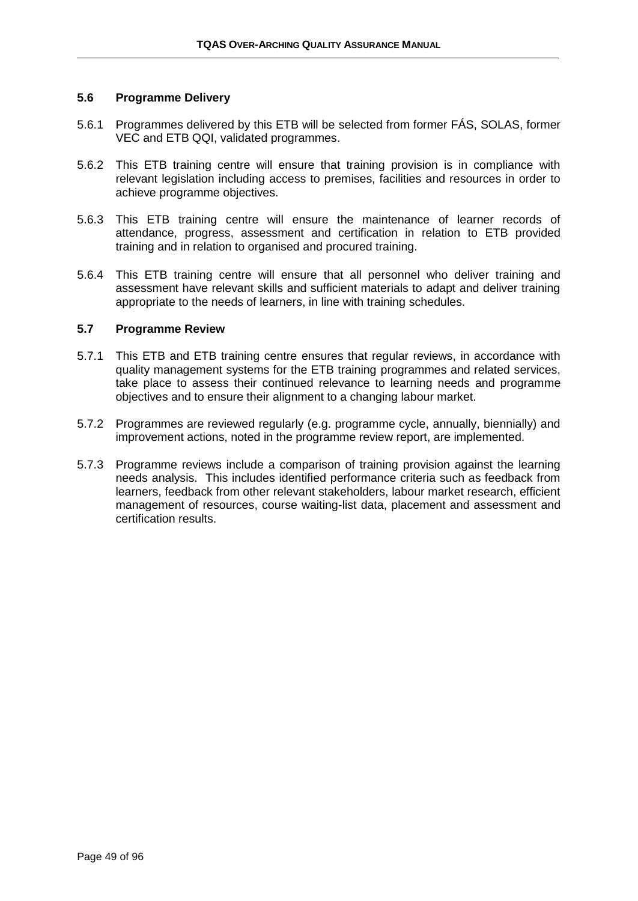#### **5.6 Programme Delivery**

- 5.6.1 Programmes delivered by this ETB will be selected from former FÁS, SOLAS, former VEC and ETB QQI, validated programmes.
- 5.6.2 This ETB training centre will ensure that training provision is in compliance with relevant legislation including access to premises, facilities and resources in order to achieve programme objectives.
- 5.6.3 This ETB training centre will ensure the maintenance of learner records of attendance, progress, assessment and certification in relation to ETB provided training and in relation to organised and procured training.
- 5.6.4 This ETB training centre will ensure that all personnel who deliver training and assessment have relevant skills and sufficient materials to adapt and deliver training appropriate to the needs of learners, in line with training schedules.

#### **5.7 Programme Review**

- 5.7.1 This ETB and ETB training centre ensures that regular reviews, in accordance with quality management systems for the ETB training programmes and related services, take place to assess their continued relevance to learning needs and programme objectives and to ensure their alignment to a changing labour market.
- 5.7.2 Programmes are reviewed regularly (e.g. programme cycle, annually, biennially) and improvement actions, noted in the programme review report, are implemented.
- 5.7.3 Programme reviews include a comparison of training provision against the learning needs analysis. This includes identified performance criteria such as feedback from learners, feedback from other relevant stakeholders, labour market research, efficient management of resources, course waiting-list data, placement and assessment and certification results.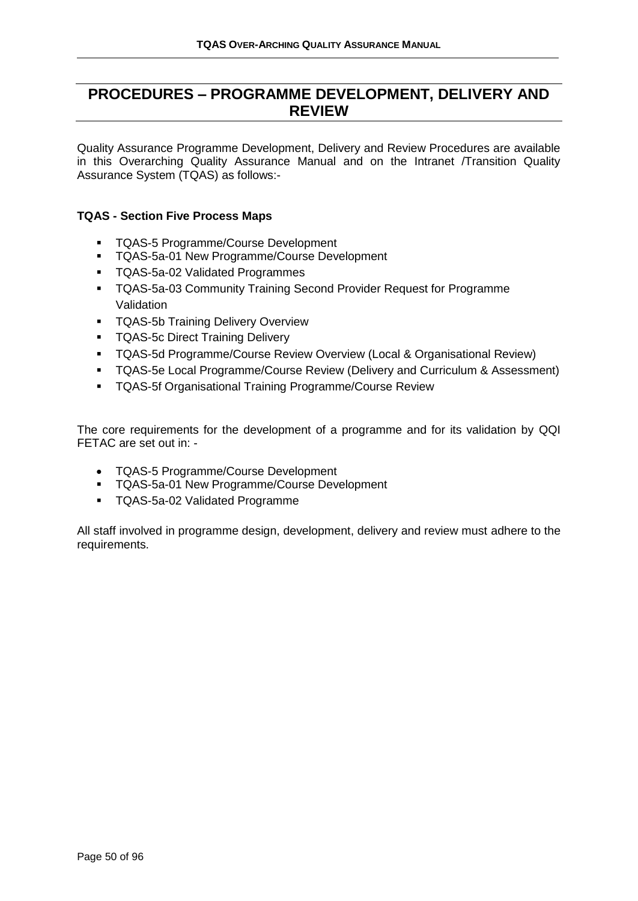# **PROCEDURES – PROGRAMME DEVELOPMENT, DELIVERY AND REVIEW**

Quality Assurance Programme Development, Delivery and Review Procedures are available in this Overarching Quality Assurance Manual and on the Intranet /Transition Quality Assurance System (TQAS) as follows:-

#### **TQAS - Section Five Process Maps**

- TQAS-5 Programme/Course Development
- **TQAS-5a-01 New Programme/Course Development**
- TQAS-5a-02 Validated Programmes
- **TQAS-5a-03 Community Training Second Provider Request for Programme** Validation
- **TQAS-5b Training Delivery Overview**
- **TQAS-5c Direct Training Delivery**
- **TQAS-5d Programme/Course Review Overview (Local & Organisational Review)**
- TQAS-5e Local Programme/Course Review (Delivery and Curriculum & Assessment)
- TQAS-5f Organisational Training Programme/Course Review

The core requirements for the development of a programme and for its validation by QQI FETAC are set out in: -

- TQAS-5 Programme/Course Development
- **TQAS-5a-01 New Programme/Course Development**
- TQAS-5a-02 Validated Programme

All staff involved in programme design, development, delivery and review must adhere to the requirements.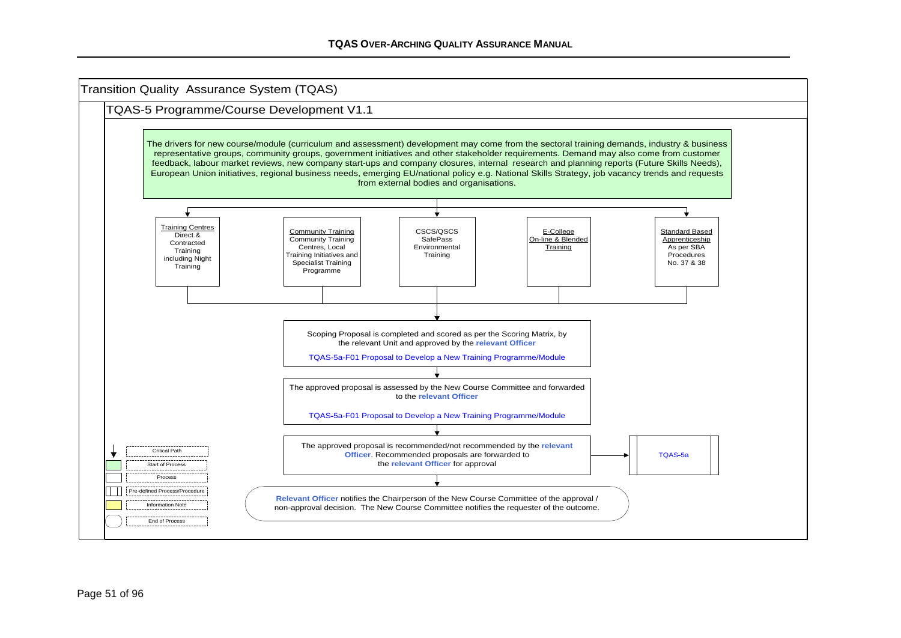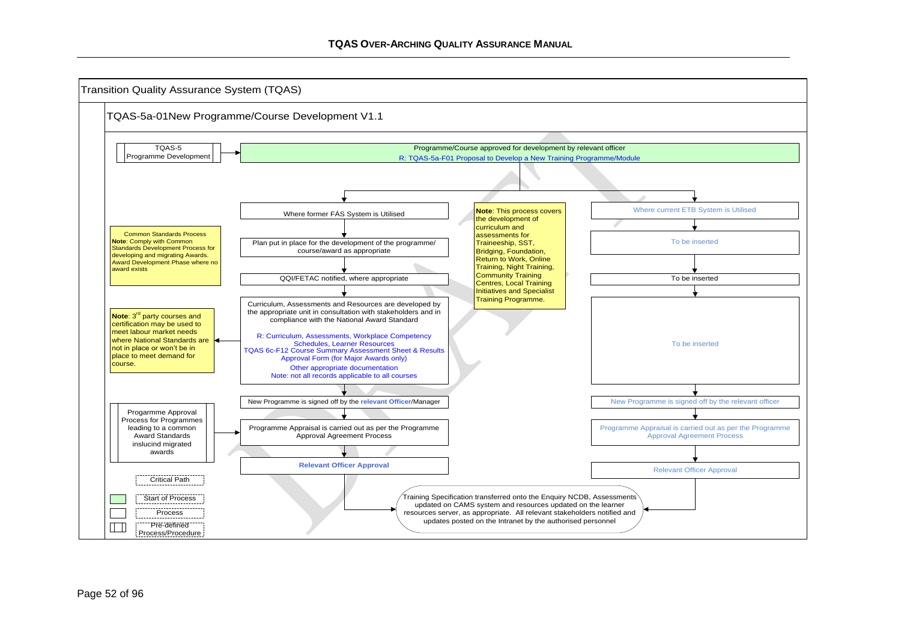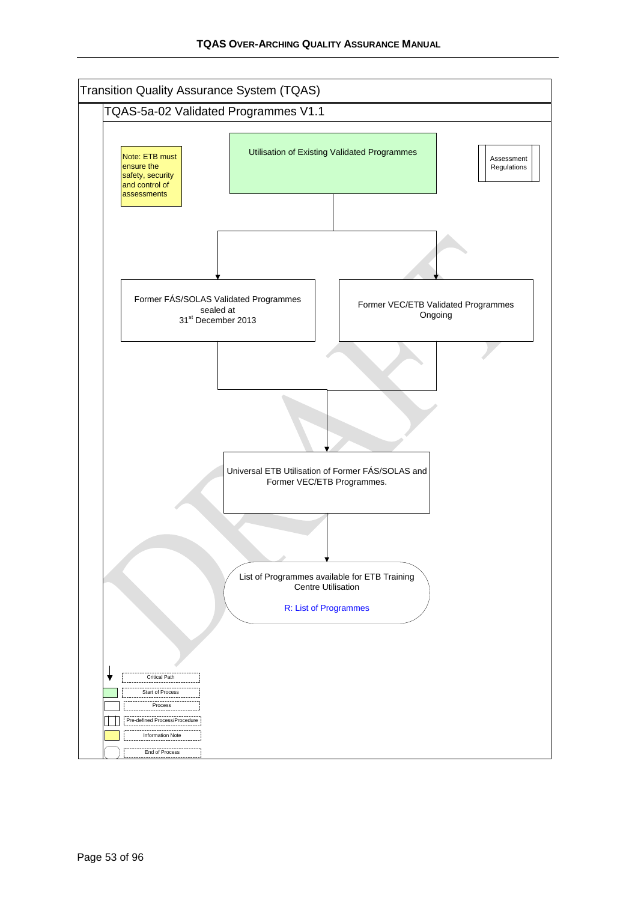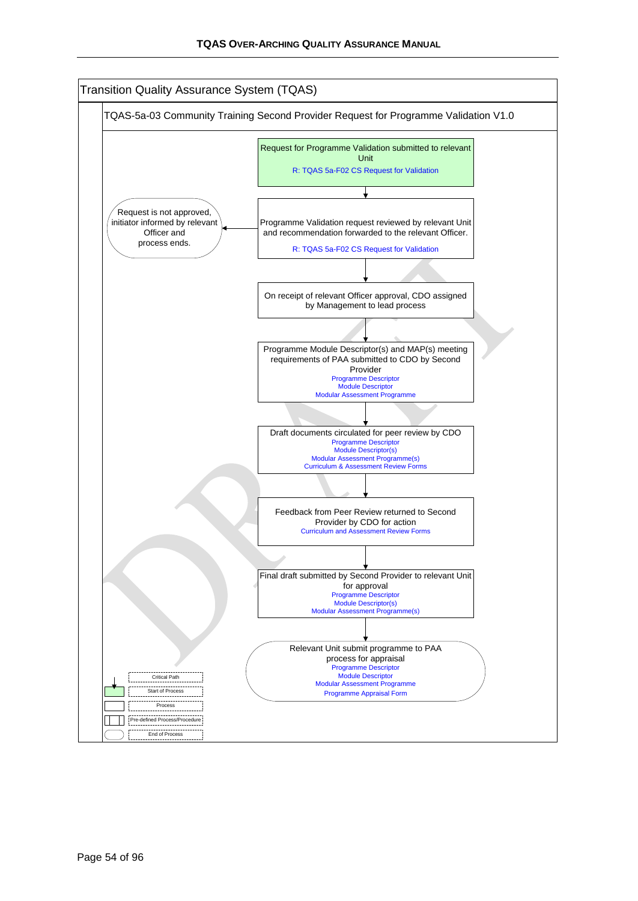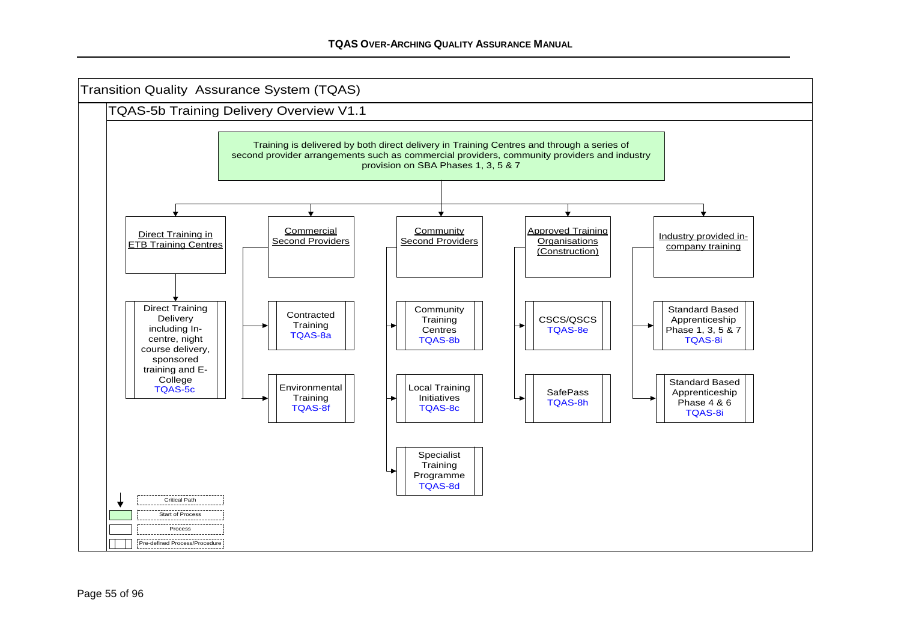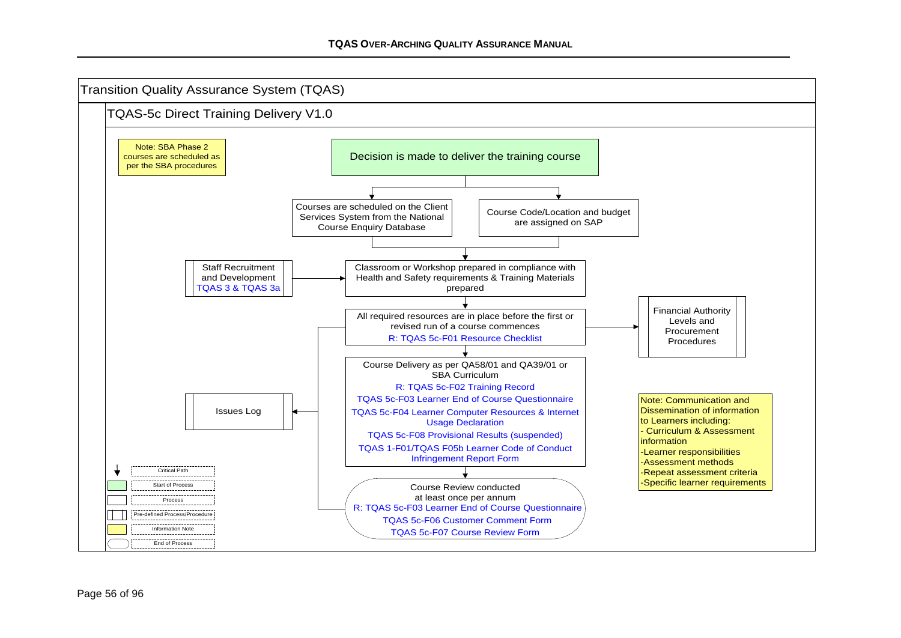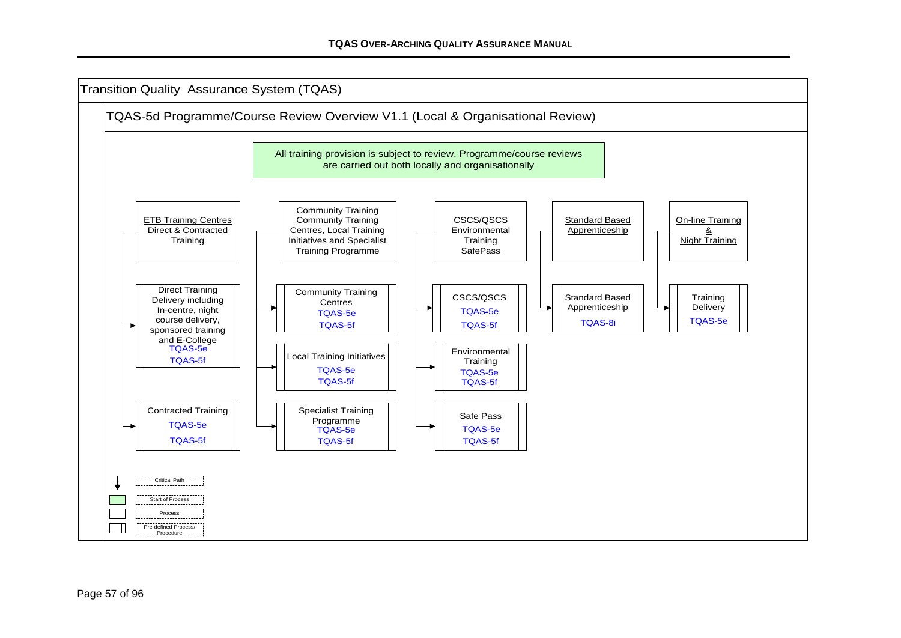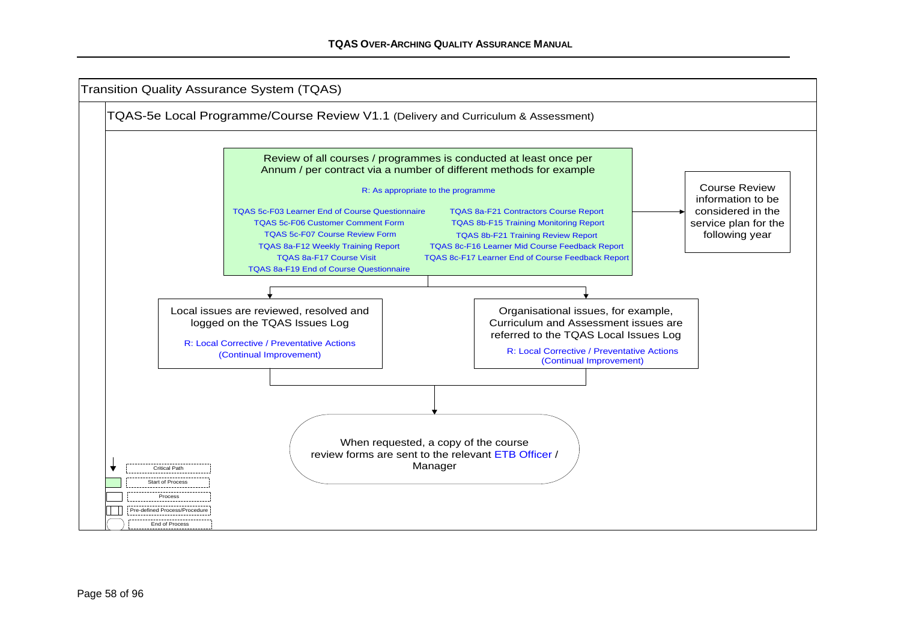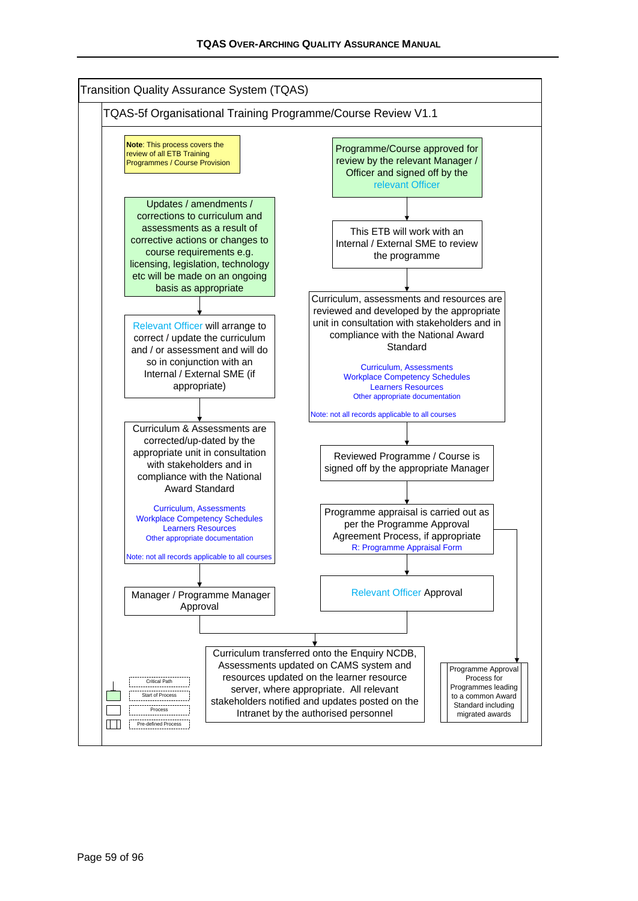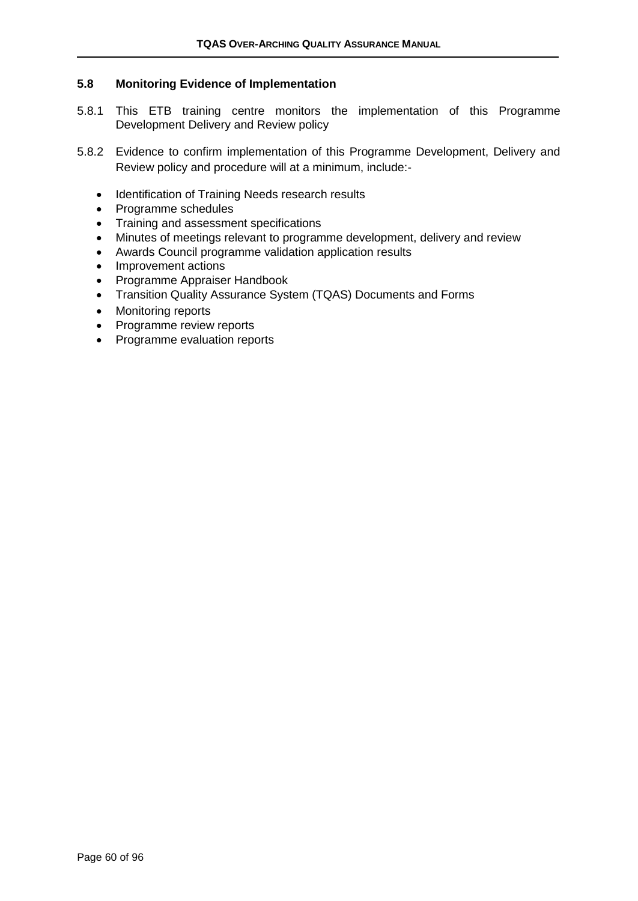#### **5.8 Monitoring Evidence of Implementation**

- 5.8.1 This ETB training centre monitors the implementation of this Programme Development Delivery and Review policy
- 5.8.2 Evidence to confirm implementation of this Programme Development, Delivery and Review policy and procedure will at a minimum, include:-
	- Identification of Training Needs research results
	- Programme schedules
	- Training and assessment specifications
	- Minutes of meetings relevant to programme development, delivery and review
	- Awards Council programme validation application results
	- Improvement actions
	- Programme Appraiser Handbook
	- Transition Quality Assurance System (TQAS) Documents and Forms
	- Monitoring reports
	- Programme review reports
	- Programme evaluation reports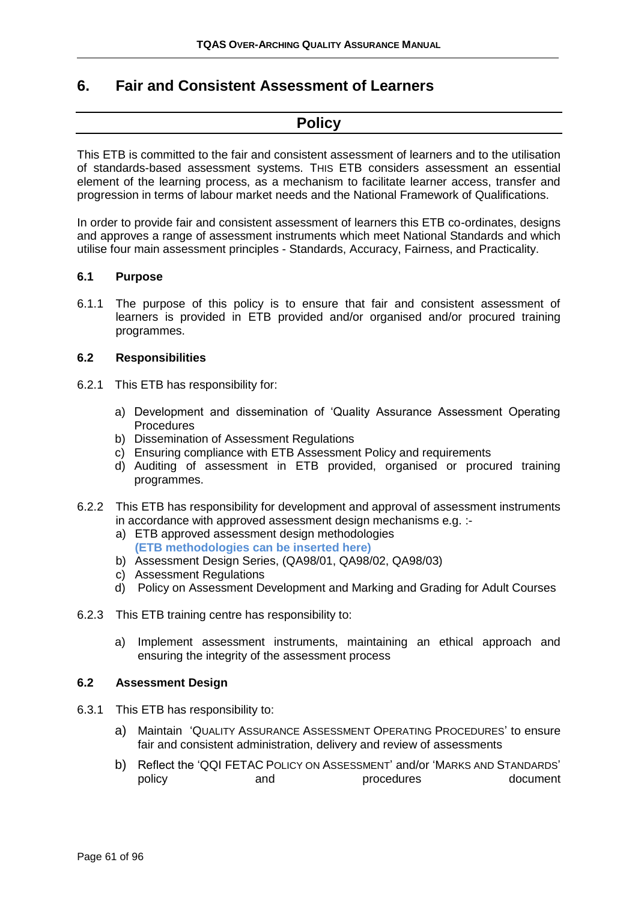### **6. Fair and Consistent Assessment of Learners**

### **Policy**

This ETB is committed to the fair and consistent assessment of learners and to the utilisation of standards-based assessment systems. THIS ETB considers assessment an essential element of the learning process, as a mechanism to facilitate learner access, transfer and progression in terms of labour market needs and the National Framework of Qualifications.

In order to provide fair and consistent assessment of learners this ETB co-ordinates, designs and approves a range of assessment instruments which meet National Standards and which utilise four main assessment principles - Standards, Accuracy, Fairness, and Practicality.

#### **6.1 Purpose**

6.1.1 The purpose of this policy is to ensure that fair and consistent assessment of learners is provided in ETB provided and/or organised and/or procured training programmes.

#### **6.2 Responsibilities**

- 6.2.1 This ETB has responsibility for:
	- a) Development and dissemination of 'Quality Assurance Assessment Operating Procedures
	- b) Dissemination of Assessment Regulations
	- c) Ensuring compliance with ETB Assessment Policy and requirements
	- d) Auditing of assessment in ETB provided, organised or procured training programmes.
- 6.2.2 This ETB has responsibility for development and approval of assessment instruments in accordance with approved assessment design mechanisms e.g. :
	- a) ETB approved assessment design methodologies **(ETB methodologies can be inserted here)**
	- b) Assessment Design Series, (QA98/01, QA98/02, QA98/03)
	- c) Assessment Regulations
	- d) Policy on Assessment Development and Marking and Grading for Adult Courses
- 6.2.3 This ETB training centre has responsibility to:
	- a) Implement assessment instruments, maintaining an ethical approach and ensuring the integrity of the assessment process

#### **6.2 Assessment Design**

- 6.3.1 This ETB has responsibility to:
	- a) Maintain 'QUALITY ASSURANCE ASSESSMENT OPERATING PROCEDURES' to ensure fair and consistent administration, delivery and review of assessments
	- b) Reflect the 'QQI FETAC POLICY ON ASSESSMENT' and/or 'MARKS AND STANDARDS' policy and procedures document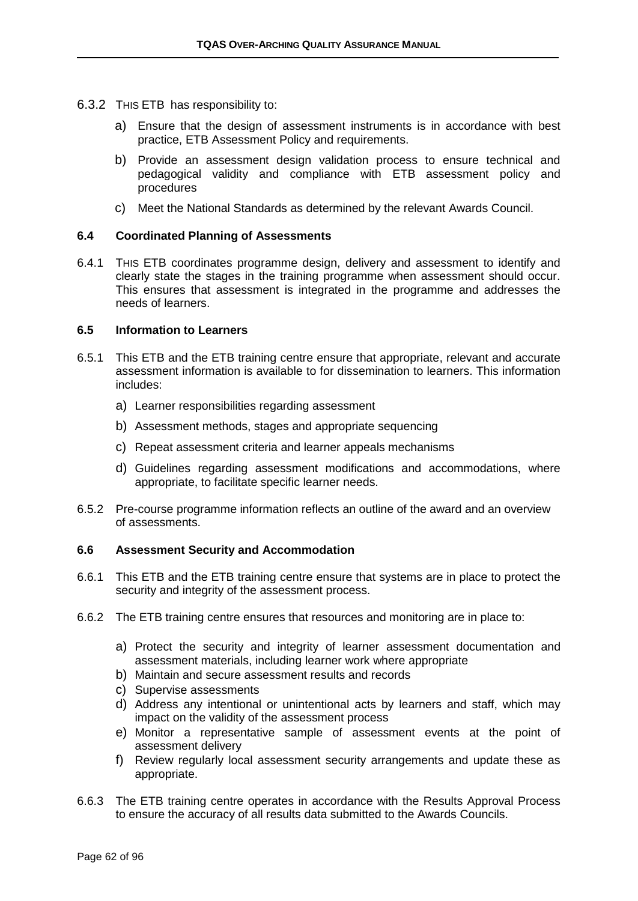- 6.3.2 THIS ETB has responsibility to:
	- a) Ensure that the design of assessment instruments is in accordance with best practice, ETB Assessment Policy and requirements.
	- b) Provide an assessment design validation process to ensure technical and pedagogical validity and compliance with ETB assessment policy and procedures
	- c) Meet the National Standards as determined by the relevant Awards Council.

#### **6.4 Coordinated Planning of Assessments**

6.4.1 THIS ETB coordinates programme design, delivery and assessment to identify and clearly state the stages in the training programme when assessment should occur. This ensures that assessment is integrated in the programme and addresses the needs of learners.

#### **6.5 Information to Learners**

- 6.5.1 This ETB and the ETB training centre ensure that appropriate, relevant and accurate assessment information is available to for dissemination to learners. This information includes:
	- a) Learner responsibilities regarding assessment
	- b) Assessment methods, stages and appropriate sequencing
	- c) Repeat assessment criteria and learner appeals mechanisms
	- d) Guidelines regarding assessment modifications and accommodations, where appropriate, to facilitate specific learner needs.
- 6.5.2 Pre-course programme information reflects an outline of the award and an overview of assessments.

#### **6.6 Assessment Security and Accommodation**

- 6.6.1 This ETB and the ETB training centre ensure that systems are in place to protect the security and integrity of the assessment process.
- 6.6.2 The ETB training centre ensures that resources and monitoring are in place to:
	- a) Protect the security and integrity of learner assessment documentation and assessment materials, including learner work where appropriate
	- b) Maintain and secure assessment results and records
	- c) Supervise assessments
	- d) Address any intentional or unintentional acts by learners and staff, which may impact on the validity of the assessment process
	- e) Monitor a representative sample of assessment events at the point of assessment delivery
	- f) Review regularly local assessment security arrangements and update these as appropriate.
- 6.6.3 The ETB training centre operates in accordance with the Results Approval Process to ensure the accuracy of all results data submitted to the Awards Councils.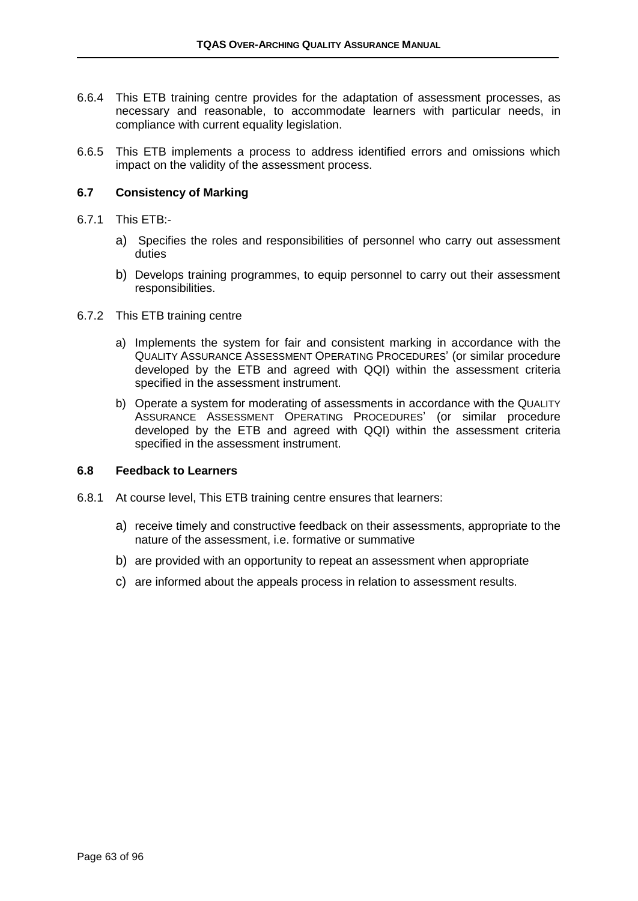- 6.6.4 This ETB training centre provides for the adaptation of assessment processes, as necessary and reasonable, to accommodate learners with particular needs, in compliance with current equality legislation.
- 6.6.5 This ETB implements a process to address identified errors and omissions which impact on the validity of the assessment process.

#### **6.7 Consistency of Marking**

#### 6.7.1 This ETB:-

- a) Specifies the roles and responsibilities of personnel who carry out assessment duties
- b) Develops training programmes, to equip personnel to carry out their assessment responsibilities.
- 6.7.2 This ETB training centre
	- a) Implements the system for fair and consistent marking in accordance with the QUALITY ASSURANCE ASSESSMENT OPERATING PROCEDURES' (or similar procedure developed by the ETB and agreed with QQI) within the assessment criteria specified in the assessment instrument.
	- b) Operate a system for moderating of assessments in accordance with the QUALITY ASSURANCE ASSESSMENT OPERATING PROCEDURES' (or similar procedure developed by the ETB and agreed with QQI) within the assessment criteria specified in the assessment instrument.

#### **6.8 Feedback to Learners**

- 6.8.1 At course level, This ETB training centre ensures that learners:
	- a) receive timely and constructive feedback on their assessments, appropriate to the nature of the assessment, i.e. formative or summative
	- b) are provided with an opportunity to repeat an assessment when appropriate
	- c) are informed about the appeals process in relation to assessment results.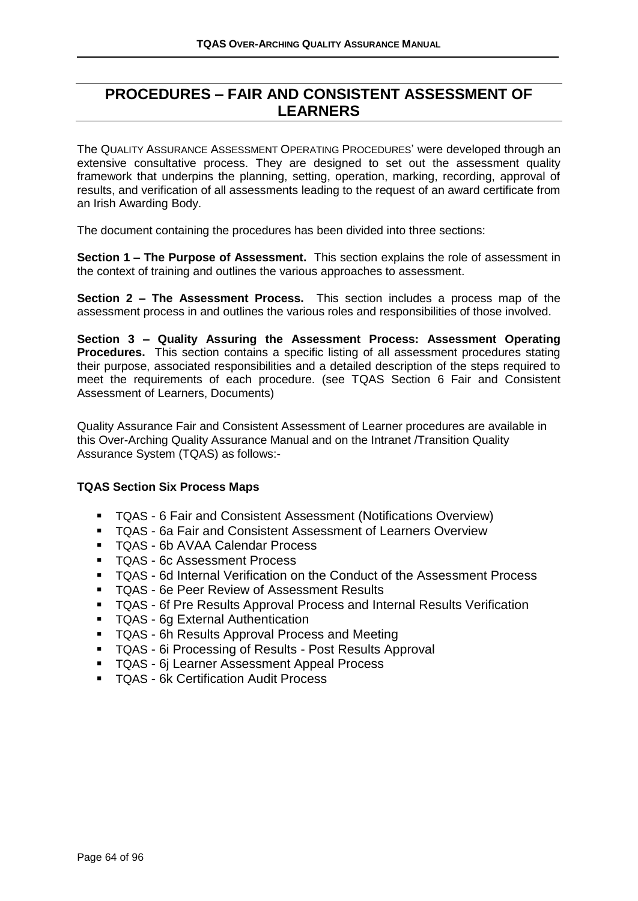# **PROCEDURES – FAIR AND CONSISTENT ASSESSMENT OF LEARNERS**

The QUALITY ASSURANCE ASSESSMENT OPERATING PROCEDURES' were developed through an extensive consultative process. They are designed to set out the assessment quality framework that underpins the planning, setting, operation, marking, recording, approval of results, and verification of all assessments leading to the request of an award certificate from an Irish Awarding Body.

The document containing the procedures has been divided into three sections:

**Section 1 – The Purpose of Assessment.** This section explains the role of assessment in the context of training and outlines the various approaches to assessment.

**Section 2 – The Assessment Process.** This section includes a process map of the assessment process in and outlines the various roles and responsibilities of those involved.

**Section 3 – Quality Assuring the Assessment Process: Assessment Operating Procedures.** This section contains a specific listing of all assessment procedures stating their purpose, associated responsibilities and a detailed description of the steps required to meet the requirements of each procedure. (see TQAS Section 6 Fair and Consistent Assessment of Learners, Documents)

Quality Assurance Fair and Consistent Assessment of Learner procedures are available in this Over-Arching Quality Assurance Manual and on the Intranet /Transition Quality Assurance System (TQAS) as follows:-

#### **TQAS Section Six Process Maps**

- TQAS 6 Fair and Consistent Assessment (Notifications Overview)
- TQAS 6a Fair and Consistent Assessment of Learners Overview
- TQAS 6b AVAA Calendar Process
- TQAS 6c Assessment Process
- TQAS 6d Internal Verification on the Conduct of the Assessment Process
- TQAS 6e Peer Review of Assessment Results
- TQAS 6f Pre Results Approval Process and Internal Results Verification
- TQAS 6g External Authentication
- TQAS 6h Results Approval Process and Meeting
- TQAS 6i Processing of Results Post Results Approval
- TQAS 6j Learner Assessment Appeal Process
- TQAS 6k Certification Audit Process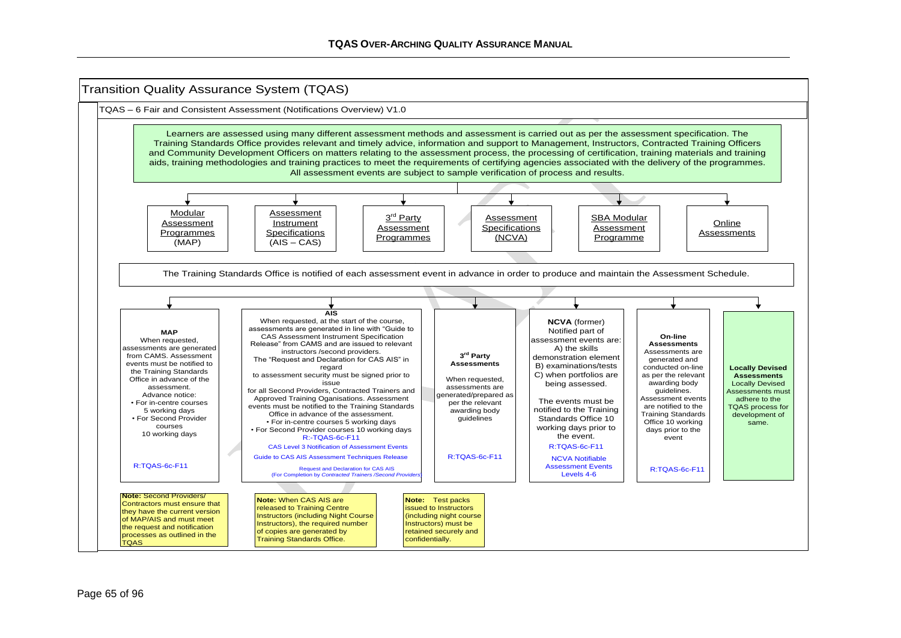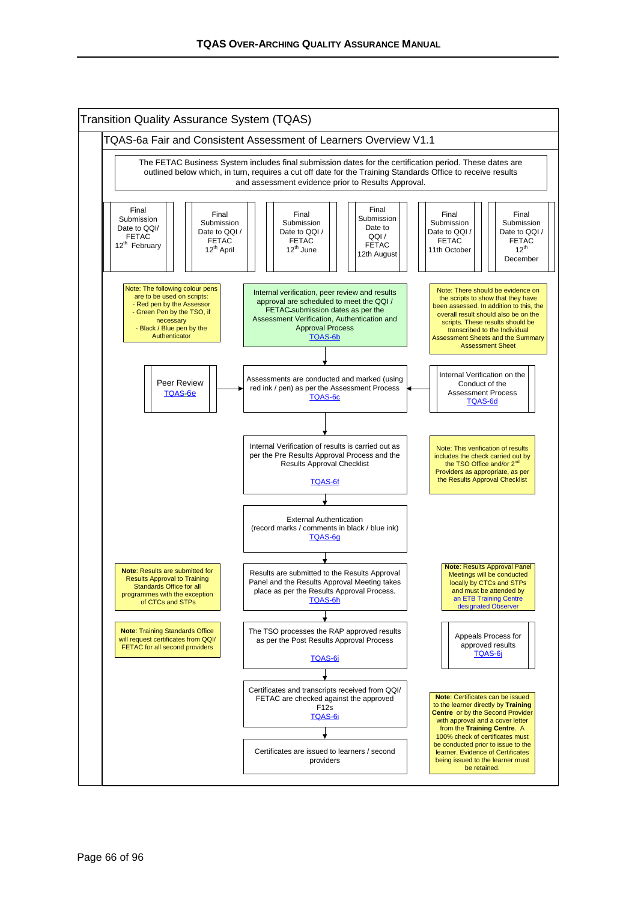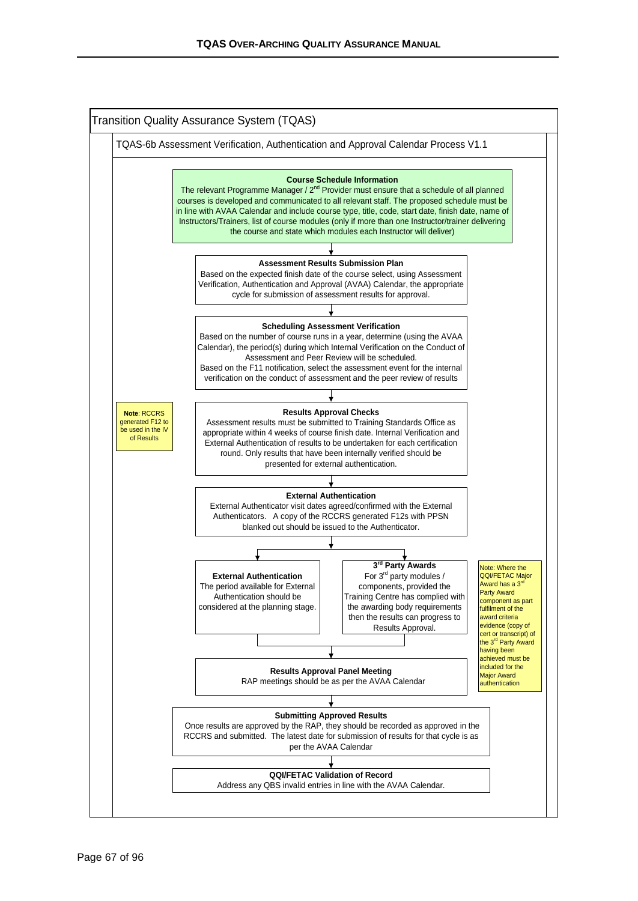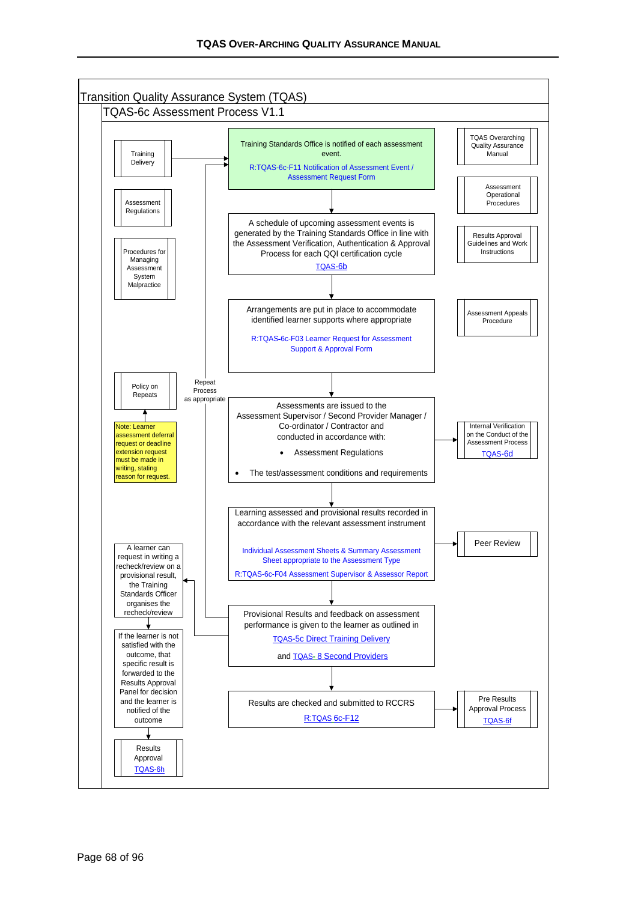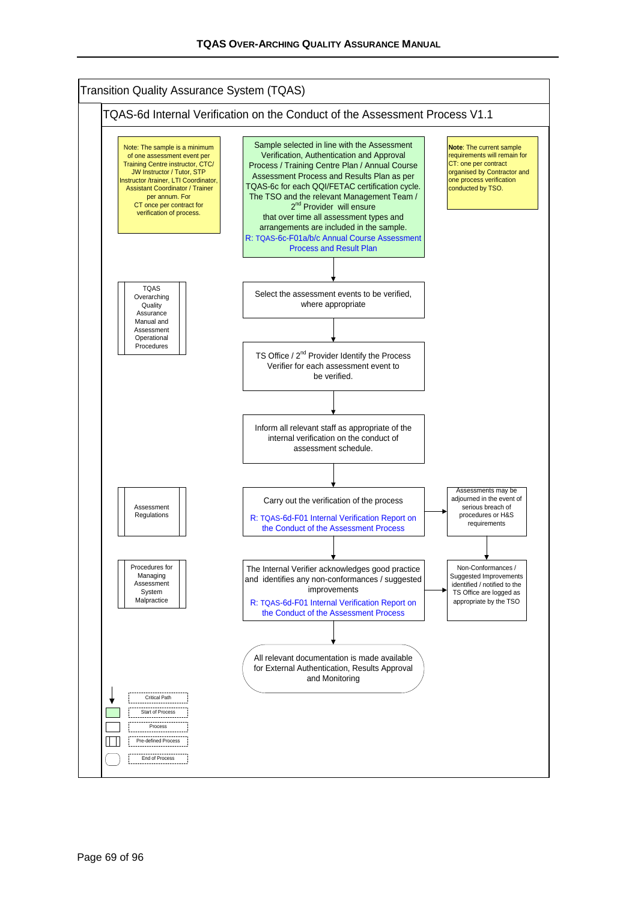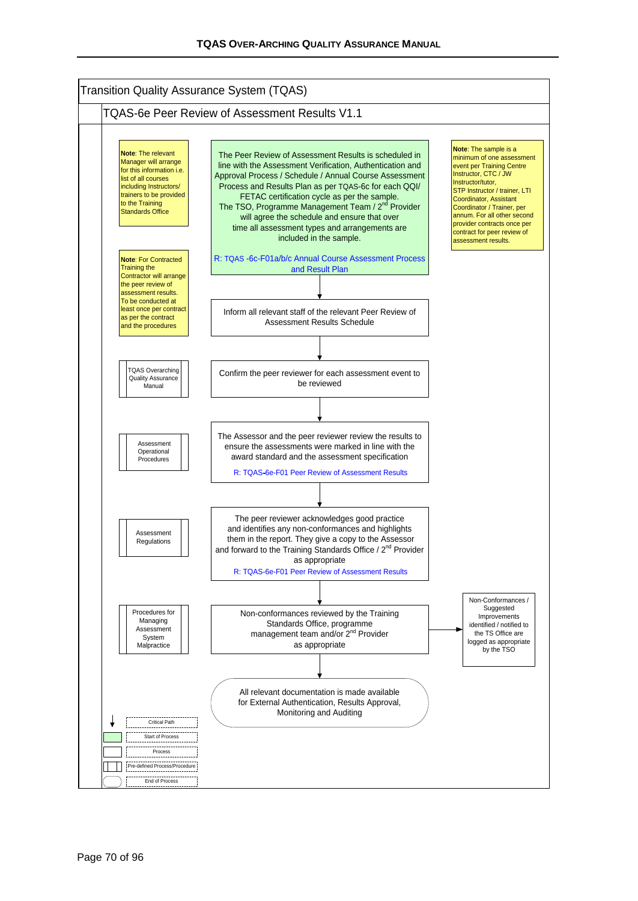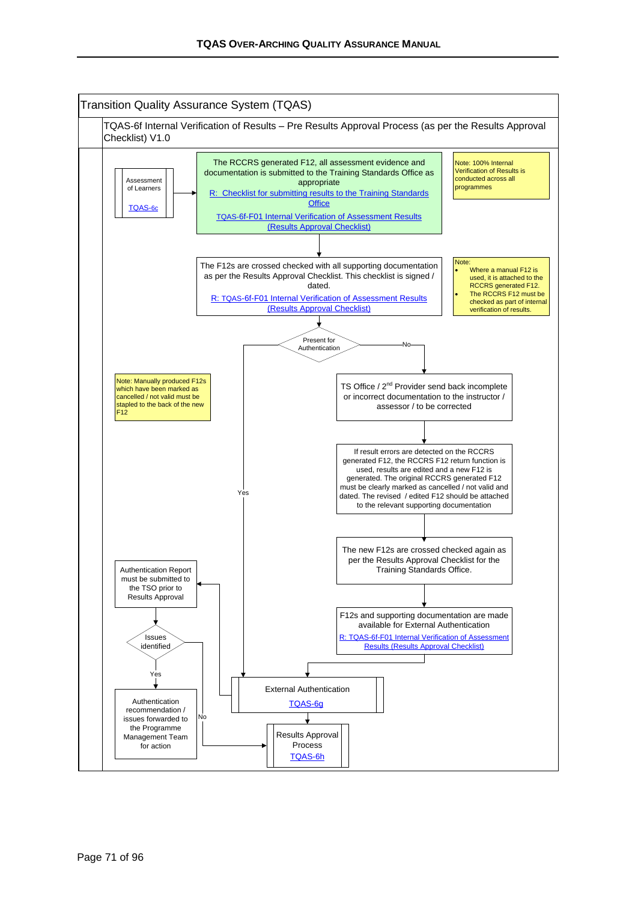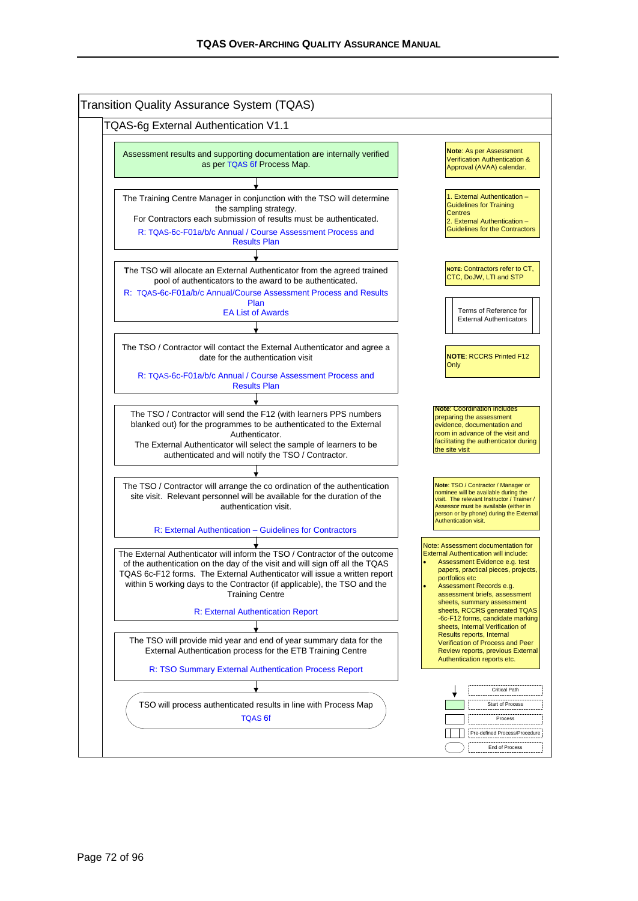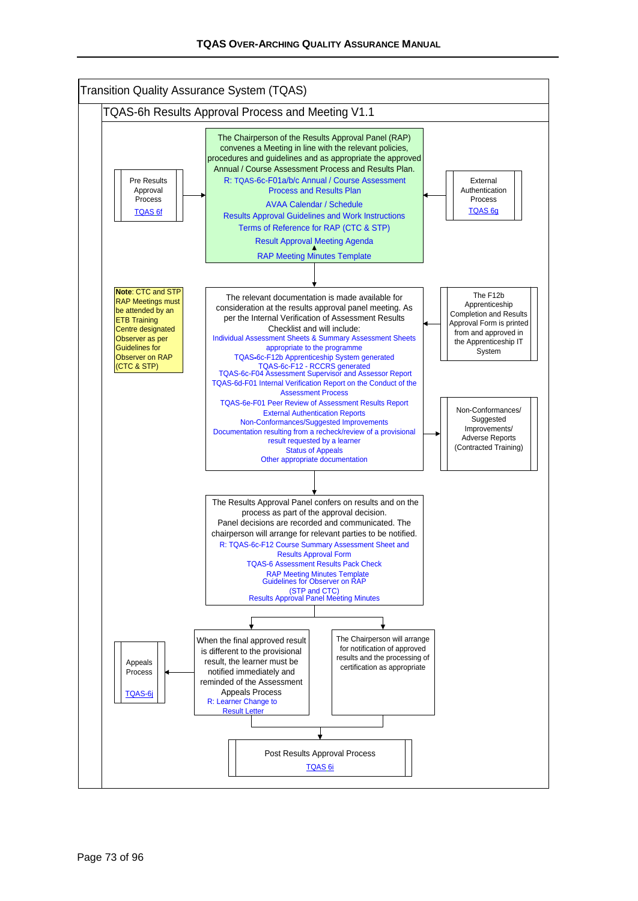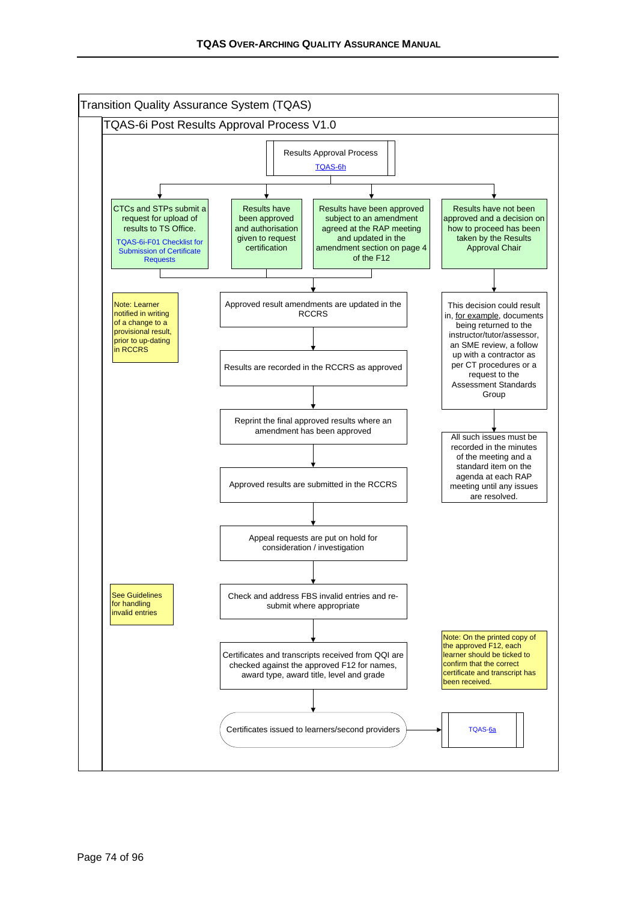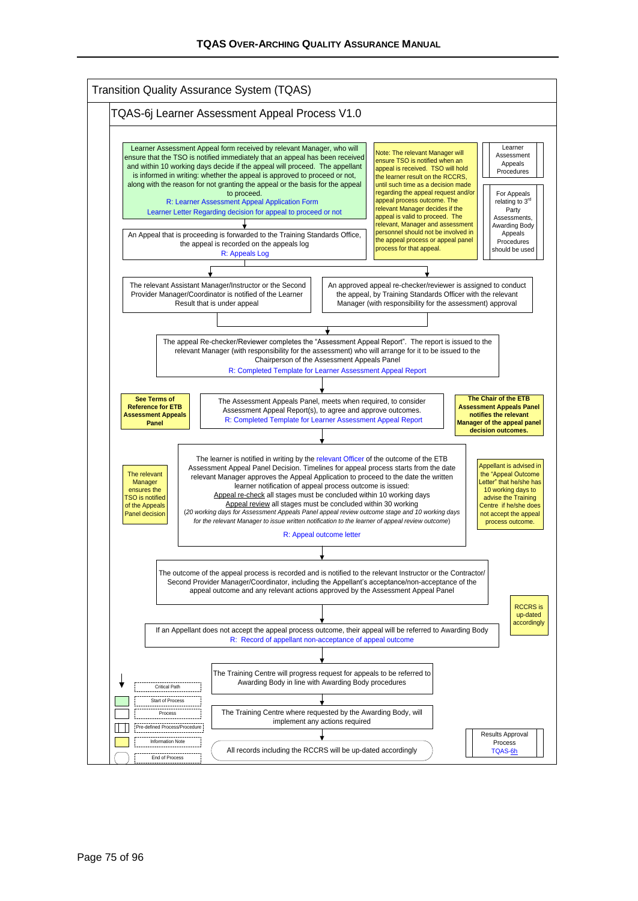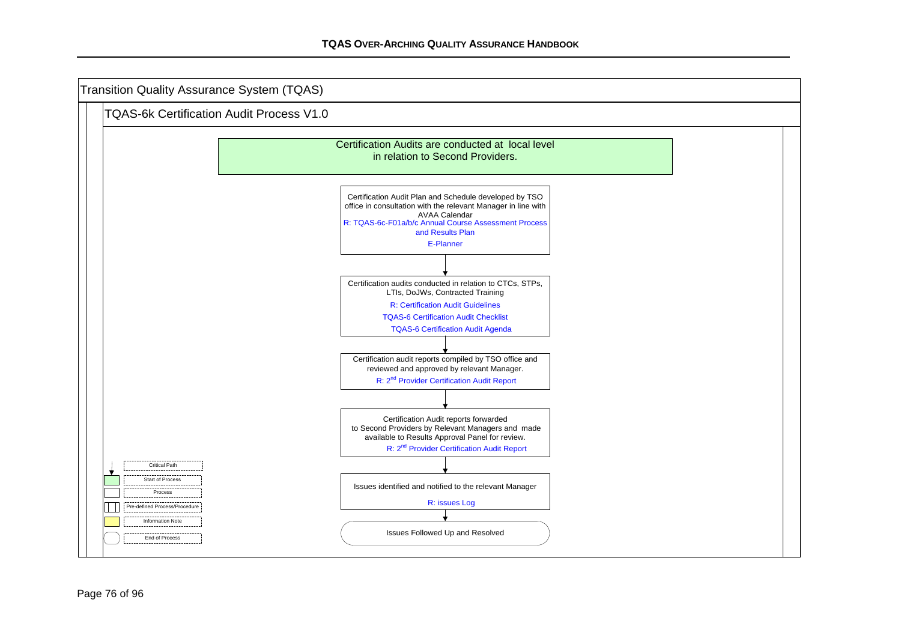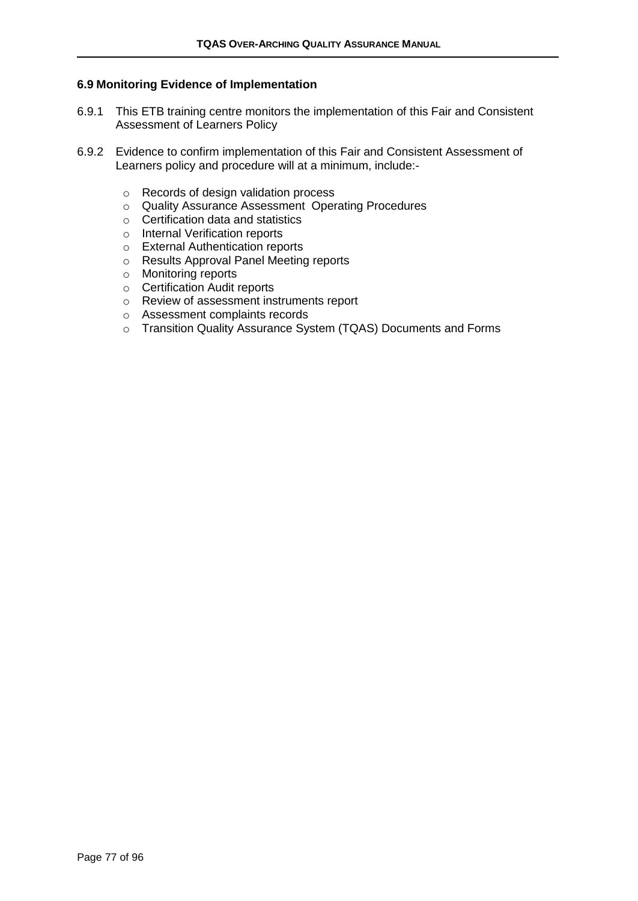#### **6.9 Monitoring Evidence of Implementation**

- 6.9.1 This ETB training centre monitors the implementation of this Fair and Consistent Assessment of Learners Policy
- 6.9.2 Evidence to confirm implementation of this Fair and Consistent Assessment of Learners policy and procedure will at a minimum, include:
	- o Records of design validation process
	- o Quality Assurance Assessment Operating Procedures
	- o Certification data and statistics
	- o Internal Verification reports
	- o External Authentication reports
	- o Results Approval Panel Meeting reports
	- o Monitoring reports
	- o Certification Audit reports
	- o Review of assessment instruments report
	- o Assessment complaints records
	- o Transition Quality Assurance System (TQAS) Documents and Forms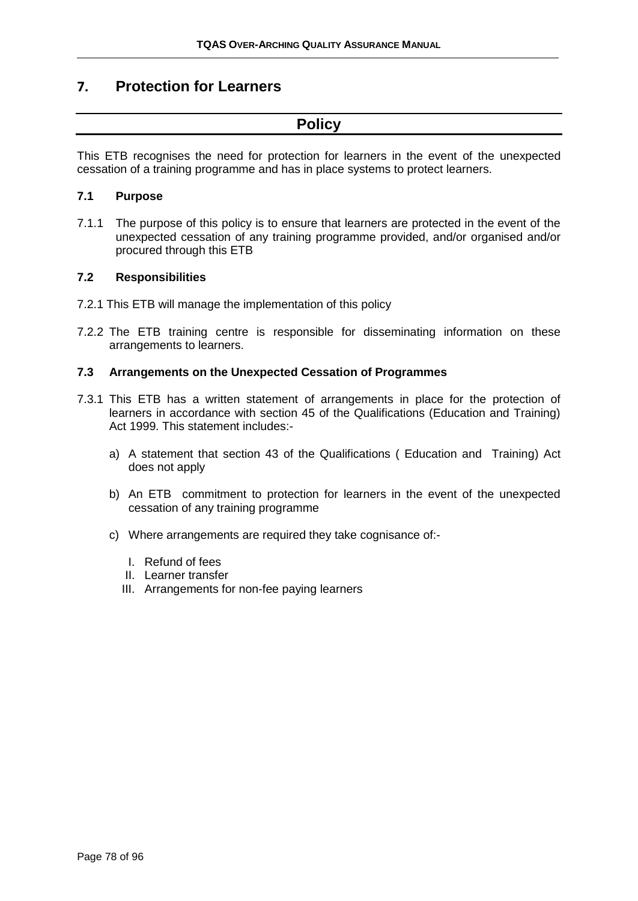### **7. Protection for Learners**

## **Policy**

This ETB recognises the need for protection for learners in the event of the unexpected cessation of a training programme and has in place systems to protect learners.

### **7.1 Purpose**

7.1.1 The purpose of this policy is to ensure that learners are protected in the event of the unexpected cessation of any training programme provided, and/or organised and/or procured through this ETB

### **7.2 Responsibilities**

- 7.2.1 This ETB will manage the implementation of this policy
- 7.2.2 The ETB training centre is responsible for disseminating information on these arrangements to learners.

### **7.3 Arrangements on the Unexpected Cessation of Programmes**

- 7.3.1 This ETB has a written statement of arrangements in place for the protection of learners in accordance with section 45 of the Qualifications (Education and Training) Act 1999. This statement includes:
	- a) A statement that section 43 of the Qualifications ( Education and Training) Act does not apply
	- b) An ETB commitment to protection for learners in the event of the unexpected cessation of any training programme
	- c) Where arrangements are required they take cognisance of:-
		- I. Refund of fees
		- II. Learner transfer
		- III. Arrangements for non-fee paying learners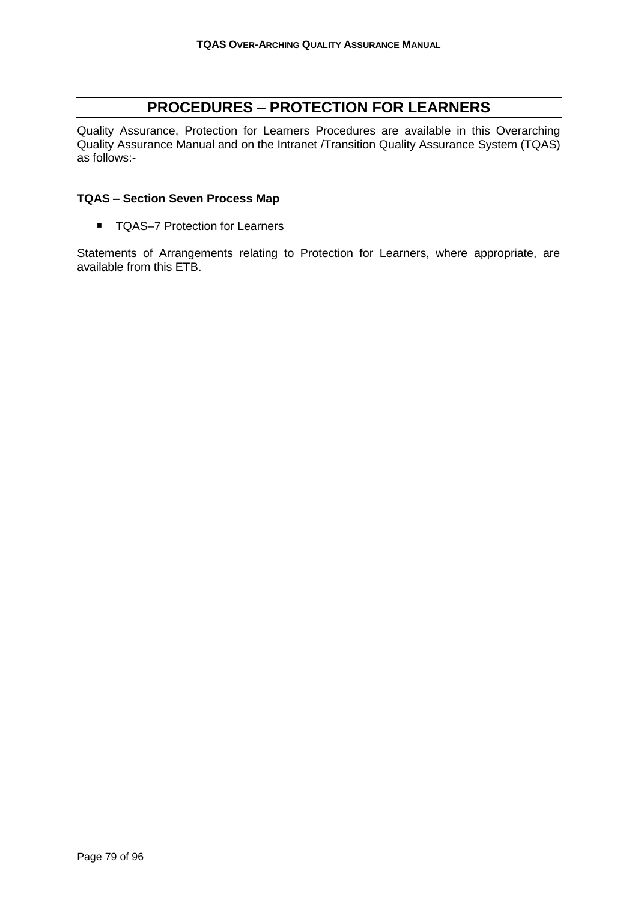# **PROCEDURES – PROTECTION FOR LEARNERS**

Quality Assurance, Protection for Learners Procedures are available in this Overarching Quality Assurance Manual and on the Intranet /Transition Quality Assurance System (TQAS) as follows:-

### **TQAS – Section Seven Process Map**

■ TQAS-7 Protection for Learners

Statements of Arrangements relating to Protection for Learners, where appropriate, are available from this ETB.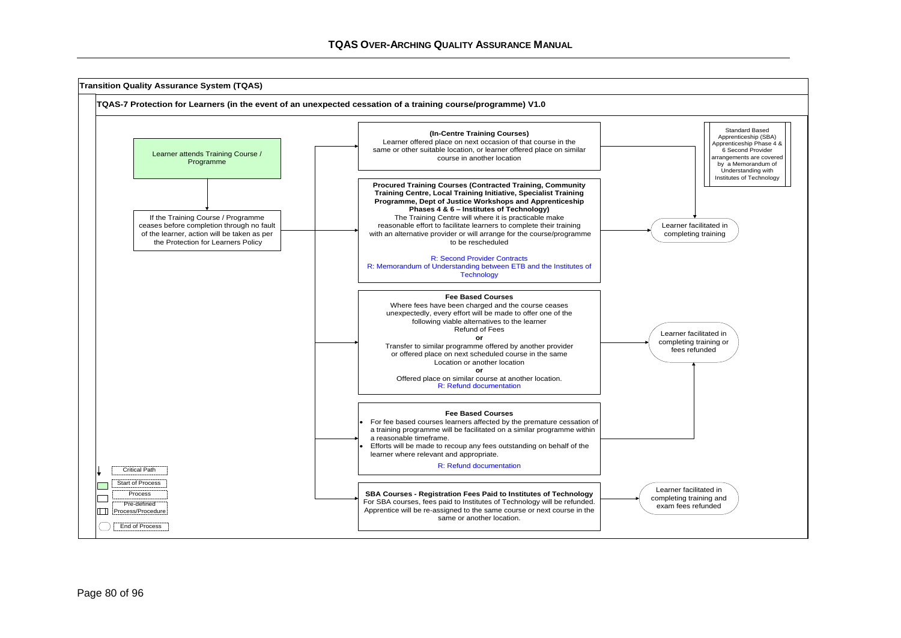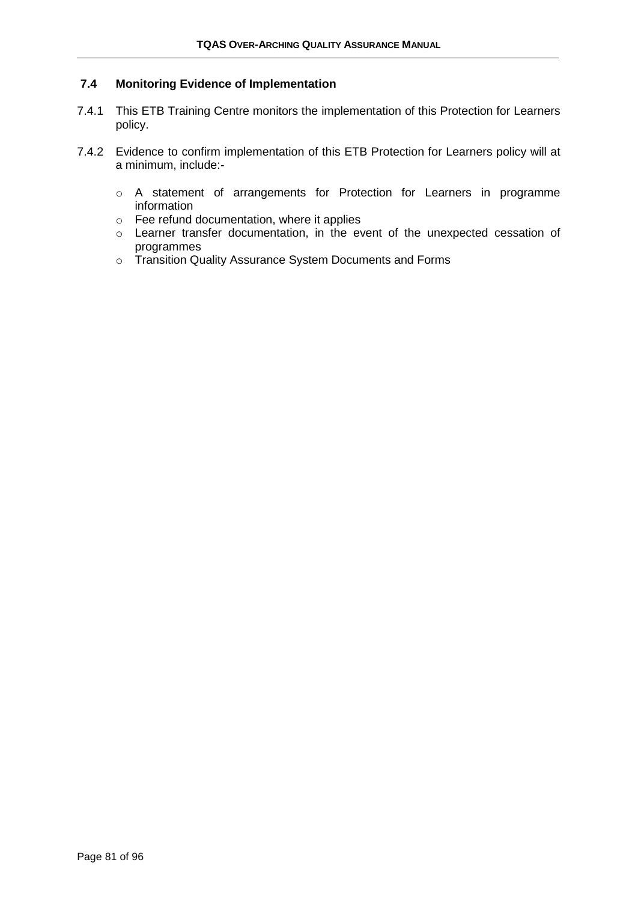### **7.4 Monitoring Evidence of Implementation**

- 7.4.1 This ETB Training Centre monitors the implementation of this Protection for Learners policy.
- 7.4.2 Evidence to confirm implementation of this ETB Protection for Learners policy will at a minimum, include:
	- o A statement of arrangements for Protection for Learners in programme information
	- o Fee refund documentation, where it applies
	- o Learner transfer documentation, in the event of the unexpected cessation of programmes
	- o Transition Quality Assurance System Documents and Forms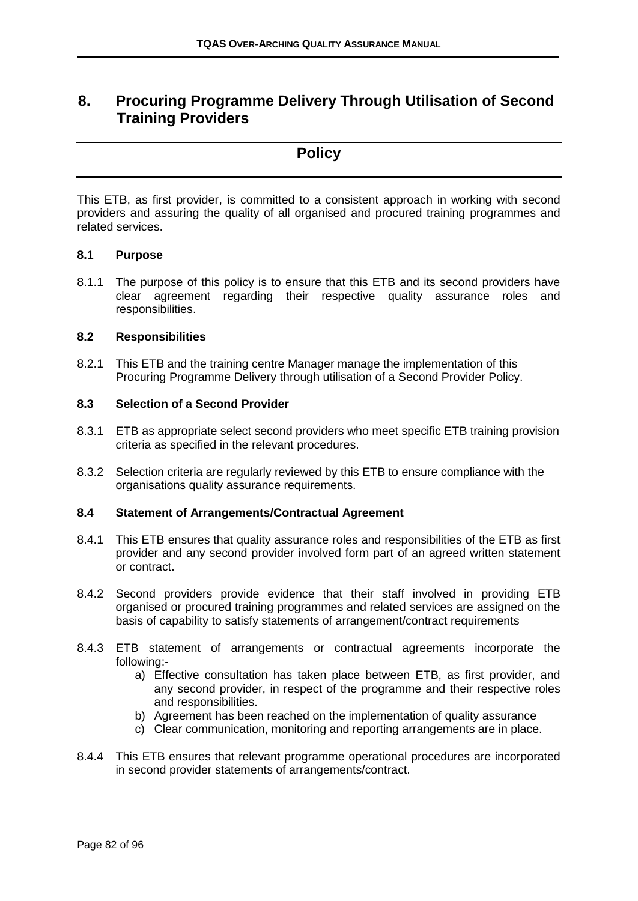### **8. Procuring Programme Delivery Through Utilisation of Second Training Providers**

### **Policy**

This ETB, as first provider, is committed to a consistent approach in working with second providers and assuring the quality of all organised and procured training programmes and related services.

#### **8.1 Purpose**

8.1.1 The purpose of this policy is to ensure that this ETB and its second providers have clear agreement regarding their respective quality assurance roles and responsibilities.

#### **8.2 Responsibilities**

8.2.1 This ETB and the training centre Manager manage the implementation of this Procuring Programme Delivery through utilisation of a Second Provider Policy.

### **8.3 Selection of a Second Provider**

- 8.3.1 ETB as appropriate select second providers who meet specific ETB training provision criteria as specified in the relevant procedures.
- 8.3.2 Selection criteria are regularly reviewed by this ETB to ensure compliance with the organisations quality assurance requirements.

### **8.4 Statement of Arrangements/Contractual Agreement**

- 8.4.1 This ETB ensures that quality assurance roles and responsibilities of the ETB as first provider and any second provider involved form part of an agreed written statement or contract.
- 8.4.2 Second providers provide evidence that their staff involved in providing ETB organised or procured training programmes and related services are assigned on the basis of capability to satisfy statements of arrangement/contract requirements
- 8.4.3 ETB statement of arrangements or contractual agreements incorporate the following:
	- a) Effective consultation has taken place between ETB, as first provider, and any second provider, in respect of the programme and their respective roles and responsibilities.
	- b) Agreement has been reached on the implementation of quality assurance
	- c) Clear communication, monitoring and reporting arrangements are in place.
- 8.4.4 This ETB ensures that relevant programme operational procedures are incorporated in second provider statements of arrangements/contract.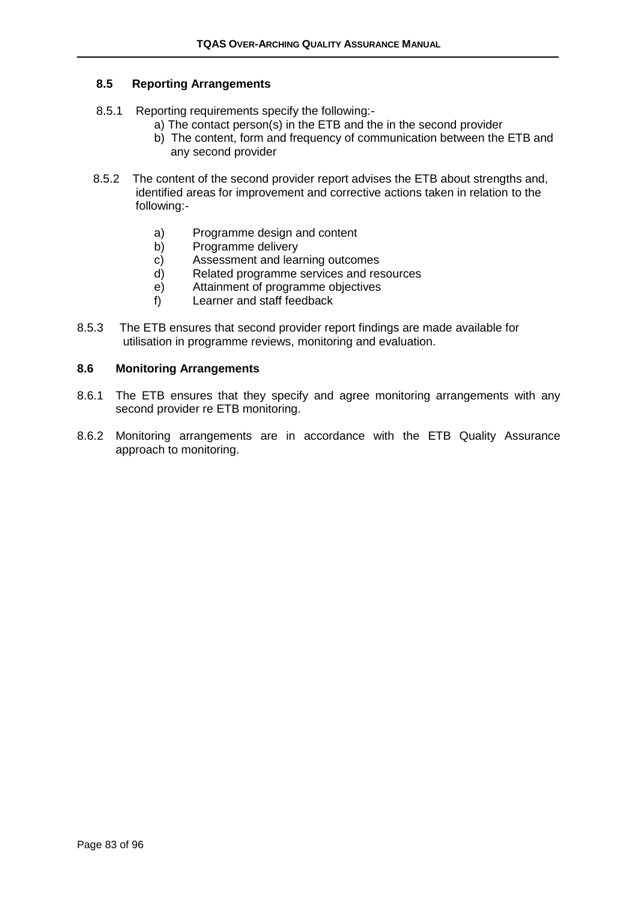### **8.5 Reporting Arrangements**

- 8.5.1 Reporting requirements specify the following:
	- a) The contact person(s) in the ETB and the in the second provider
	- b) The content, form and frequency of communication between the ETB and any second provider
- 8.5.2 The content of the second provider report advises the ETB about strengths and, identified areas for improvement and corrective actions taken in relation to the following:
	- a) Programme design and content
	- b) Programme delivery
	- c) Assessment and learning outcomes
	- d) Related programme services and resources
	- e) Attainment of programme objectives
	- f) Learner and staff feedback
- 8.5.3 The ETB ensures that second provider report findings are made available for utilisation in programme reviews, monitoring and evaluation.

#### **8.6 Monitoring Arrangements**

- 8.6.1 The ETB ensures that they specify and agree monitoring arrangements with any second provider re ETB monitoring.
- 8.6.2 Monitoring arrangements are in accordance with the ETB Quality Assurance approach to monitoring.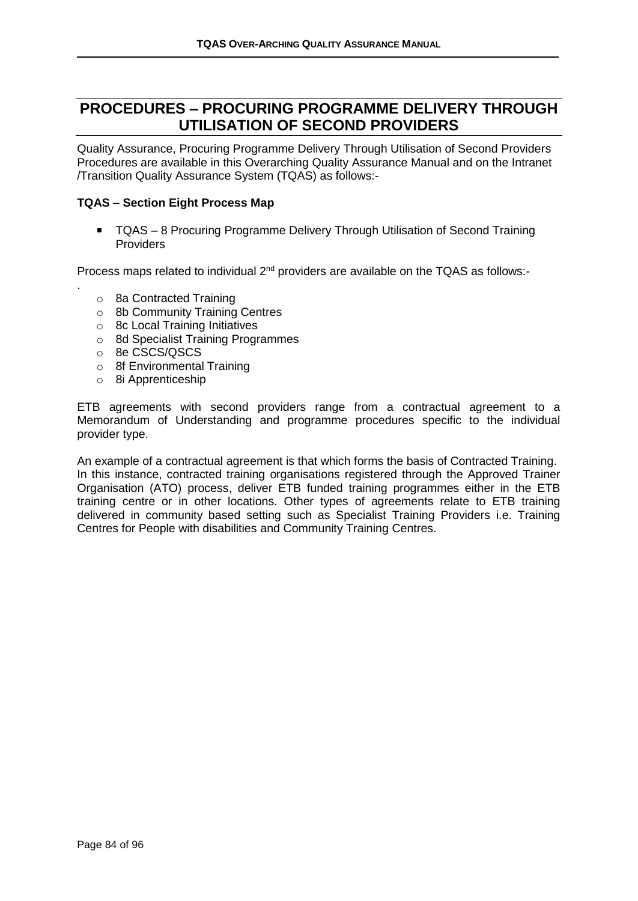## **PROCEDURES – PROCURING PROGRAMME DELIVERY THROUGH UTILISATION OF SECOND PROVIDERS**

Quality Assurance, Procuring Programme Delivery Through Utilisation of Second Providers Procedures are available in this Overarching Quality Assurance Manual and on the Intranet /Transition Quality Assurance System (TQAS) as follows:-

### **TQAS – Section Eight Process Map**

■ TQAS – 8 Procuring Programme Delivery Through Utilisation of Second Training Providers

Process maps related to individual 2<sup>nd</sup> providers are available on the TQAS as follows:-

- o 8a Contracted Training
- o 8b Community Training Centres
- o 8c Local Training Initiatives
- o 8d Specialist Training Programmes
- o 8e CSCS/QSCS

.

- o 8f Environmental Training
- o 8i Apprenticeship

ETB agreements with second providers range from a contractual agreement to a Memorandum of Understanding and programme procedures specific to the individual provider type.

An example of a contractual agreement is that which forms the basis of Contracted Training. In this instance, contracted training organisations registered through the Approved Trainer Organisation (ATO) process, deliver ETB funded training programmes either in the ETB training centre or in other locations. Other types of agreements relate to ETB training delivered in community based setting such as Specialist Training Providers i.e. Training Centres for People with disabilities and Community Training Centres.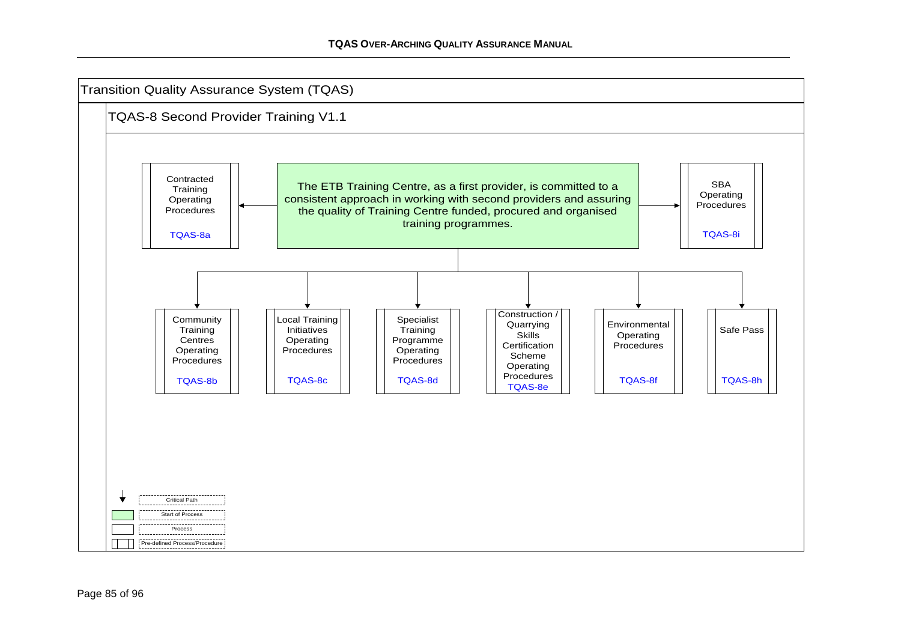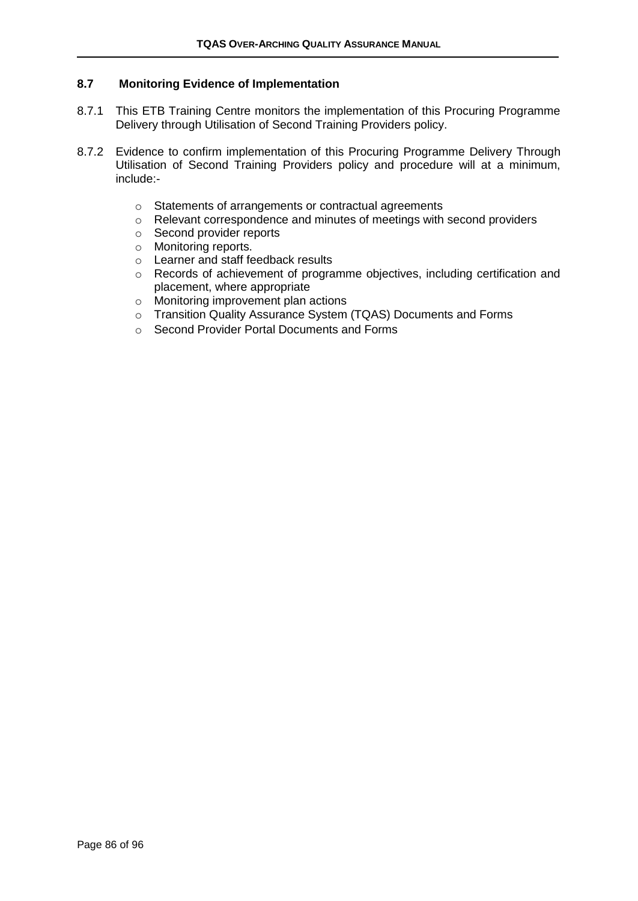### **8.7 Monitoring Evidence of Implementation**

- 8.7.1 This ETB Training Centre monitors the implementation of this Procuring Programme Delivery through Utilisation of Second Training Providers policy.
- 8.7.2 Evidence to confirm implementation of this Procuring Programme Delivery Through Utilisation of Second Training Providers policy and procedure will at a minimum, include:
	- o Statements of arrangements or contractual agreements
	- o Relevant correspondence and minutes of meetings with second providers
	- o Second provider reports
	- o Monitoring reports.
	- o Learner and staff feedback results
	- o Records of achievement of programme objectives, including certification and placement, where appropriate
	- o Monitoring improvement plan actions
	- o Transition Quality Assurance System (TQAS) Documents and Forms
	- o Second Provider Portal Documents and Forms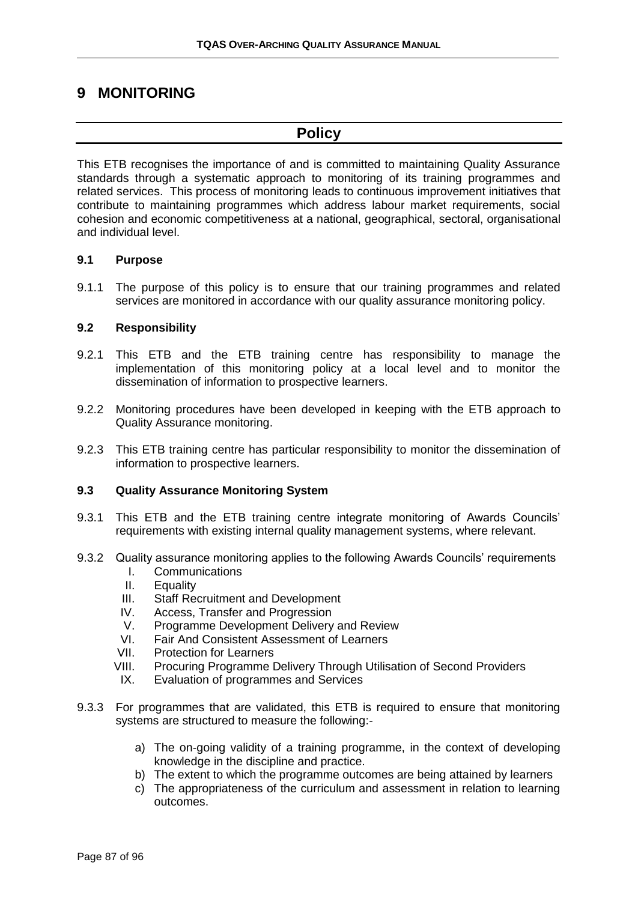# **9 MONITORING**

# **Policy**

This ETB recognises the importance of and is committed to maintaining Quality Assurance standards through a systematic approach to monitoring of its training programmes and related services. This process of monitoring leads to continuous improvement initiatives that contribute to maintaining programmes which address labour market requirements, social cohesion and economic competitiveness at a national, geographical, sectoral, organisational and individual level.

### **9.1 Purpose**

9.1.1 The purpose of this policy is to ensure that our training programmes and related services are monitored in accordance with our quality assurance monitoring policy.

### **9.2 Responsibility**

- 9.2.1 This ETB and the ETB training centre has responsibility to manage the implementation of this monitoring policy at a local level and to monitor the dissemination of information to prospective learners.
- 9.2.2 Monitoring procedures have been developed in keeping with the ETB approach to Quality Assurance monitoring.
- 9.2.3 This ETB training centre has particular responsibility to monitor the dissemination of information to prospective learners.

#### **9.3 Quality Assurance Monitoring System**

- 9.3.1 This ETB and the ETB training centre integrate monitoring of Awards Councils' requirements with existing internal quality management systems, where relevant.
- 9.3.2 Quality assurance monitoring applies to the following Awards Councils' requirements
	- I. Communications
	- II. Equality
	- III. Staff Recruitment and Development
	- IV. Access, Transfer and Progression
	- V. Programme Development Delivery and Review
	- VI. Fair And Consistent Assessment of Learners
	- VII. Protection for Learners
	- VIII. Procuring Programme Delivery Through Utilisation of Second Providers
	- IX. Evaluation of programmes and Services
- 9.3.3 For programmes that are validated, this ETB is required to ensure that monitoring systems are structured to measure the following:
	- a) The on-going validity of a training programme, in the context of developing knowledge in the discipline and practice.
	- b) The extent to which the programme outcomes are being attained by learners
	- c) The appropriateness of the curriculum and assessment in relation to learning outcomes.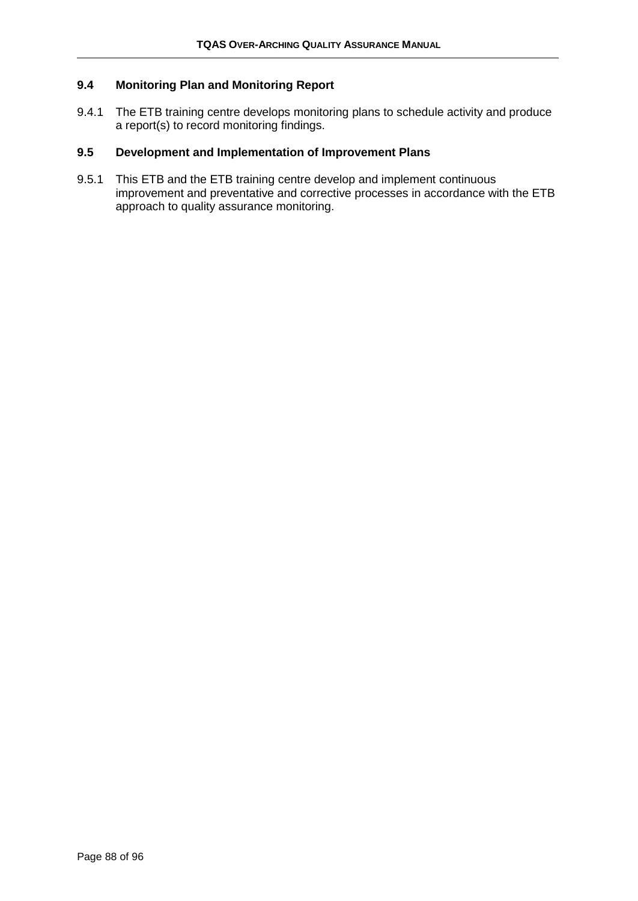### **9.4 Monitoring Plan and Monitoring Report**

9.4.1 The ETB training centre develops monitoring plans to schedule activity and produce a report(s) to record monitoring findings.

### **9.5 Development and Implementation of Improvement Plans**

9.5.1 This ETB and the ETB training centre develop and implement continuous improvement and preventative and corrective processes in accordance with the ETB approach to quality assurance monitoring.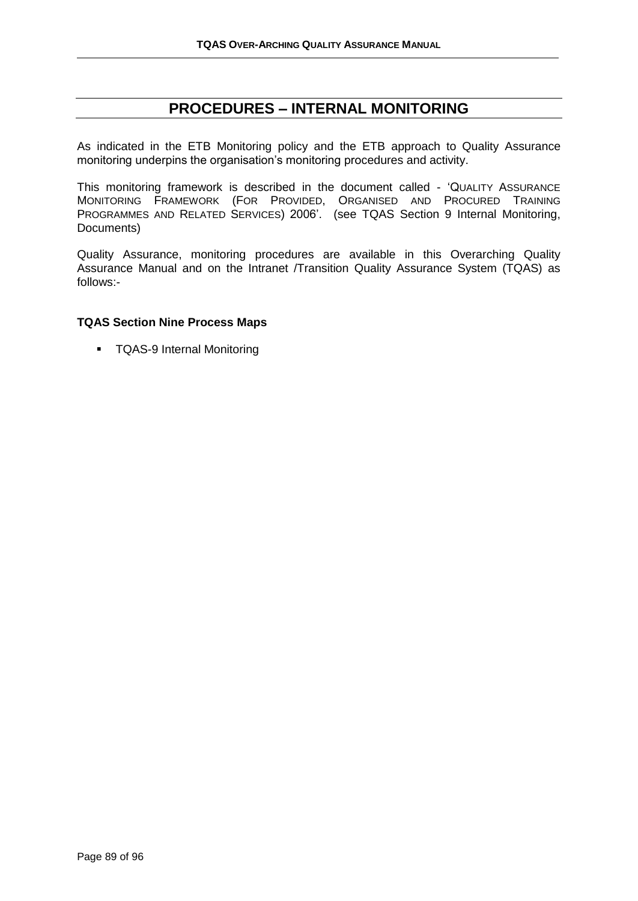### **PROCEDURES – INTERNAL MONITORING**

As indicated in the ETB Monitoring policy and the ETB approach to Quality Assurance monitoring underpins the organisation's monitoring procedures and activity.

This monitoring framework is described in the document called - 'QUALITY ASSURANCE MONITORING FRAMEWORK (FOR PROVIDED, ORGANISED AND PROCURED TRAINING PROGRAMMES AND RELATED SERVICES) 2006'. (see TQAS Section 9 Internal Monitoring, Documents)

Quality Assurance, monitoring procedures are available in this Overarching Quality Assurance Manual and on the Intranet /Transition Quality Assurance System (TQAS) as follows:-

### **TQAS Section Nine Process Maps**

■ TQAS-9 Internal Monitoring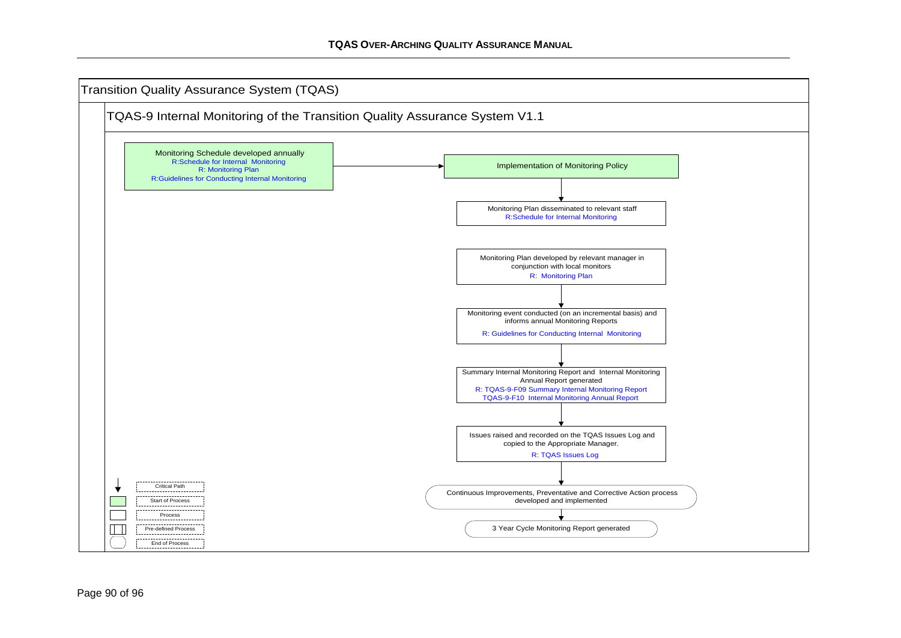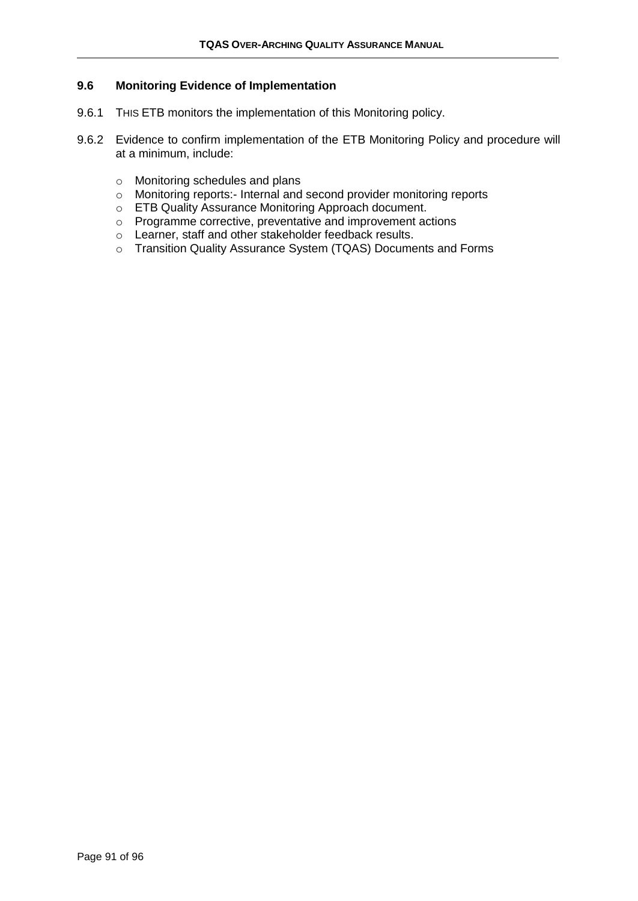### **9.6 Monitoring Evidence of Implementation**

- 9.6.1 THIS ETB monitors the implementation of this Monitoring policy.
- 9.6.2 Evidence to confirm implementation of the ETB Monitoring Policy and procedure will at a minimum, include:
	- o Monitoring schedules and plans
	- o Monitoring reports:- Internal and second provider monitoring reports
	- o ETB Quality Assurance Monitoring Approach document.
	- o Programme corrective, preventative and improvement actions
	- o Learner, staff and other stakeholder feedback results.
	- o Transition Quality Assurance System (TQAS) Documents and Forms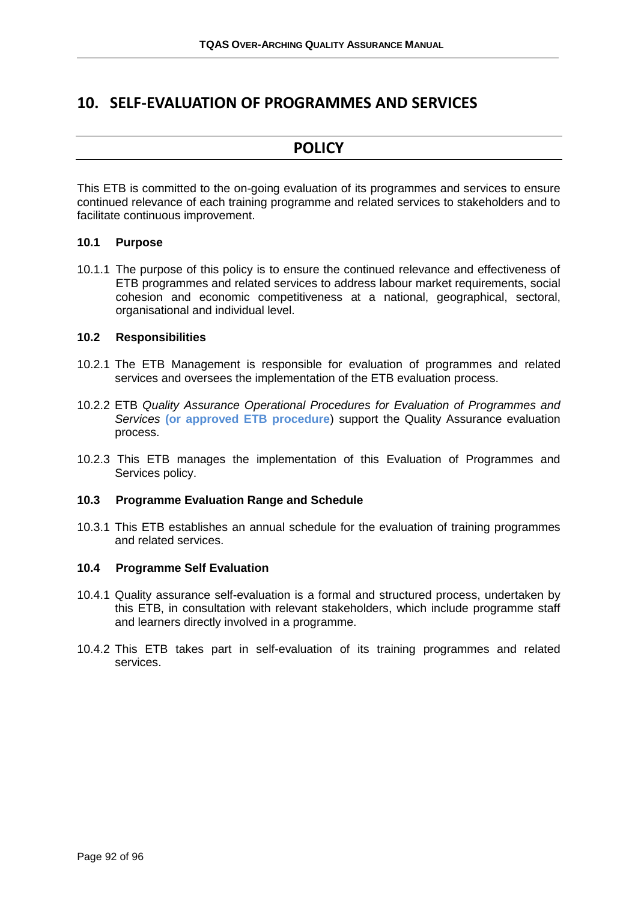### **10. SELF-EVALUATION OF PROGRAMMES AND SERVICES**

### **POLICY**

This ETB is committed to the on-going evaluation of its programmes and services to ensure continued relevance of each training programme and related services to stakeholders and to facilitate continuous improvement.

### **10.1 Purpose**

10.1.1 The purpose of this policy is to ensure the continued relevance and effectiveness of ETB programmes and related services to address labour market requirements, social cohesion and economic competitiveness at a national, geographical, sectoral, organisational and individual level.

#### **10.2 Responsibilities**

- 10.2.1 The ETB Management is responsible for evaluation of programmes and related services and oversees the implementation of the ETB evaluation process.
- 10.2.2 ETB *Quality Assurance Operational Procedures for Evaluation of Programmes and Services* **(or approved ETB procedure**) support the Quality Assurance evaluation process.
- 10.2.3 This ETB manages the implementation of this Evaluation of Programmes and Services policy.

### **10.3 Programme Evaluation Range and Schedule**

10.3.1 This ETB establishes an annual schedule for the evaluation of training programmes and related services.

#### **10.4 Programme Self Evaluation**

- 10.4.1 Quality assurance self-evaluation is a formal and structured process, undertaken by this ETB, in consultation with relevant stakeholders, which include programme staff and learners directly involved in a programme.
- 10.4.2 This ETB takes part in self-evaluation of its training programmes and related services.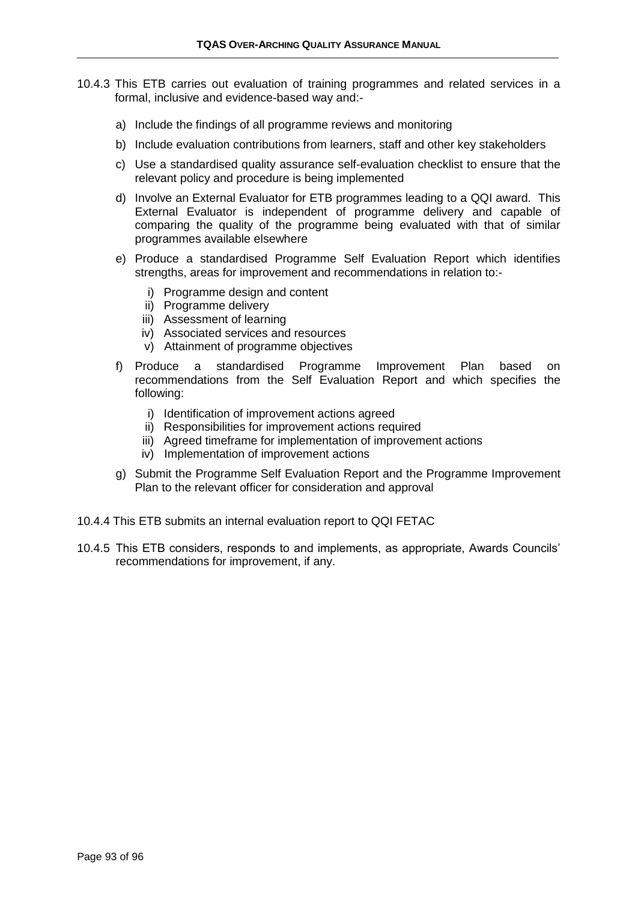- 10.4.3 This ETB carries out evaluation of training programmes and related services in a formal, inclusive and evidence-based way and:
	- a) Include the findings of all programme reviews and monitoring
	- b) Include evaluation contributions from learners, staff and other key stakeholders
	- c) Use a standardised quality assurance self-evaluation checklist to ensure that the relevant policy and procedure is being implemented
	- d) Involve an External Evaluator for ETB programmes leading to a QQI award. This External Evaluator is independent of programme delivery and capable of comparing the quality of the programme being evaluated with that of similar programmes available elsewhere
	- e) Produce a standardised Programme Self Evaluation Report which identifies strengths, areas for improvement and recommendations in relation to:
		- i) Programme design and content
		- ii) Programme delivery
		- iii) Assessment of learning
		- iv) Associated services and resources
		- v) Attainment of programme objectives
	- f) Produce a standardised Programme Improvement Plan based on recommendations from the Self Evaluation Report and which specifies the following:
		- i) Identification of improvement actions agreed
		- ii) Responsibilities for improvement actions required
		- iii) Agreed timeframe for implementation of improvement actions
		- iv) Implementation of improvement actions
	- g) Submit the Programme Self Evaluation Report and the Programme Improvement Plan to the relevant officer for consideration and approval
- 10.4.4 This ETB submits an internal evaluation report to QQI FETAC
- 10.4.5 This ETB considers, responds to and implements, as appropriate, Awards Councils' recommendations for improvement, if any.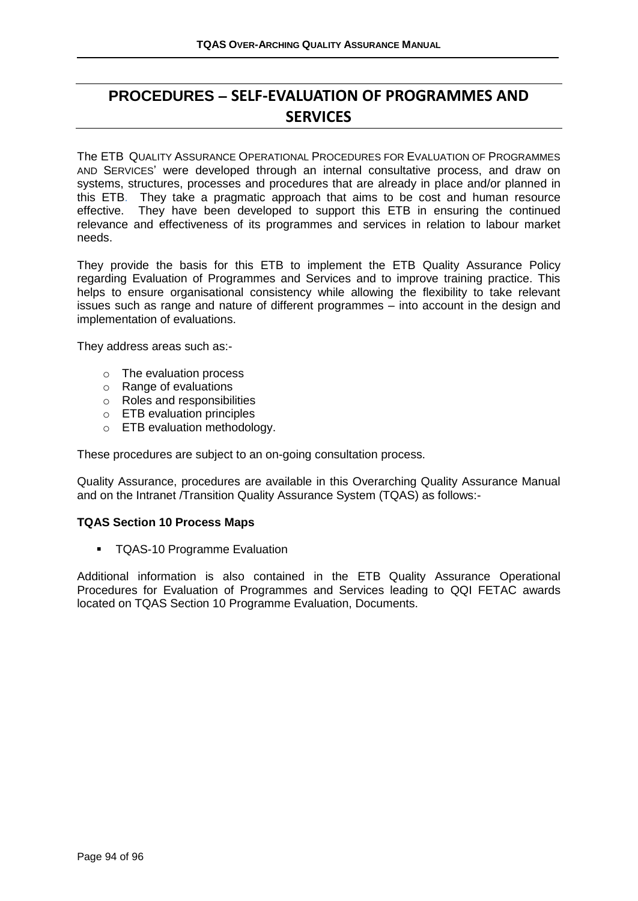# **PROCEDURES – SELF-EVALUATION OF PROGRAMMES AND SERVICES**

The ETB QUALITY ASSURANCE OPERATIONAL PROCEDURES FOR EVALUATION OF PROGRAMMES AND SERVICES' were developed through an internal consultative process, and draw on systems, structures, processes and procedures that are already in place and/or planned in this ETB. They take a pragmatic approach that aims to be cost and human resource effective. They have been developed to support this ETB in ensuring the continued relevance and effectiveness of its programmes and services in relation to labour market needs.

They provide the basis for this ETB to implement the ETB Quality Assurance Policy regarding Evaluation of Programmes and Services and to improve training practice. This helps to ensure organisational consistency while allowing the flexibility to take relevant issues such as range and nature of different programmes – into account in the design and implementation of evaluations.

They address areas such as:-

- o The evaluation process
- o Range of evaluations
- o Roles and responsibilities
- o ETB evaluation principles
- o ETB evaluation methodology.

These procedures are subject to an on-going consultation process.

Quality Assurance, procedures are available in this Overarching Quality Assurance Manual and on the Intranet /Transition Quality Assurance System (TQAS) as follows:-

#### **TQAS Section 10 Process Maps**

■ TQAS-10 Programme Evaluation

Additional information is also contained in the ETB Quality Assurance Operational Procedures for Evaluation of Programmes and Services leading to QQI FETAC awards located on TQAS Section 10 Programme Evaluation, Documents.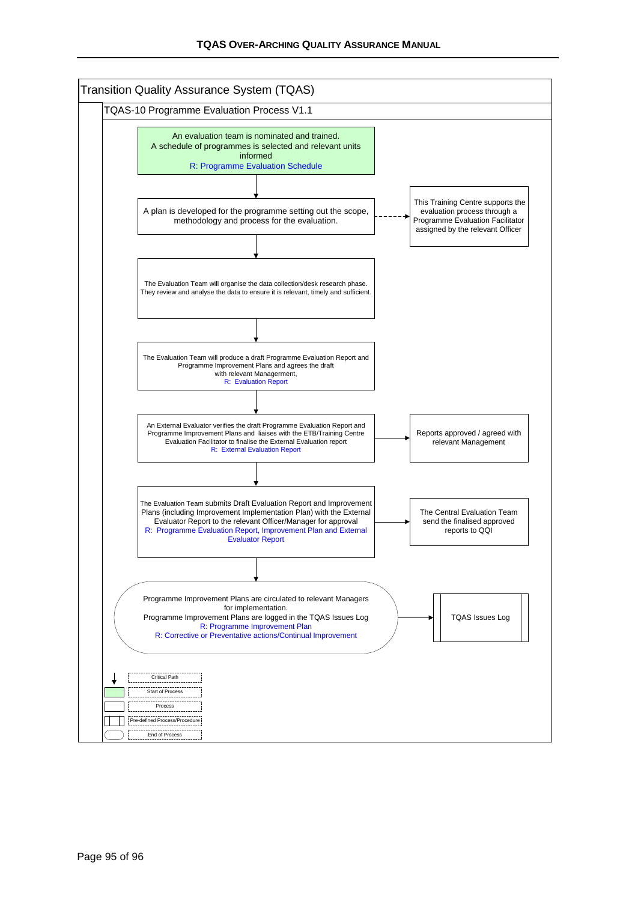